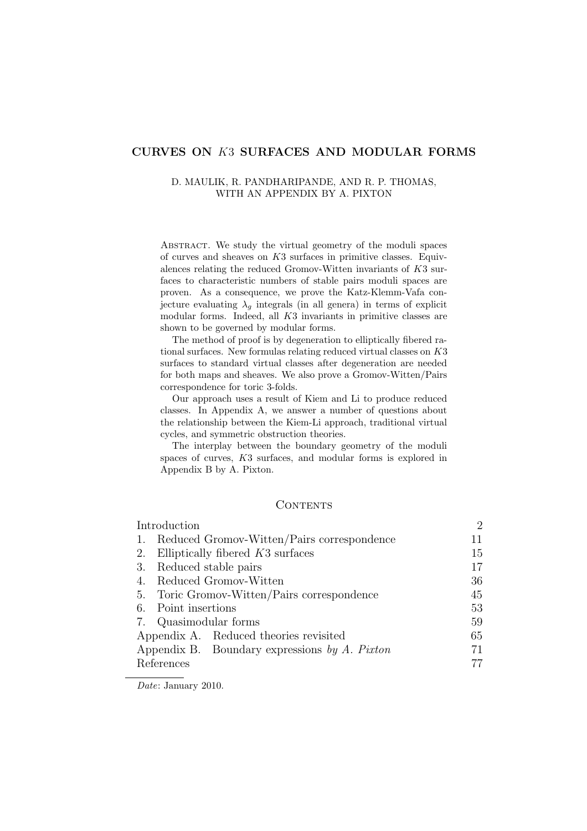## CURVES ON K3 SURFACES AND MODULAR FORMS

## D. MAULIK, R. PANDHARIPANDE, AND R. P. THOMAS, WITH AN APPENDIX BY A. PIXTON

Abstract. We study the virtual geometry of the moduli spaces of curves and sheaves on K3 surfaces in primitive classes. Equivalences relating the reduced Gromov-Witten invariants of K3 surfaces to characteristic numbers of stable pairs moduli spaces are proven. As a consequence, we prove the Katz-Klemm-Vafa conjecture evaluating  $\lambda_g$  integrals (in all genera) in terms of explicit modular forms. Indeed, all K3 invariants in primitive classes are shown to be governed by modular forms.

The method of proof is by degeneration to elliptically fibered rational surfaces. New formulas relating reduced virtual classes on K3 surfaces to standard virtual classes after degeneration are needed for both maps and sheaves. We also prove a Gromov-Witten/Pairs correspondence for toric 3-folds.

Our approach uses a result of Kiem and Li to produce reduced classes. In Appendix A, we answer a number of questions about the relationship between the Kiem-Li approach, traditional virtual cycles, and symmetric obstruction theories.

The interplay between the boundary geometry of the moduli spaces of curves, K3 surfaces, and modular forms is explored in Appendix B by A. Pixton.

## **CONTENTS**

| Introduction                                  | $\overline{2}$ |
|-----------------------------------------------|----------------|
| Reduced Gromov-Witten/Pairs correspondence    | 11             |
| 2. Elliptically fibered $K3$ surfaces         | 15             |
| 3. Reduced stable pairs                       | 17             |
| Reduced Gromov-Witten<br>4.                   | 36             |
| 5. Toric Gromov-Witten/Pairs correspondence   | 45             |
| 6. Point insertions                           | 53             |
| 7. Quasimodular forms                         | 59             |
| Appendix A. Reduced theories revisited        | 65             |
| Appendix B. Boundary expressions by A. Pixton | 71             |
| References                                    |                |

Date: January 2010.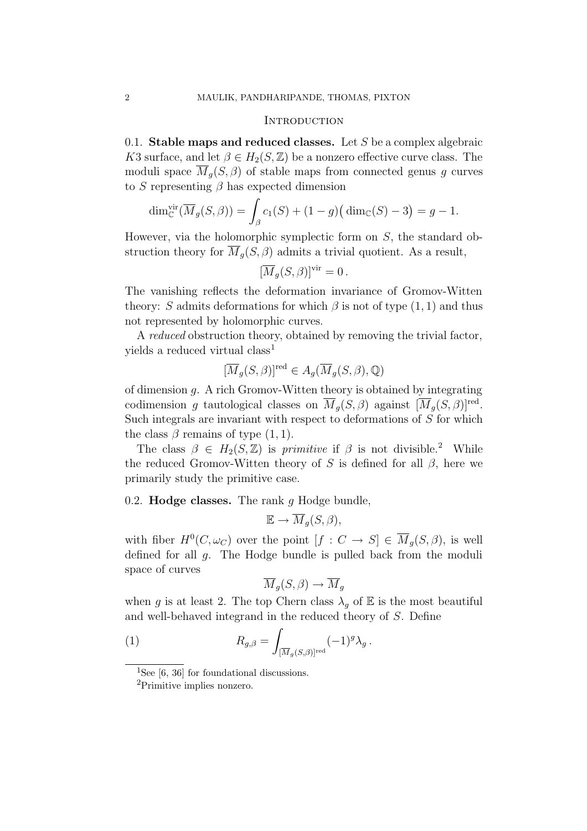#### **INTRODUCTION**

0.1. Stable maps and reduced classes. Let  $S$  be a complex algebraic K3 surface, and let  $\beta \in H_2(S, \mathbb{Z})$  be a nonzero effective curve class. The moduli space  $\overline{M}_q(S, \beta)$  of stable maps from connected genus g curves to S representing  $\beta$  has expected dimension

$$
\dim_{\mathbb{C}}^{\text{vir}}(\overline{M}_g(S,\beta)) = \int_{\beta} c_1(S) + (1-g)(\dim_{\mathbb{C}}(S) - 3) = g - 1.
$$

However, via the holomorphic symplectic form on S, the standard obstruction theory for  $\overline{M}_q(S, \beta)$  admits a trivial quotient. As a result,

$$
[\overline{M}_g(S,\beta)]^{\text{vir}} = 0.
$$

The vanishing reflects the deformation invariance of Gromov-Witten theory: S admits deformations for which  $\beta$  is not of type  $(1, 1)$  and thus not represented by holomorphic curves.

A reduced obstruction theory, obtained by removing the trivial factor, yields a reduced virtual class<sup>1</sup>

$$
[\overline{M}_g(S,\beta)]^{\text{red}} \in A_g(\overline{M}_g(S,\beta),\mathbb{Q})
$$

of dimension g. A rich Gromov-Witten theory is obtained by integrating codimension g tautological classes on  $\overline{M}_q(S, \beta)$  against  $[\overline{M}_q(S, \beta)]^{\text{red}}$ . Such integrals are invariant with respect to deformations of  $S$  for which the class  $\beta$  remains of type  $(1, 1)$ .

The class  $\beta \in H_2(S, \mathbb{Z})$  is primitive if  $\beta$  is not divisible.<sup>2</sup> While the reduced Gromov-Witten theory of S is defined for all  $\beta$ , here we primarily study the primitive case.

0.2. Hodge classes. The rank  $g$  Hodge bundle,

$$
\mathbb{E} \to \overline{M}_g(S,\beta),
$$

with fiber  $H^0(C, \omega_C)$  over the point  $[f: C \to S] \in \overline{M}_q(S, \beta)$ , is well defined for all g. The Hodge bundle is pulled back from the moduli space of curves

$$
\overline{M}_g(S,\beta) \to \overline{M}_g
$$

when g is at least 2. The top Chern class  $\lambda_g$  of E is the most beautiful and well-behaved integrand in the reduced theory of S. Define

(1) 
$$
R_{g,\beta} = \int_{[\overline{M}_g(S,\beta)]^{\text{red}}} (-1)^g \lambda_g.
$$

<sup>&</sup>lt;sup>1</sup>See [6, 36] for foundational discussions.

<sup>2</sup>Primitive implies nonzero.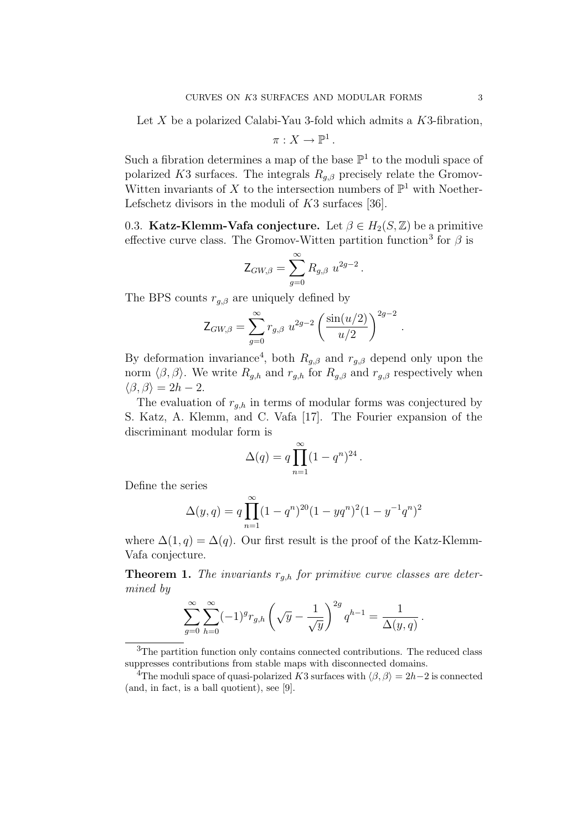Let X be a polarized Calabi-Yau 3-fold which admits a  $K3$ -fibration,

$$
\pi:X\to\mathbb{P}^1.
$$

Such a fibration determines a map of the base  $\mathbb{P}^1$  to the moduli space of polarized K3 surfaces. The integrals  $R_{g,\beta}$  precisely relate the Gromov-Witten invariants of X to the intersection numbers of  $\mathbb{P}^1$  with Noether-Lefschetz divisors in the moduli of K3 surfaces [36].

0.3. Katz-Klemm-Vafa conjecture. Let  $\beta \in H_2(S, \mathbb{Z})$  be a primitive effective curve class. The Gromov-Witten partition function<sup>3</sup> for  $\beta$  is

$$
Z_{GW,\beta} = \sum_{g=0}^{\infty} R_{g,\beta} u^{2g-2}.
$$

The BPS counts  $r_{q,\beta}$  are uniquely defined by

$$
Z_{GW,\beta} = \sum_{g=0}^{\infty} r_{g,\beta} u^{2g-2} \left( \frac{\sin(u/2)}{u/2} \right)^{2g-2}
$$

.

By deformation invariance<sup>4</sup>, both  $R_{g,\beta}$  and  $r_{g,\beta}$  depend only upon the norm  $\langle \beta, \beta \rangle$ . We write  $R_{q,h}$  and  $r_{q,h}$  for  $R_{q,\beta}$  and  $r_{q,\beta}$  respectively when  $\langle \beta, \beta \rangle = 2h - 2.$ 

The evaluation of  $r_{q,h}$  in terms of modular forms was conjectured by S. Katz, A. Klemm, and C. Vafa [17]. The Fourier expansion of the discriminant modular form is

$$
\Delta(q) = q \prod_{n=1}^{\infty} (1 - q^n)^{24}.
$$

Define the series

$$
\Delta(y,q) = q \prod_{n=1}^{\infty} (1 - q^n)^{20} (1 - yq^n)^2 (1 - y^{-1}q^n)^2
$$

where  $\Delta(1,q) = \Delta(q)$ . Our first result is the proof of the Katz-Klemm-Vafa conjecture.

**Theorem 1.** The invariants  $r_{q,h}$  for primitive curve classes are determined by

$$
\sum_{g=0}^{\infty} \sum_{h=0}^{\infty} (-1)^g r_{g,h} \left( \sqrt{y} - \frac{1}{\sqrt{y}} \right)^{2g} q^{h-1} = \frac{1}{\Delta(y,q)}.
$$

<sup>3</sup>The partition function only contains connected contributions. The reduced class suppresses contributions from stable maps with disconnected domains.

<sup>4</sup>The moduli space of quasi-polarized K3 surfaces with  $\langle \beta, \beta \rangle = 2h-2$  is connected (and, in fact, is a ball quotient), see [9].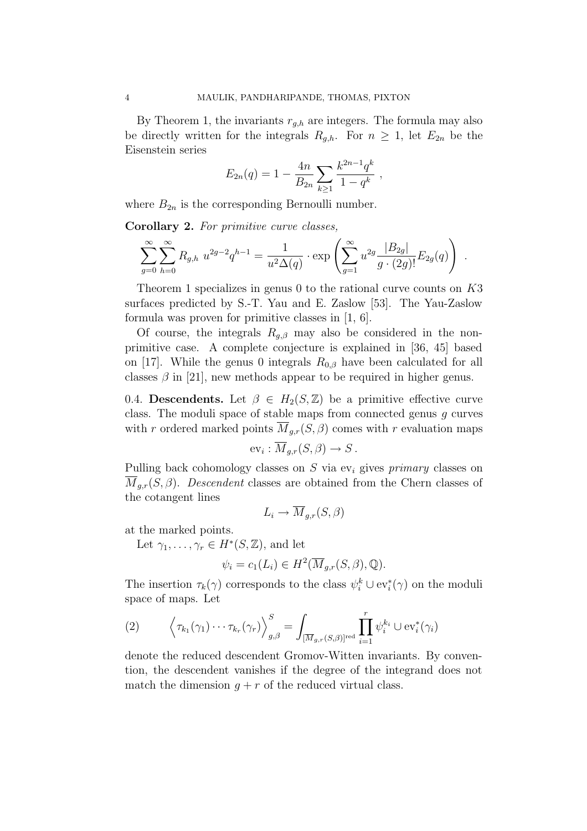By Theorem 1, the invariants  $r_{g,h}$  are integers. The formula may also be directly written for the integrals  $R_{q,h}$ . For  $n \geq 1$ , let  $E_{2n}$  be the Eisenstein series

$$
E_{2n}(q) = 1 - \frac{4n}{B_{2n}} \sum_{k \ge 1} \frac{k^{2n-1}q^k}{1-q^k} ,
$$

where  $B_{2n}$  is the corresponding Bernoulli number.

Corollary 2. For primitive curve classes,

$$
\sum_{g=0}^{\infty} \sum_{h=0}^{\infty} R_{g,h} u^{2g-2} q^{h-1} = \frac{1}{u^2 \Delta(q)} \cdot \exp \left( \sum_{g=1}^{\infty} u^{2g} \frac{|B_{2g}|}{g \cdot (2g)!} E_{2g}(q) \right) .
$$

Theorem 1 specializes in genus 0 to the rational curve counts on K3 surfaces predicted by S.-T. Yau and E. Zaslow [53]. The Yau-Zaslow formula was proven for primitive classes in [1, 6].

Of course, the integrals  $R_{g,\beta}$  may also be considered in the nonprimitive case. A complete conjecture is explained in [36, 45] based on [17]. While the genus 0 integrals  $R_{0,\beta}$  have been calculated for all classes  $\beta$  in [21], new methods appear to be required in higher genus.

0.4. Descendents. Let  $\beta \in H_2(S, \mathbb{Z})$  be a primitive effective curve class. The moduli space of stable maps from connected genus g curves with r ordered marked points  $\overline{M}_{q,r}(S,\beta)$  comes with r evaluation maps

$$
\mathrm{ev}_i: \overline{M}_{g,r}(S,\beta) \to S.
$$

Pulling back cohomology classes on  $S$  via ev<sub>i</sub> gives *primary* classes on  $M_{g,r}(S,\beta)$ . Descendent classes are obtained from the Chern classes of the cotangent lines

$$
L_i \to M_{g,r}(S,\beta)
$$

at the marked points.

Let  $\gamma_1, \ldots, \gamma_r \in H^*(S, \mathbb{Z})$ , and let

$$
\psi_i = c_1(L_i) \in H^2(\overline{M}_{g,r}(S,\beta),\mathbb{Q}).
$$

The insertion  $\tau_k(\gamma)$  corresponds to the class  $\psi_i^k \cup \text{ev}_i^*(\gamma)$  on the moduli space of maps. Let

(2) 
$$
\left\langle \tau_{k_1}(\gamma_1) \cdots \tau_{k_r}(\gamma_r) \right\rangle_{g,\beta}^S = \int_{\left[\overline{M}_{g,r}(S,\beta)\right]^{\text{red}}} \prod_{i=1}^r \psi_i^{k_i} \cup \text{ev}_i^*(\gamma_i)
$$

denote the reduced descendent Gromov-Witten invariants. By convention, the descendent vanishes if the degree of the integrand does not match the dimension  $q + r$  of the reduced virtual class.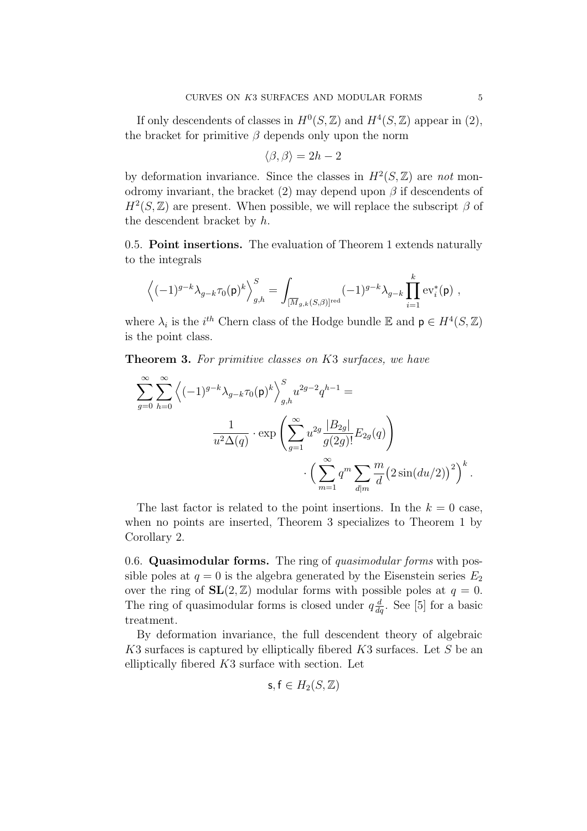If only descendents of classes in  $H^0(S, \mathbb{Z})$  and  $H^4(S, \mathbb{Z})$  appear in (2), the bracket for primitive  $\beta$  depends only upon the norm

$$
\langle \beta, \beta \rangle = 2h - 2
$$

by deformation invariance. Since the classes in  $H^2(S, \mathbb{Z})$  are not monodromy invariant, the bracket  $(2)$  may depend upon  $\beta$  if descendents of  $H^2(S, \mathbb{Z})$  are present. When possible, we will replace the subscript  $\beta$  of the descendent bracket by h.

0.5. Point insertions. The evaluation of Theorem 1 extends naturally to the integrals

$$
\left\langle (-1)^{g-k}\lambda_{g-k}\tau_0(\mathsf{p})^k\right\rangle_{g,h}^S=\int_{[\overline{M}_{g,k}(S,\beta)]^{\mathrm{red}}}(-1)^{g-k}\lambda_{g-k}\prod_{i=1}^k \mathrm{ev}_i^*(\mathsf{p})\ ,
$$

where  $\lambda_i$  is the *i*<sup>th</sup> Chern class of the Hodge bundle E and  $p \in H^4(S, \mathbb{Z})$ is the point class.

**Theorem 3.** For primitive classes on K3 surfaces, we have

$$
\sum_{g=0}^{\infty} \sum_{h=0}^{\infty} \left\langle (-1)^{g-k} \lambda_{g-k} \tau_0(\mathsf{p})^k \right\rangle_{g,h}^S u^{2g-2} q^{h-1} =
$$
  

$$
\frac{1}{u^2 \Delta(q)} \cdot \exp \left( \sum_{g=1}^{\infty} u^{2g} \frac{|B_{2g}|}{g(2g)!} E_{2g}(q) \right)
$$

$$
\cdot \left( \sum_{m=1}^{\infty} q^m \sum_{d|m} \frac{m}{d} \left( 2\sin(du/2) \right)^2 \right)^k.
$$

The last factor is related to the point insertions. In the  $k = 0$  case, when no points are inserted, Theorem 3 specializes to Theorem 1 by Corollary 2.

0.6. Quasimodular forms. The ring of quasimodular forms with possible poles at  $q = 0$  is the algebra generated by the Eisenstein series  $E_2$ over the ring of  $SL(2, \mathbb{Z})$  modular forms with possible poles at  $q = 0$ . The ring of quasimodular forms is closed under  $q \frac{d}{dq}$ . See [5] for a basic treatment.

By deformation invariance, the full descendent theory of algebraic K3 surfaces is captured by elliptically fibered K3 surfaces. Let S be an elliptically fibered  $K3$  surface with section. Let

$$
\mathsf{s},\mathsf{f}\in H_2(S,\mathbb{Z})
$$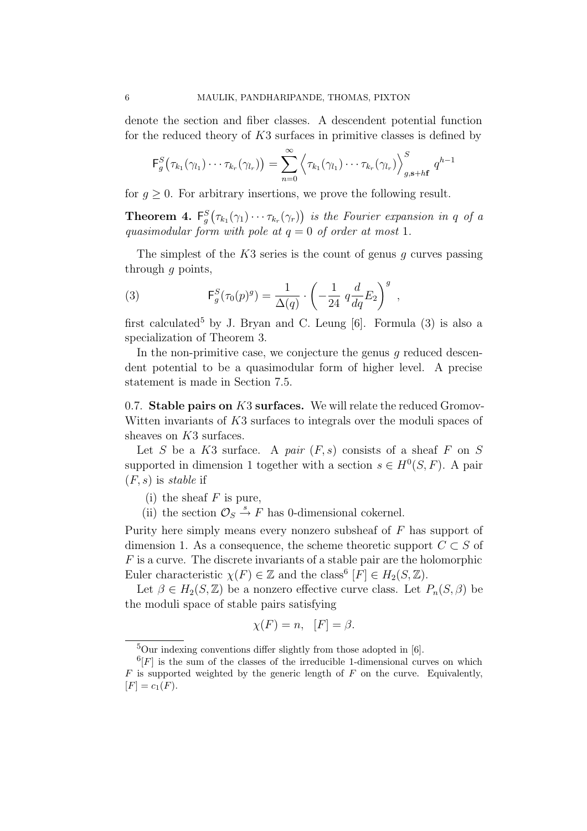denote the section and fiber classes. A descendent potential function for the reduced theory of  $K3$  surfaces in primitive classes is defined by

$$
\mathsf{F}_g^S(\tau_{k_1}(\gamma_{l_1})\cdots\tau_{k_r}(\gamma_{l_r}))=\sum_{n=0}^{\infty}\left\langle\tau_{k_1}(\gamma_{l_1})\cdots\tau_{k_r}(\gamma_{l_r})\right\rangle_{g,\mathbf{s}+h\mathbf{f}}^S q^{h-1}
$$

for  $q > 0$ . For arbitrary insertions, we prove the following result.

**Theorem 4.**  $F_g^S(\tau_{k_1}(\gamma_1)\cdots\tau_{k_r}(\gamma_r))$  is the Fourier expansion in q of a quasimodular form with pole at  $q = 0$  of order at most 1.

The simplest of the  $K3$  series is the count of genus q curves passing through  $q$  points,

(3) 
$$
\mathsf{F}_g^S(\tau_0(p)^g) = \frac{1}{\Delta(q)} \cdot \left(-\frac{1}{24} q \frac{d}{dq} E_2\right)^g,
$$

first calculated<sup>5</sup> by J. Bryan and C. Leung [6]. Formula  $(3)$  is also a specialization of Theorem 3.

In the non-primitive case, we conjecture the genus  $q$  reduced descendent potential to be a quasimodular form of higher level. A precise statement is made in Section 7.5.

0.7. Stable pairs on  $K3$  surfaces. We will relate the reduced Gromov-Witten invariants of K3 surfaces to integrals over the moduli spaces of sheaves on K3 surfaces.

Let S be a K3 surface. A pair  $(F, s)$  consists of a sheaf F on S supported in dimension 1 together with a section  $s \in H^0(S, F)$ . A pair  $(F, s)$  is stable if

- (i) the sheaf  $F$  is pure,
- (ii) the section  $\mathcal{O}_S \stackrel{s}{\rightarrow} F$  has 0-dimensional cokernel.

Purity here simply means every nonzero subsheaf of  $F$  has support of dimension 1. As a consequence, the scheme theoretic support  $C \subset S$  of  $F$  is a curve. The discrete invariants of a stable pair are the holomorphic Euler characteristic  $\chi(F) \in \mathbb{Z}$  and the class<sup>6</sup>  $[F] \in H_2(S, \mathbb{Z})$ .

Let  $\beta \in H_2(S, \mathbb{Z})$  be a nonzero effective curve class. Let  $P_n(S, \beta)$  be the moduli space of stable pairs satisfying

$$
\chi(F) = n, \ \ [F] = \beta.
$$

 $5$ Our indexing conventions differ slightly from those adopted in [6].

 $^{6}[F]$  is the sum of the classes of the irreducible 1-dimensional curves on which  $F$  is supported weighted by the generic length of  $F$  on the curve. Equivalently,  $[F] = c_1(F).$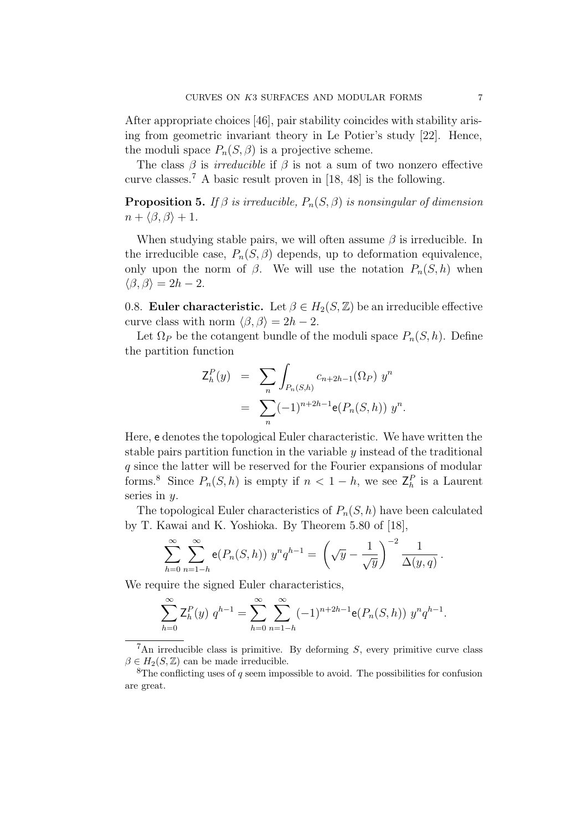After appropriate choices [46], pair stability coincides with stability arising from geometric invariant theory in Le Potier's study [22]. Hence, the moduli space  $P_n(S, \beta)$  is a projective scheme.

The class  $\beta$  is *irreducible* if  $\beta$  is not a sum of two nonzero effective curve classes.<sup>7</sup> A basic result proven in [18, 48] is the following.

**Proposition 5.** If  $\beta$  is irreducible,  $P_n(S, \beta)$  is nonsingular of dimension  $n + \langle \beta, \beta \rangle + 1.$ 

When studying stable pairs, we will often assume  $\beta$  is irreducible. In the irreducible case,  $P_n(S, \beta)$  depends, up to deformation equivalence, only upon the norm of  $\beta$ . We will use the notation  $P_n(S, h)$  when  $\langle \beta, \beta \rangle = 2h - 2.$ 

0.8. Euler characteristic. Let  $\beta \in H_2(S, \mathbb{Z})$  be an irreducible effective curve class with norm  $\langle \beta, \beta \rangle = 2h - 2$ .

Let  $\Omega_P$  be the cotangent bundle of the moduli space  $P_n(S, h)$ . Define the partition function

$$
Z_h^P(y) = \sum_n \int_{P_n(S,h)} c_{n+2h-1}(\Omega_P) y^n
$$
  
= 
$$
\sum_n (-1)^{n+2h-1} e(P_n(S,h)) y^n.
$$

Here, e denotes the topological Euler characteristic. We have written the stable pairs partition function in the variable  $y$  instead of the traditional q since the latter will be reserved for the Fourier expansions of modular forms.<sup>8</sup> Since  $P_n(S, h)$  is empty if  $n < 1 - h$ , we see  $\mathsf{Z}_h^P$  is a Laurent series in  $y$ .

The topological Euler characteristics of  $P_n(S, h)$  have been calculated by T. Kawai and K. Yoshioka. By Theorem 5.80 of [18],

$$
\sum_{h=0}^{\infty} \sum_{n=1-h}^{\infty} \mathbf{e}(P_n(S,h)) y^n q^{h-1} = \left(\sqrt{y} - \frac{1}{\sqrt{y}}\right)^{-2} \frac{1}{\Delta(y,q)}.
$$

We require the signed Euler characteristics,

$$
\sum_{h=0}^{\infty} \mathsf{Z}_h^P(y) \ q^{h-1} = \sum_{h=0}^{\infty} \sum_{n=1-h}^{\infty} (-1)^{n+2h-1} \mathsf{e}(P_n(S,h)) \ y^n q^{h-1}.
$$

<sup>&</sup>lt;sup>7</sup>An irreducible class is primitive. By deforming  $S$ , every primitive curve class  $\beta \in H_2(S, \mathbb{Z})$  can be made irreducible.

<sup>&</sup>lt;sup>8</sup>The conflicting uses of q seem impossible to avoid. The possibilities for confusion are great.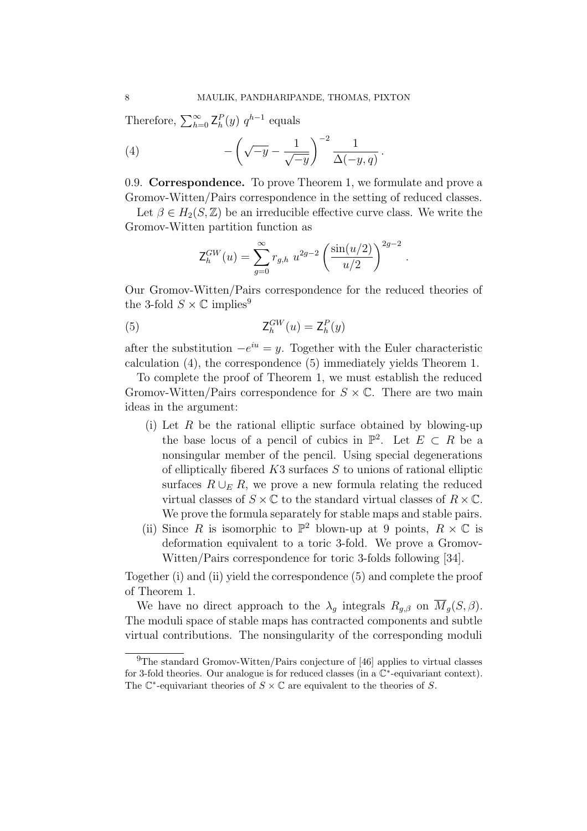Therefore,  $\sum_{h=0}^{\infty} \mathsf{Z}_h^P(y) q^{h-1}$  equals

(4) 
$$
-\left(\sqrt{-y}-\frac{1}{\sqrt{-y}}\right)^{-2}\frac{1}{\Delta(-y,q)}.
$$

0.9. Correspondence. To prove Theorem 1, we formulate and prove a Gromov-Witten/Pairs correspondence in the setting of reduced classes.

Let  $\beta \in H_2(S, \mathbb{Z})$  be an irreducible effective curve class. We write the Gromov-Witten partition function as

$$
Z_h^{GW}(u) = \sum_{g=0}^{\infty} r_{g,h} u^{2g-2} \left(\frac{\sin(u/2)}{u/2}\right)^{2g-2}
$$

.

Our Gromov-Witten/Pairs correspondence for the reduced theories of the 3-fold  $S \times \mathbb{C}$  implies<sup>9</sup>

$$
\mathsf{Z}_h^{GW}(u) = \mathsf{Z}_h^{P}(y)
$$

after the substitution  $-e^{iu} = y$ . Together with the Euler characteristic calculation (4), the correspondence (5) immediately yields Theorem 1.

To complete the proof of Theorem 1, we must establish the reduced Gromov-Witten/Pairs correspondence for  $S \times \mathbb{C}$ . There are two main ideas in the argument:

- (i) Let  $R$  be the rational elliptic surface obtained by blowing-up the base locus of a pencil of cubics in  $\mathbb{P}^2$ . Let  $E \subset R$  be a nonsingular member of the pencil. Using special degenerations of elliptically fibered  $K3$  surfaces S to unions of rational elliptic surfaces  $R \cup_F R$ , we prove a new formula relating the reduced virtual classes of  $S \times \mathbb{C}$  to the standard virtual classes of  $R \times \mathbb{C}$ . We prove the formula separately for stable maps and stable pairs.
- (ii) Since R is isomorphic to  $\mathbb{P}^2$  blown-up at 9 points,  $R \times \mathbb{C}$  is deformation equivalent to a toric 3-fold. We prove a Gromov-Witten/Pairs correspondence for toric 3-folds following [34].

Together (i) and (ii) yield the correspondence (5) and complete the proof of Theorem 1.

We have no direct approach to the  $\lambda_q$  integrals  $R_{q,\beta}$  on  $\overline{M}_q(S,\beta)$ . The moduli space of stable maps has contracted components and subtle virtual contributions. The nonsingularity of the corresponding moduli

<sup>9</sup>The standard Gromov-Witten/Pairs conjecture of [46] applies to virtual classes for 3-fold theories. Our analogue is for reduced classes (in a C∗-equivariant context). The  $\mathbb{C}^*$ -equivariant theories of  $S \times \mathbb{C}$  are equivalent to the theories of S.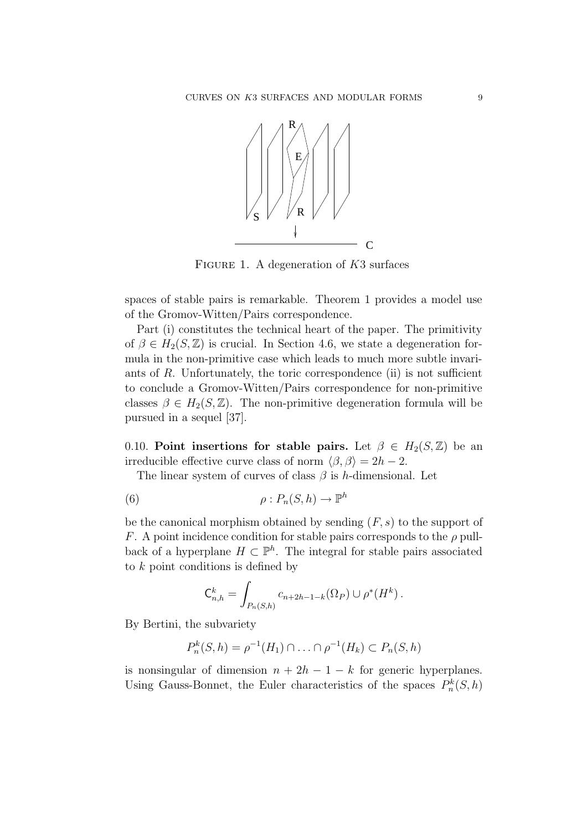

FIGURE 1. A degeneration of  $K3$  surfaces

spaces of stable pairs is remarkable. Theorem 1 provides a model use of the Gromov-Witten/Pairs correspondence.

Part (i) constitutes the technical heart of the paper. The primitivity of  $\beta \in H_2(S, \mathbb{Z})$  is crucial. In Section 4.6, we state a degeneration formula in the non-primitive case which leads to much more subtle invariants of  $R$ . Unfortunately, the toric correspondence (ii) is not sufficient to conclude a Gromov-Witten/Pairs correspondence for non-primitive classes  $\beta \in H_2(S, \mathbb{Z})$ . The non-primitive degeneration formula will be pursued in a sequel [37].

0.10. Point insertions for stable pairs. Let  $\beta \in H_2(S, \mathbb{Z})$  be an irreducible effective curve class of norm  $\langle \beta, \beta \rangle = 2h - 2$ .

The linear system of curves of class  $\beta$  is h-dimensional. Let

(6) 
$$
\rho: P_n(S, h) \to \mathbb{P}^h
$$

be the canonical morphism obtained by sending  $(F, s)$  to the support of F. A point incidence condition for stable pairs corresponds to the  $\rho$  pullback of a hyperplane  $H \subset \mathbb{P}^h$ . The integral for stable pairs associated to  $k$  point conditions is defined by

$$
C_{n,h}^k = \int_{P_n(S,h)} c_{n+2h-1-k}(\Omega_P) \cup \rho^*(H^k).
$$

By Bertini, the subvariety

$$
P_n^k(S, h) = \rho^{-1}(H_1) \cap \ldots \cap \rho^{-1}(H_k) \subset P_n(S, h)
$$

is nonsingular of dimension  $n + 2h - 1 - k$  for generic hyperplanes. Using Gauss-Bonnet, the Euler characteristics of the spaces  $P_n^k(S, h)$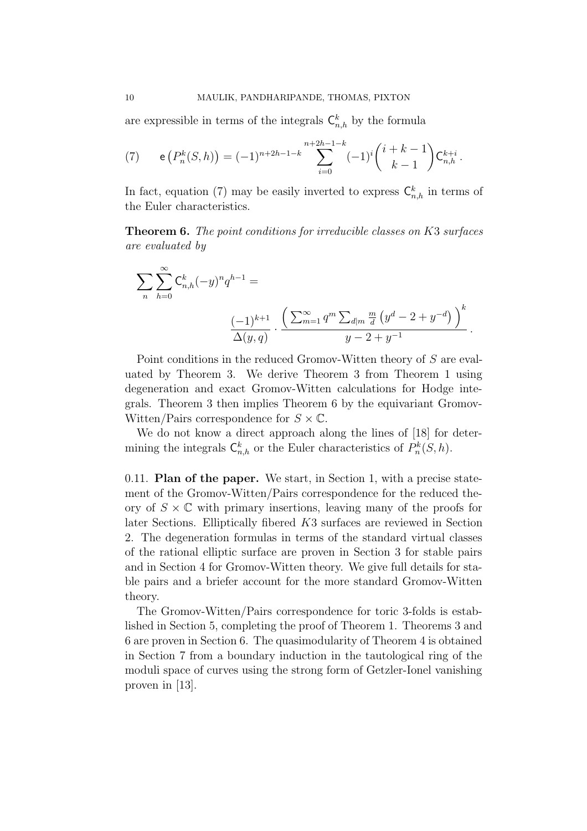are expressible in terms of the integrals  $\mathsf{C}_{n,h}^k$  by the formula

(7) 
$$
e(P_n^k(S,h)) = (-1)^{n+2h-1-k} \sum_{i=0}^{n+2h-1-k} (-1)^i {i+k-1 \choose k-1} C_{n,h}^{k+i}.
$$

In fact, equation (7) may be easily inverted to express  $\mathsf{C}_{n,h}^k$  in terms of the Euler characteristics.

Theorem 6. The point conditions for irreducible classes on K3 surfaces are evaluated by

$$
\sum_{n} \sum_{h=0}^{\infty} C_{n,h}^{k} (-y)^n q^{h-1} =
$$

$$
\frac{(-1)^{k+1}}{\Delta(y,q)} \cdot \frac{\left(\sum_{m=1}^{\infty} q^m \sum_{d|m} \frac{m}{d} (y^d - 2 + y^{-d})\right)^k}{y - 2 + y^{-1}}.
$$

Point conditions in the reduced Gromov-Witten theory of S are evaluated by Theorem 3. We derive Theorem 3 from Theorem 1 using degeneration and exact Gromov-Witten calculations for Hodge integrals. Theorem 3 then implies Theorem 6 by the equivariant Gromov-Witten/Pairs correspondence for  $S \times \mathbb{C}$ .

We do not know a direct approach along the lines of [18] for determining the integrals  $\mathsf{C}_{n,h}^k$  or the Euler characteristics of  $P_n^k(S, h)$ .

0.11. Plan of the paper. We start, in Section 1, with a precise statement of the Gromov-Witten/Pairs correspondence for the reduced theory of  $S \times \mathbb{C}$  with primary insertions, leaving many of the proofs for later Sections. Elliptically fibered K3 surfaces are reviewed in Section 2. The degeneration formulas in terms of the standard virtual classes of the rational elliptic surface are proven in Section 3 for stable pairs and in Section 4 for Gromov-Witten theory. We give full details for stable pairs and a briefer account for the more standard Gromov-Witten theory.

The Gromov-Witten/Pairs correspondence for toric 3-folds is established in Section 5, completing the proof of Theorem 1. Theorems 3 and 6 are proven in Section 6. The quasimodularity of Theorem 4 is obtained in Section 7 from a boundary induction in the tautological ring of the moduli space of curves using the strong form of Getzler-Ionel vanishing proven in [13].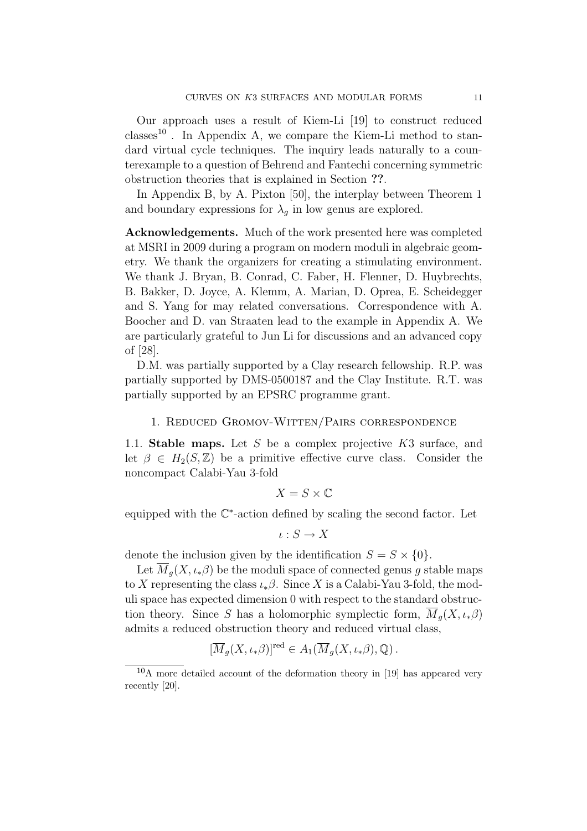Our approach uses a result of Kiem-Li [19] to construct reduced classes<sup>10</sup>. In Appendix A, we compare the Kiem-Li method to standard virtual cycle techniques. The inquiry leads naturally to a counterexample to a question of Behrend and Fantechi concerning symmetric obstruction theories that is explained in Section ??.

In Appendix B, by A. Pixton [50], the interplay between Theorem 1 and boundary expressions for  $\lambda_q$  in low genus are explored.

Acknowledgements. Much of the work presented here was completed at MSRI in 2009 during a program on modern moduli in algebraic geometry. We thank the organizers for creating a stimulating environment. We thank J. Bryan, B. Conrad, C. Faber, H. Flenner, D. Huybrechts, B. Bakker, D. Joyce, A. Klemm, A. Marian, D. Oprea, E. Scheidegger and S. Yang for may related conversations. Correspondence with A. Boocher and D. van Straaten lead to the example in Appendix A. We are particularly grateful to Jun Li for discussions and an advanced copy of [28].

D.M. was partially supported by a Clay research fellowship. R.P. was partially supported by DMS-0500187 and the Clay Institute. R.T. was partially supported by an EPSRC programme grant.

### 1. Reduced Gromov-Witten/Pairs correspondence

1.1. Stable maps. Let S be a complex projective  $K3$  surface, and let  $\beta \in H_2(S, \mathbb{Z})$  be a primitive effective curve class. Consider the noncompact Calabi-Yau 3-fold

$$
X = S \times \mathbb{C}
$$

equipped with the C∗-action defined by scaling the second factor. Let

$$
\iota: S \to X
$$

denote the inclusion given by the identification  $S = S \times \{0\}.$ 

Let  $\overline{M}_q(X, \iota_*\beta)$  be the moduli space of connected genus g stable maps to X representing the class  $\iota_*\beta$ . Since X is a Calabi-Yau 3-fold, the moduli space has expected dimension 0 with respect to the standard obstruction theory. Since S has a holomorphic symplectic form,  $M_q(X, \iota_*\beta)$ admits a reduced obstruction theory and reduced virtual class,

$$
[\overline{M}_g(X, \iota_*\beta)]^{\text{red}} \in A_1(\overline{M}_g(X, \iota_*\beta), \mathbb{Q}).
$$

 $10$ A more detailed account of the deformation theory in [19] has appeared very recently [20].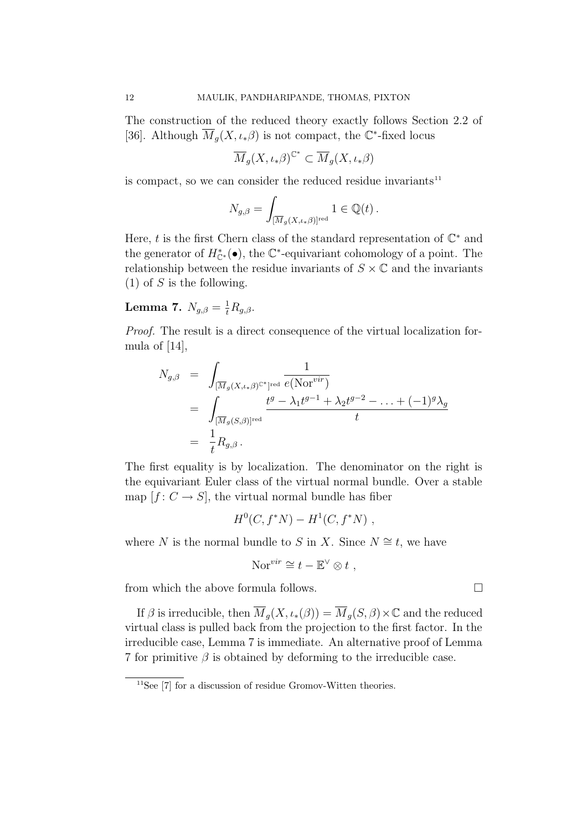The construction of the reduced theory exactly follows Section 2.2 of [36]. Although  $\overline{M}_g(X, \iota_*\beta)$  is not compact, the C<sup>\*</sup>-fixed locus

$$
\overline{M}_g(X, \iota_*\beta)^{\mathbb{C}^*} \subset \overline{M}_g(X, \iota_*\beta)
$$

is compact, so we can consider the reduced residue invariants $11$ 

$$
N_{g,\beta} = \int_{[\overline{M}_g(X,\iota_*\beta)]^{\text{red}}} 1 \in \mathbb{Q}(t) .
$$

Here, t is the first Chern class of the standard representation of  $\mathbb{C}^*$  and the generator of  $H_{\mathbb{C}^*}^*(\bullet)$ , the  $\mathbb{C}^*$ -equivariant cohomology of a point. The relationship between the residue invariants of  $S \times \mathbb{C}$  and the invariants  $(1)$  of S is the following.

Lemma 7.  $N_{g,\beta} = \frac{1}{t} R_{g,\beta}$ .

Proof. The result is a direct consequence of the virtual localization formula of [14],

$$
N_{g,\beta} = \int_{\substack{\overline{[M]}_g(X,\iota_*\beta)^{C^*} \text{red} \\ \overline{[M]}_g(S,\beta)]^{\text{red}}}} \frac{1}{e(\text{Nor}^{vir})} \\ = \int_{\substack{\overline{[M]}_g(S,\beta)]^{\text{red}} \\ \overline{[M]}_g(S,\beta)]^{\text{red}}}} \frac{t^g - \lambda_1 t^{g-1} + \lambda_2 t^{g-2} - \ldots + (-1)^g \lambda_g}{t}
$$

The first equality is by localization. The denominator on the right is the equivariant Euler class of the virtual normal bundle. Over a stable map  $[f: C \to S]$ , the virtual normal bundle has fiber

$$
H^0(C, f^*N) - H^1(C, f^*N) ,
$$

where N is the normal bundle to S in X. Since  $N \cong t$ , we have

$$
\mathrm{Nor}^{vir} \cong t - \mathbb{E}^{\vee} \otimes t ,
$$

from which the above formula follows.  $\Box$ 

If  $\beta$  is irreducible, then  $\overline{M}_q(X, \iota_*(\beta)) = \overline{M}_q(S, \beta) \times \mathbb{C}$  and the reduced virtual class is pulled back from the projection to the first factor. In the irreducible case, Lemma 7 is immediate. An alternative proof of Lemma 7 for primitive  $\beta$  is obtained by deforming to the irreducible case.

 $11$ See [7] for a discussion of residue Gromov-Witten theories.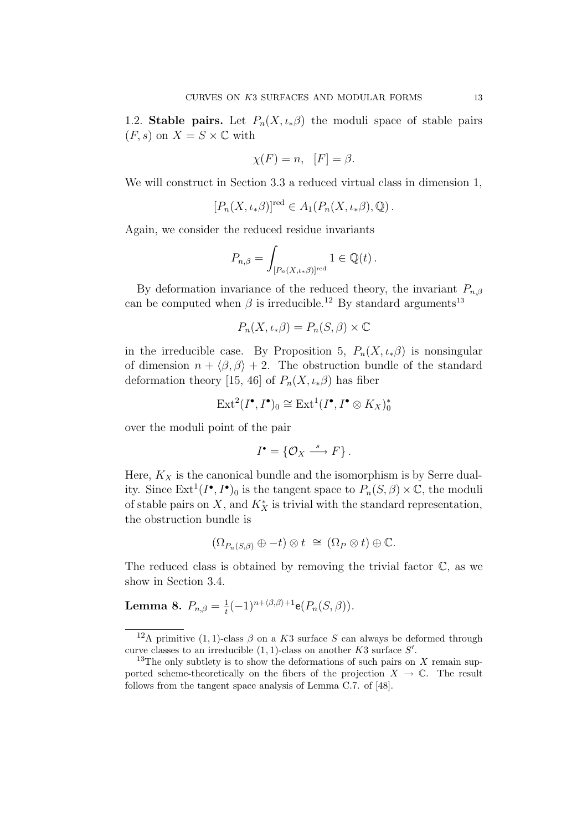1.2. Stable pairs. Let  $P_n(X, \iota_{*}\beta)$  the moduli space of stable pairs  $(F, s)$  on  $X = S \times \mathbb{C}$  with

$$
\chi(F) = n, \quad [F] = \beta.
$$

We will construct in Section 3.3 a reduced virtual class in dimension 1,

$$
[P_n(X, \iota_*\beta)]^{\text{red}} \in A_1(P_n(X, \iota_*\beta), \mathbb{Q}).
$$

Again, we consider the reduced residue invariants

$$
P_{n,\beta} = \int_{[P_n(X,\iota_*\beta)]^{\text{red}}} 1 \in \mathbb{Q}(t).
$$

By deformation invariance of the reduced theory, the invariant  $P_{n,\beta}$ can be computed when  $\beta$  is irreducible.<sup>12</sup> By standard arguments<sup>13</sup>

$$
P_n(X, \iota_* \beta) = P_n(S, \beta) \times \mathbb{C}
$$

in the irreducible case. By Proposition 5,  $P_n(X, \iota_{*}\beta)$  is nonsingular of dimension  $n + \langle \beta, \beta \rangle + 2$ . The obstruction bundle of the standard deformation theory [15, 46] of  $P_n(X, \iota_{*}\beta)$  has fiber

$$
\operatorname{Ext}^2(I^\bullet, I^\bullet)_0 \cong \operatorname{Ext}^1(I^\bullet, I^\bullet \otimes K_X)^*_0
$$

over the moduli point of the pair

$$
I^{\bullet} = \{ \mathcal{O}_X \stackrel{s}{\longrightarrow} F \}.
$$

Here,  $K_X$  is the canonical bundle and the isomorphism is by Serre duality. Since  $\text{Ext}^1(I^{\bullet}, I^{\bullet})_0$  is the tangent space to  $P_n(S, \beta) \times \mathbb{C}$ , the moduli of stable pairs on X, and  $K_X^*$  is trivial with the standard representation, the obstruction bundle is

$$
(\Omega_{P_n(S,\beta)} \oplus -t) \otimes t \cong (\Omega_P \otimes t) \oplus \mathbb{C}.
$$

The reduced class is obtained by removing the trivial factor  $\mathbb{C}$ , as we show in Section 3.4.

# **Lemma 8.**  $P_{n,\beta} = \frac{1}{t}(-1)^{n + \langle \beta, \beta \rangle + 1} e(P_n(S, \beta)).$

<sup>&</sup>lt;sup>12</sup>A primitive (1, 1)-class  $\beta$  on a K3 surface S can always be deformed through curve classes to an irreducible  $(1,1)$ -class on another K3 surface S'.

<sup>&</sup>lt;sup>13</sup>The only subtlety is to show the deformations of such pairs on X remain supported scheme-theoretically on the fibers of the projection  $X \to \mathbb{C}$ . The result follows from the tangent space analysis of Lemma C.7. of [48].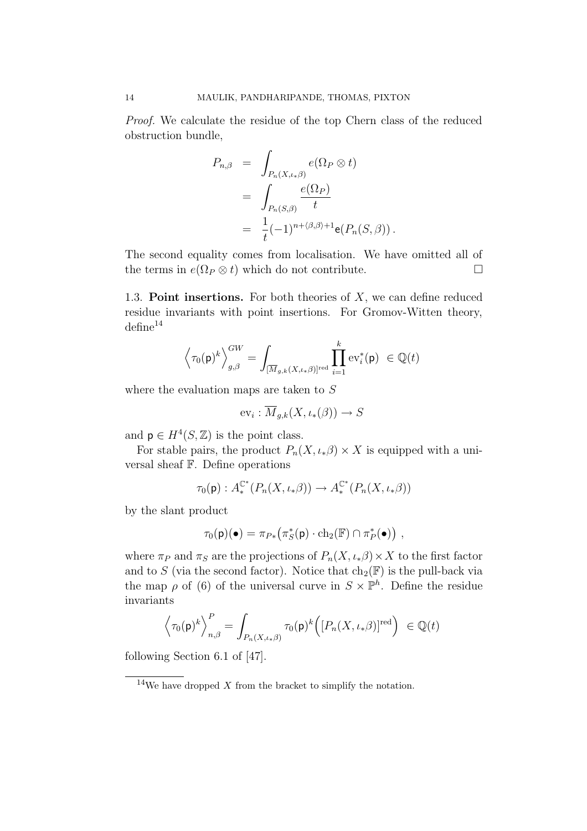Proof. We calculate the residue of the top Chern class of the reduced obstruction bundle,

$$
P_{n,\beta} = \int_{P_n(X,\iota_*\beta)} e(\Omega_P \otimes t)
$$
  
= 
$$
\int_{P_n(S,\beta)} \frac{e(\Omega_P)}{t}
$$
  
= 
$$
\frac{1}{t}(-1)^{n+\langle \beta, \beta \rangle+1} e(P_n(S,\beta)).
$$

The second equality comes from localisation. We have omitted all of the terms in  $e(\Omega_P \otimes t)$  which do not contribute.

1.3. Point insertions. For both theories of  $X$ , we can define reduced residue invariants with point insertions. For Gromov-Witten theory,  $\text{define}^{14}$ 

$$
\left\langle \tau_0(\mathsf{p})^k \right\rangle_{g,\beta}^{GW} = \int_{[\overline{M}_{g,k}(X,\iota_*\beta)]^{\mathrm{red}}} \prod_{i=1}^k \mathrm{ev}_i^*(\mathsf{p}) \ \in \mathbb{Q}(t)
$$

where the evaluation maps are taken to S

$$
\mathrm{ev}_i: \overline{M}_{g,k}(X, \iota_*(\beta)) \to S
$$

and  $p \in H^4(S, \mathbb{Z})$  is the point class.

For stable pairs, the product  $P_n(X, \iota_* \beta) \times X$  is equipped with a universal sheaf F. Define operations

$$
\tau_0(\mathbf{p}): A_*^{\mathbb{C}^*}(P_n(X, \iota_* \beta)) \to A_*^{\mathbb{C}^*}(P_n(X, \iota_* \beta))
$$

by the slant product

$$
\tau_0(\mathsf{p})(\bullet) = \pi_{P*}\big(\pi_S^*(\mathsf{p}) \cdot \mathrm{ch}_2(\mathbb{F}) \cap \pi_P^*(\bullet)\big) ,
$$

where  $\pi_P$  and  $\pi_S$  are the projections of  $P_n(X, \iota \ast \beta) \times X$  to the first factor and to S (via the second factor). Notice that  $ch_2(\mathbb{F})$  is the pull-back via the map  $\rho$  of (6) of the universal curve in  $S \times \mathbb{P}^h$ . Define the residue invariants

$$
\Big\langle \tau_0(\mathsf{p})^k \Big\rangle_{n,\beta}^P = \int_{P_n(X,\iota*\beta)} \tau_0(\mathsf{p})^k \Big([P_n(X,\iota*\beta)]^{\mathrm{red}}\Big) \ \in \mathbb{Q}(t)
$$

following Section 6.1 of [47].

 $14$ We have dropped X from the bracket to simplify the notation.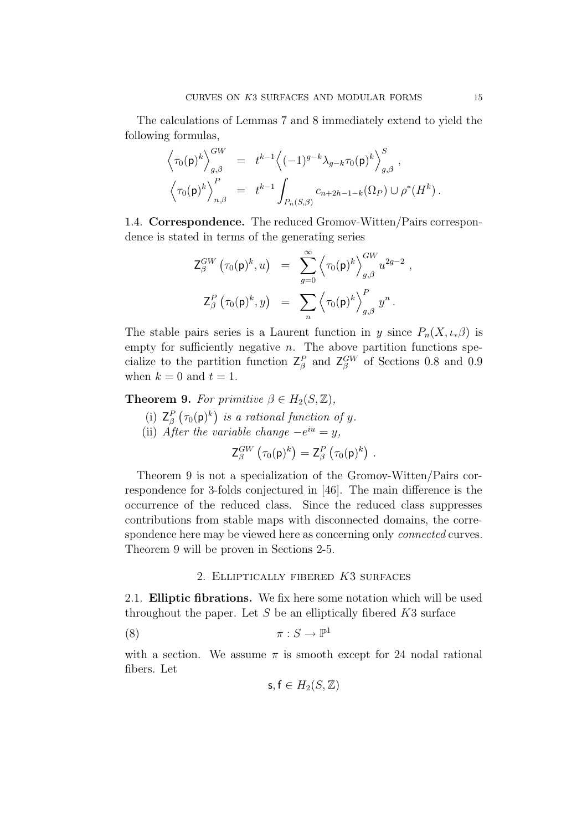The calculations of Lemmas 7 and 8 immediately extend to yield the following formulas,

$$
\left\langle \tau_0(\mathsf{p})^k \right\rangle_{g,\beta}^{GW} = t^{k-1} \left\langle (-1)^{g-k} \lambda_{g-k} \tau_0(\mathsf{p})^k \right\rangle_{g,\beta}^S, \left\langle \tau_0(\mathsf{p})^k \right\rangle_{n,\beta}^P = t^{k-1} \int_{P_n(S,\beta)} c_{n+2h-1-k}(\Omega_P) \cup \rho^*(H^k).
$$

1.4. Correspondence. The reduced Gromov-Witten/Pairs correspondence is stated in terms of the generating series

$$
Z_{\beta}^{GW}(\tau_0(\mathsf{p})^k, u) = \sum_{g=0}^{\infty} \left\langle \tau_0(\mathsf{p})^k \right\rangle_{g,\beta}^{GW} u^{2g-2},
$$
  

$$
Z_{\beta}^{P}(\tau_0(\mathsf{p})^k, y) = \sum_{n} \left\langle \tau_0(\mathsf{p})^k \right\rangle_{g,\beta}^{P} y^n.
$$

The stable pairs series is a Laurent function in y since  $P_n(X, \iota_*\beta)$  is empty for sufficiently negative  $n$ . The above partition functions specialize to the partition function  $Z_{\beta}^{P}$  and  $Z_{\beta}^{GW}$  of Sections 0.8 and 0.9 when  $k = 0$  and  $t = 1$ .

**Theorem 9.** For primitive  $\beta \in H_2(S, \mathbb{Z})$ ,

- (i)  $Z_{\beta}^{P}(\tau_0(\mathsf{p})^k)$  is a rational function of y.
- (ii) After the variable change  $-e^{iu} = y$ ,

$$
\mathsf{Z}_{\beta}^{GW}\left(\tau_0(\mathsf{p})^k\right)=\mathsf{Z}_{\beta}^{P}\left(\tau_0(\mathsf{p})^k\right).
$$

Theorem 9 is not a specialization of the Gromov-Witten/Pairs correspondence for 3-folds conjectured in [46]. The main difference is the occurrence of the reduced class. Since the reduced class suppresses contributions from stable maps with disconnected domains, the correspondence here may be viewed here as concerning only *connected* curves. Theorem 9 will be proven in Sections 2-5.

## 2. Elliptically fibered K3 surfaces

2.1. Elliptic fibrations. We fix here some notation which will be used throughout the paper. Let  $S$  be an elliptically fibered  $K3$  surface

$$
\pi: S \to \mathbb{P}^1
$$

with a section. We assume  $\pi$  is smooth except for 24 nodal rational fibers. Let

$$
\mathsf{s},\mathsf{f}\in H_2(S,\mathbb{Z})
$$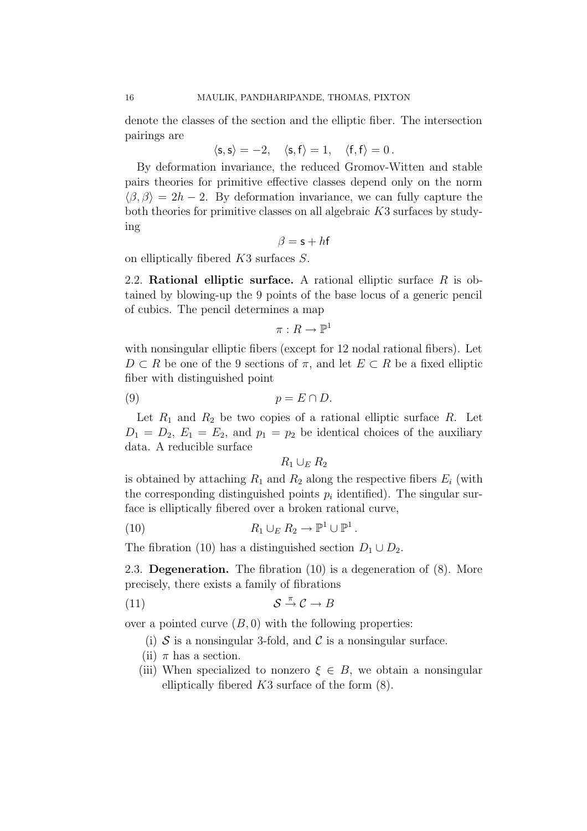denote the classes of the section and the elliptic fiber. The intersection pairings are

$$
\langle \mathsf{s},\mathsf{s}\rangle=-2,\quad \langle \mathsf{s},\mathsf{f}\rangle=1,\quad \langle \mathsf{f},\mathsf{f}\rangle=0\,.
$$

By deformation invariance, the reduced Gromov-Witten and stable pairs theories for primitive effective classes depend only on the norm  $\langle \beta, \beta \rangle = 2h - 2$ . By deformation invariance, we can fully capture the both theories for primitive classes on all algebraic K3 surfaces by studying

$$
\beta = \mathsf{s} + h\mathsf{f}
$$

on elliptically fibered K3 surfaces S.

2.2. Rational elliptic surface. A rational elliptic surface  $R$  is obtained by blowing-up the 9 points of the base locus of a generic pencil of cubics. The pencil determines a map

$$
\pi: R \to \mathbb{P}^1
$$

with nonsingular elliptic fibers (except for 12 nodal rational fibers). Let  $D \subset R$  be one of the 9 sections of  $\pi$ , and let  $E \subset R$  be a fixed elliptic fiber with distinguished point

$$
(9) \t\t\t p = E \cap D.
$$

Let  $R_1$  and  $R_2$  be two copies of a rational elliptic surface R. Let  $D_1 = D_2, E_1 = E_2$ , and  $p_1 = p_2$  be identical choices of the auxiliary data. A reducible surface

 $R_1 \cup_E R_2$ 

is obtained by attaching  $R_1$  and  $R_2$  along the respective fibers  $E_i$  (with the corresponding distinguished points  $p_i$  identified). The singular surface is elliptically fibered over a broken rational curve,

(10) 
$$
R_1 \cup_E R_2 \to \mathbb{P}^1 \cup \mathbb{P}^1.
$$

The fibration (10) has a distinguished section  $D_1 \cup D_2$ .

2.3. **Degeneration.** The fibration  $(10)$  is a degeneration of  $(8)$ . More precisely, there exists a family of fibrations

(11) 
$$
\mathcal{S} \stackrel{\pi}{\rightarrow} \mathcal{C} \rightarrow B
$$

over a pointed curve  $(B, 0)$  with the following properties:

- (i)  $S$  is a nonsingular 3-fold, and  $C$  is a nonsingular surface.
- (ii)  $\pi$  has a section.
- (iii) When specialized to nonzero  $\xi \in B$ , we obtain a nonsingular elliptically fibered  $K3$  surface of the form  $(8)$ .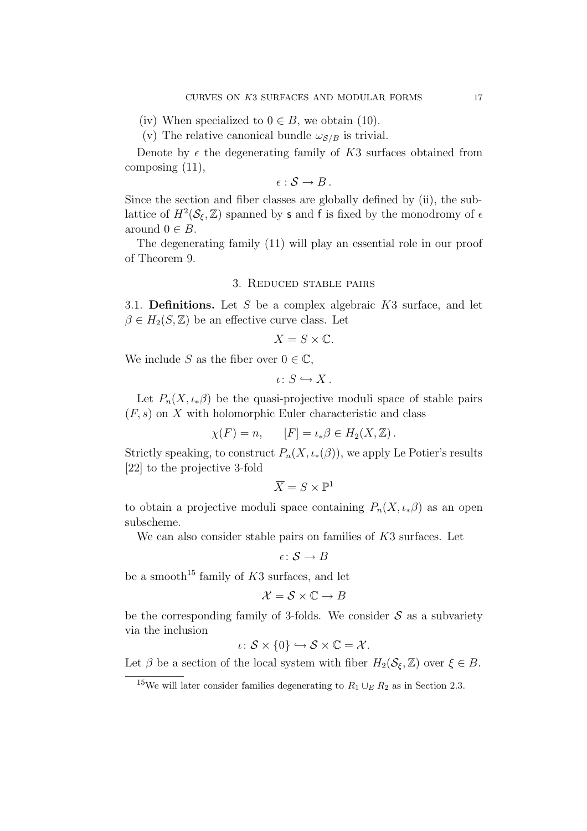- (iv) When specialized to  $0 \in B$ , we obtain (10).
- (v) The relative canonical bundle  $\omega_{\mathcal{S}/B}$  is trivial.

Denote by  $\epsilon$  the degenerating family of K3 surfaces obtained from composing (11),

 $\epsilon : \mathcal{S} \to B$ .

Since the section and fiber classes are globally defined by (ii), the sublattice of  $H^2(\mathcal{S}_{\xi}, \mathbb{Z})$  spanned by s and f is fixed by the monodromy of  $\epsilon$ around  $0 \in B$ .

The degenerating family (11) will play an essential role in our proof of Theorem 9.

### 3. Reduced stable pairs

3.1. **Definitions.** Let S be a complex algebraic  $K3$  surface, and let  $\beta \in H_2(S, \mathbb{Z})$  be an effective curve class. Let

$$
X = S \times \mathbb{C}.
$$

We include S as the fiber over  $0 \in \mathbb{C}$ ,

$$
\iota\colon S\hookrightarrow X\,.
$$

Let  $P_n(X, \iota_*\beta)$  be the quasi-projective moduli space of stable pairs  $(F, s)$  on X with holomorphic Euler characteristic and class

$$
\chi(F) = n, \qquad [F] = \iota_* \beta \in H_2(X, \mathbb{Z}).
$$

Strictly speaking, to construct  $P_n(X, \iota_*(\beta))$ , we apply Le Potier's results [22] to the projective 3-fold

$$
\overline{X} = S \times \mathbb{P}^1
$$

to obtain a projective moduli space containing  $P_n(X, \iota_*)$  as an open subscheme.

We can also consider stable pairs on families of K3 surfaces. Let

$$
\epsilon\colon \mathcal{S}\to B
$$

be a smooth<sup>15</sup> family of  $K3$  surfaces, and let

$$
\mathcal{X} = \mathcal{S} \times \mathbb{C} \to B
$$

be the corresponding family of 3-folds. We consider  $S$  as a subvariety via the inclusion

$$
\iota\colon \mathcal{S} \times \{0\} \hookrightarrow \mathcal{S} \times \mathbb{C} = \mathcal{X}.
$$

Let  $\beta$  be a section of the local system with fiber  $H_2(\mathcal{S}_\xi,\mathbb{Z})$  over  $\xi \in B$ .

<sup>&</sup>lt;sup>15</sup>We will later consider families degenerating to  $R_1 \cup_E R_2$  as in Section 2.3.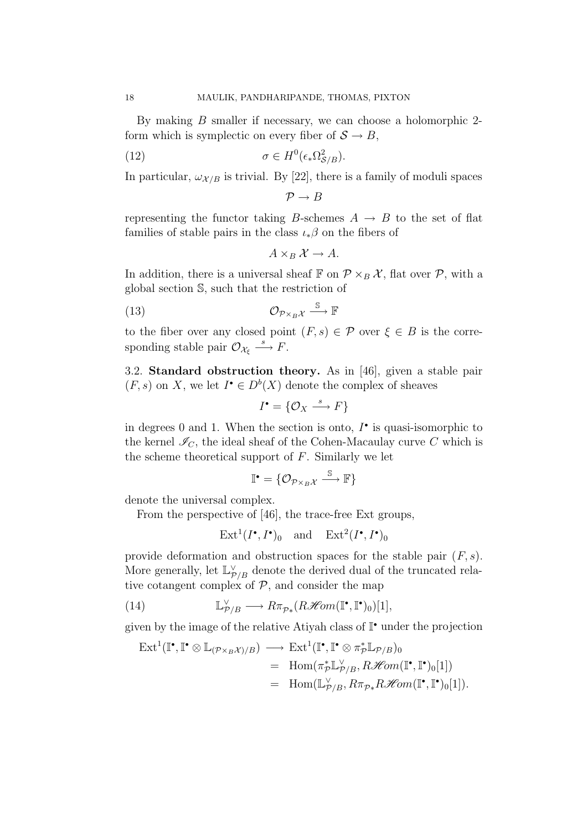By making B smaller if necessary, we can choose a holomorphic 2 form which is symplectic on every fiber of  $S \to B$ ,

(12) 
$$
\sigma \in H^0(\epsilon_* \Omega_{\mathcal{S}/B}^2).
$$

In particular,  $\omega_{\mathcal{X}/B}$  is trivial. By [22], there is a family of moduli spaces

 $\mathcal{P} \rightarrow B$ 

representing the functor taking B-schemes  $A \rightarrow B$  to the set of flat families of stable pairs in the class  $\iota_*\beta$  on the fibers of

$$
A\times_B \mathcal{X} \to A.
$$

In addition, there is a universal sheaf  $\mathbb{F}$  on  $\mathcal{P} \times_B \mathcal{X}$ , flat over  $\mathcal{P}$ , with a global section S, such that the restriction of

$$
(13) \t\t \t\t \mathcal{O}_{\mathcal{P}\times_B\mathcal{X}} \xrightarrow{\mathbb{S}} \mathbb{F}
$$

to the fiber over any closed point  $(F, s) \in \mathcal{P}$  over  $\xi \in B$  is the corresponding stable pair  $\mathcal{O}_{\mathcal{X}_\xi} \stackrel{s}{\longrightarrow} F$ .

3.2. Standard obstruction theory. As in [46], given a stable pair  $(F, s)$  on X, we let  $I^{\bullet} \in D^b(X)$  denote the complex of sheaves

$$
I^{\bullet} = \{ \mathcal{O}_X \stackrel{s}{\longrightarrow} F \}
$$

in degrees 0 and 1. When the section is onto,  $I^{\bullet}$  is quasi-isomorphic to the kernel  $\mathcal{I}_C$ , the ideal sheaf of the Cohen-Macaulay curve C which is the scheme theoretical support of  $F$ . Similarly we let

$$
\mathbb{I}^{\bullet} = \{ \mathcal{O}_{\mathcal{P} \times_B \mathcal{X}} \xrightarrow{\mathbb{S}} \mathbb{F} \}
$$

denote the universal complex.

From the perspective of [46], the trace-free Ext groups,

 $\text{Ext}^1(I^{\bullet}, I^{\bullet})_0$  and  $\text{Ext}^2(I^{\bullet}, I^{\bullet})_0$ 

provide deformation and obstruction spaces for the stable pair  $(F, s)$ . More generally, let  $\mathbb{L}_{\mathcal{P}/\mathcal{B}}^{\vee}$  denote the derived dual of the truncated relative cotangent complex of  $P$ , and consider the map

(14) 
$$
\mathbb{L}^{\vee}_{\mathcal{P}/B} \longrightarrow R\pi_{\mathcal{P}*}(R\mathscr{H}\!\mathit{om}(\mathbb{I}^{\bullet}, \mathbb{I}^{\bullet})_{0})[1],
$$

given by the image of the relative Atiyah class of I• under the projection

$$
\begin{align}\n\operatorname{Ext}^1(\mathbb{I}^\bullet, \mathbb{I}^\bullet \otimes \mathbb{L}_{(\mathcal{P} \times_B \mathcal{X})/B}) &\longrightarrow \operatorname{Ext}^1(\mathbb{I}^\bullet, \mathbb{I}^\bullet \otimes \pi_{\mathcal{P}}^* \mathbb{L}_{\mathcal{P}/B})_0 \\
&= \operatorname{Hom}(\pi_{\mathcal{P}}^* \mathbb{L}_{\mathcal{P}/B}^{\vee}, R\mathcal{H}om(\mathbb{I}^\bullet, \mathbb{I}^\bullet)_0[1]) \\
&= \operatorname{Hom}(\mathbb{L}_{\mathcal{P}/B}^{\vee}, R\pi_{\mathcal{P}*}R\mathcal{H}om(\mathbb{I}^\bullet, \mathbb{I}^\bullet)_0[1]).\n\end{align}
$$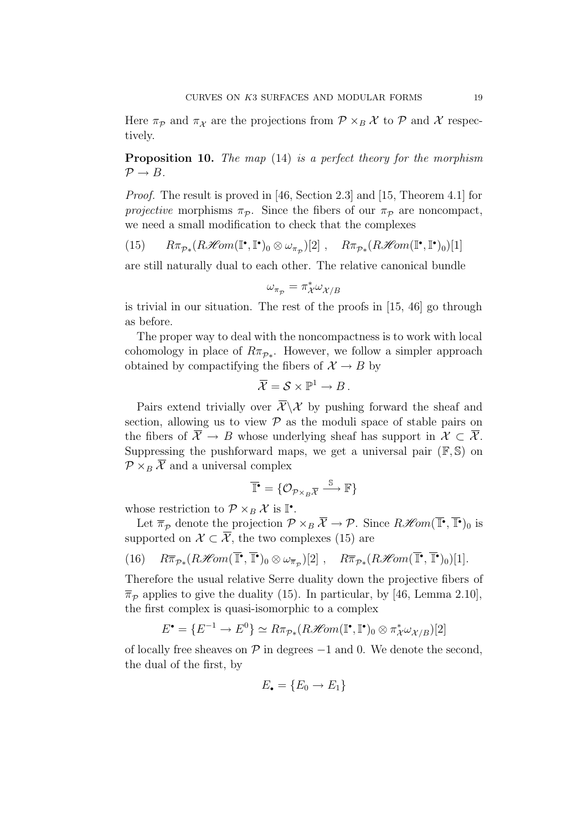Here  $\pi_{\mathcal{P}}$  and  $\pi_{\mathcal{X}}$  are the projections from  $\mathcal{P} \times_{B} \mathcal{X}$  to  $\mathcal{P}$  and X respectively.

Proposition 10. The map (14) is a perfect theory for the morphism  $\mathcal{P} \rightarrow B$ .

Proof. The result is proved in [46, Section 2.3] and [15, Theorem 4.1] for projective morphisms  $\pi_{\mathcal{P}}$ . Since the fibers of our  $\pi_{\mathcal{P}}$  are noncompact, we need a small modification to check that the complexes

(15) 
$$
R\pi_{\mathcal{P} *}(R\mathscr{H}om(\mathbb{I}^{\bullet}, \mathbb{I}^{\bullet})_{0}\otimes \omega_{\pi_{\mathcal{P}}})[2], \quad R\pi_{\mathcal{P} *}(R\mathscr{H}om(\mathbb{I}^{\bullet}, \mathbb{I}^{\bullet})_{0})[1]
$$

are still naturally dual to each other. The relative canonical bundle

$$
\omega_{\pi_{\mathcal{P}}} = \pi_{\mathcal{X}}^* \omega_{\mathcal{X}/B}
$$

is trivial in our situation. The rest of the proofs in [15, 46] go through as before.

The proper way to deal with the noncompactness is to work with local cohomology in place of  $R\pi_{\mathcal{P}_{*}}$ . However, we follow a simpler approach obtained by compactifying the fibers of  $\mathcal{X} \to B$  by

$$
\overline{\mathcal{X}} = \mathcal{S} \times \mathbb{P}^1 \to B.
$$

Pairs extend trivially over  $\overline{\mathcal{X}}\setminus\mathcal{X}$  by pushing forward the sheaf and section, allowing us to view  $P$  as the moduli space of stable pairs on the fibers of  $\overline{X} \to B$  whose underlying sheaf has support in  $\mathcal{X} \subset \overline{\mathcal{X}}$ . Suppressing the pushforward maps, we get a universal pair  $(\mathbb{F}, \mathbb{S})$  on  $\mathcal{P} \times_B \overline{\mathcal{X}}$  and a universal complex

$$
\overline{\mathbb{T}}^{\bullet} = \{ \mathcal{O}_{\mathcal{P} \times_B \overline{\mathcal{X}}} \xrightarrow{\mathbb{S}} \mathbb{F} \}
$$

whose restriction to  $P \times_B \mathcal{X}$  is  $\mathbb{I}^{\bullet}$ .

Let  $\overline{\pi}_{\mathcal{P}}$  denote the projection  $\mathcal{P} \times_B \mathcal{X} \to \mathcal{P}$ . Since  $R\mathcal{H}om(\mathbb{I}^{\bullet}, \mathbb{I}^{\bullet})_0$  is supported on  $\mathcal{X} \subset \overline{\mathcal{X}}$ , the two complexes (15) are

(16) 
$$
R\overline{\pi}_{\mathcal{P}*}(R\mathcal{H}om(\overline{\mathbb{T}^{\bullet}}, \overline{\mathbb{T}^{\bullet}})_0 \otimes \omega_{\overline{\pi}_{\mathcal{P}}})[2], \quad R\overline{\pi}_{\mathcal{P}*}(R\mathcal{H}om(\overline{\mathbb{T}^{\bullet}}, \overline{\mathbb{T}^{\bullet}})_0)[1].
$$

Therefore the usual relative Serre duality down the projective fibers of  $\overline{\pi}_{\mathcal{P}}$  applies to give the duality (15). In particular, by [46, Lemma 2.10], the first complex is quasi-isomorphic to a complex

$$
E^{\bullet} = \{ E^{-1} \to E^{0} \} \simeq R \pi_{\mathcal{P}_{*}}(R\mathcal{H}om(\mathbb{I}^{\bullet}, \mathbb{I}^{\bullet})_{0} \otimes \pi_{\mathcal{X}}^{*} \omega_{\mathcal{X}/B})[2]
$$

of locally free sheaves on  $\mathcal P$  in degrees  $-1$  and 0. We denote the second, the dual of the first, by

$$
E_{\bullet} = \{E_0 \to E_1\}
$$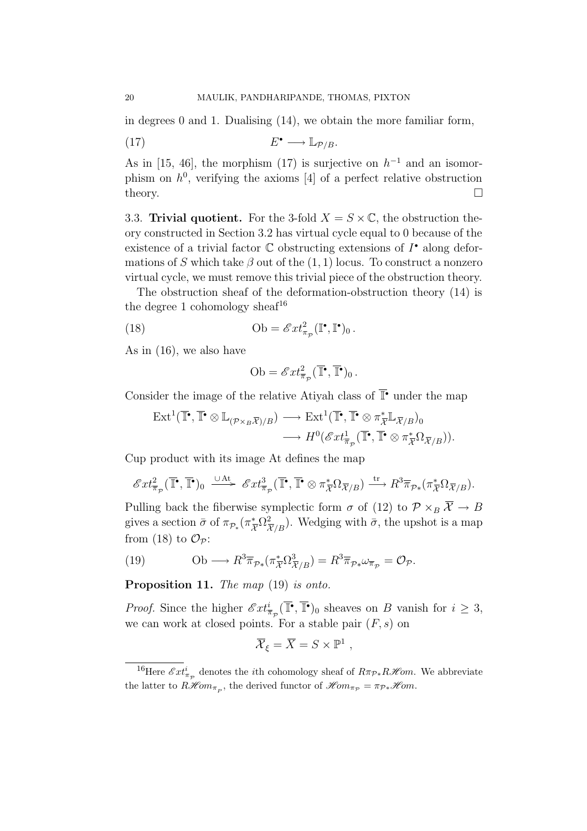in degrees 0 and 1. Dualising (14), we obtain the more familiar form,

$$
(17) \t\t\t E^{\bullet} \longrightarrow \mathbb{L}_{\mathcal{P}/B}.
$$

As in [15, 46], the morphism (17) is surjective on  $h^{-1}$  and an isomorphism on  $h^0$ , verifying the axioms [4] of a perfect relative obstruction theory.  $\Box$ 

3.3. Trivial quotient. For the 3-fold  $X = S \times \mathbb{C}$ , the obstruction theory constructed in Section 3.2 has virtual cycle equal to 0 because of the existence of a trivial factor  $\mathbb C$  obstructing extensions of  $I^{\bullet}$  along deformations of S which take  $\beta$  out of the  $(1, 1)$  locus. To construct a nonzero virtual cycle, we must remove this trivial piece of the obstruction theory.

The obstruction sheaf of the deformation-obstruction theory (14) is the degree 1 cohomology sheaf<sup>16</sup>

(18) 
$$
\text{Ob} = \mathscr{E}xt_{\pi_{\mathcal{P}}}^2(\mathbb{I}^\bullet, \mathbb{I}^\bullet)_0.
$$

As in (16), we also have

Ob = 
$$
\mathscr{E}xt^2_{\overline{\pi}_p}(\overline{\mathbb{T}}^\bullet, \overline{\mathbb{T}}^\bullet)_0
$$
.

Consider the image of the relative Atiyah class of  $\overline{\mathbb{T}}^{\bullet}$  under the map

$$
\operatorname{Ext}^1(\overline{\mathbb{I}^{\bullet}}, \overline{\mathbb{I}^{\bullet}} \otimes \mathbb{L}_{(\mathcal{P} \times_B \overline{\mathcal{X}})/B}) \longrightarrow \operatorname{Ext}^1(\overline{\mathbb{I}^{\bullet}}, \overline{\mathbb{I}^{\bullet}} \otimes \pi_{\overline{\mathcal{X}}}^* \mathbb{L}_{\overline{\mathcal{X}}/B})_0
$$

$$
\longrightarrow H^0(\mathcal{E}xt^1_{\overline{\pi}_p}(\overline{\mathbb{I}^{\bullet}}, \overline{\mathbb{I}^{\bullet}} \otimes \pi_{\overline{\mathcal{X}}}^* \Omega_{\overline{\mathcal{X}}/B})).
$$

Cup product with its image At defines the map

$$
\mathscr{E}xt^2_{\overline{\pi}_p}(\overline{\mathbb{I}}^\bullet,\overline{\mathbb{I}}^\bullet)_0 \xrightarrow{\cup \mathrm{At}} \mathscr{E}xt^3_{\overline{\pi}_p}(\overline{\mathbb{I}}^\bullet,\overline{\mathbb{I}}^\bullet \otimes \pi_{\overline{\mathcal{X}}}^*\Omega_{\overline{\mathcal{X}}/B}) \xrightarrow{\mathrm{tr}} R^3\overline{\pi}_{\mathcal{P}*}(\pi_{\overline{\mathcal{X}}}^*\Omega_{\overline{\mathcal{X}}/B}).
$$

Pulling back the fiberwise symplectic form  $\sigma$  of (12) to  $\mathcal{P} \times_B \overline{\mathcal{X}} \to B$ gives a section  $\bar{\sigma}$  of  $\pi_{\mathcal{P}_{*}}(\pi_{\overline{\mathcal{X}}}^{*}\Omega_{\overline{\mathcal{X}}/B}^{2})$ . Wedging with  $\bar{\sigma}$ , the upshot is a map from (18) to  $\mathcal{O}_{\mathcal{P}}$ :

(19) 
$$
\text{Ob} \longrightarrow R^3 \overline{\pi}_{\mathcal{P} *}(\pi_{\overline{X}}^* \Omega^3_{\overline{\mathcal{X}}/B}) = R^3 \overline{\pi}_{\mathcal{P} *} \omega_{\overline{\pi}_{\mathcal{P}}} = \mathcal{O}_{\mathcal{P}}.
$$

Proposition 11. The map (19) is onto.

*Proof.* Since the higher  $\mathscr{E}xt^i_{\overline{\pi}_p}(\overline{\mathbb{I}^{\bullet}}, \overline{\mathbb{I}^{\bullet}})_0$  sheaves on B vanish for  $i \geq 3$ , we can work at closed points. For a stable pair  $(F, s)$  on

$$
\overline{\mathcal{X}}_{\xi} = \overline{X} = S \times \mathbb{P}^1 ,
$$

<sup>&</sup>lt;sup>16</sup>Here  $\mathscr{E}xt_{\pi_{\mathcal{P}}}^{i}$  denotes the *i*th cohomology sheaf of  $R\pi_{\mathcal{P} *}R\mathscr{H}om$ . We abbreviate the latter to  $R\mathcal{H}om_{\pi_{\mathcal{P}}}$ , the derived functor of  $\mathcal{H}om_{\pi_{\mathcal{P}}} = \pi_{\mathcal{P}*}\mathcal{H}om$ .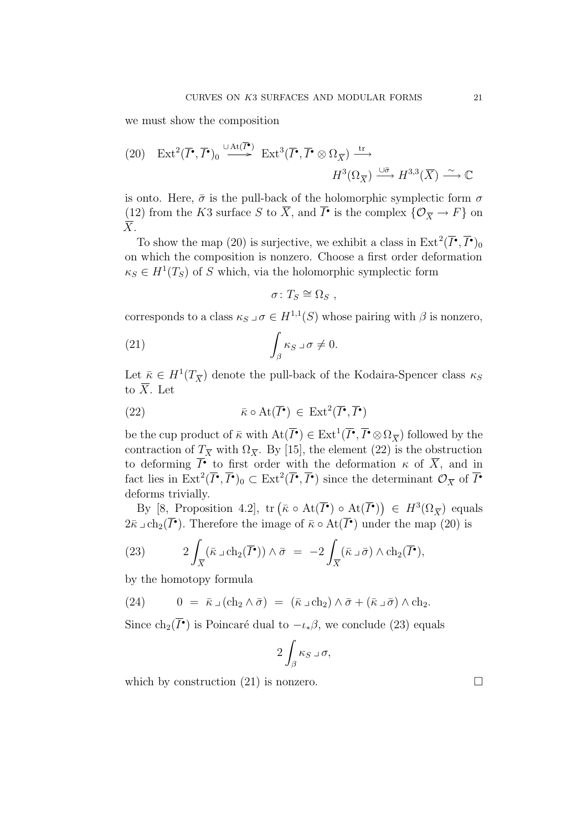we must show the composition

(20) 
$$
\operatorname{Ext}^2(\overline{I}^{\bullet}, \overline{I}^{\bullet})_0 \xrightarrow{\cup \operatorname{At}(\overline{I}^{\bullet})} \operatorname{Ext}^3(\overline{I}^{\bullet}, \overline{I}^{\bullet} \otimes \Omega_{\overline{X}}) \xrightarrow{\operatorname{tr}} H^3(\Omega_{\overline{X}}) \xrightarrow{\cup \overline{\sigma}} H^{3,3}(\overline{X}) \xrightarrow{\sim} \mathbb{C}
$$

is onto. Here,  $\bar{\sigma}$  is the pull-back of the holomorphic symplectic form  $\sigma$ (12) from the K3 surface S to  $\overline{X}$ , and  $\overline{I}$  is the complex  $\{\mathcal{O}_{\overline{X}} \to F\}$  on  $\overline{X}$ .

To show the map (20) is surjective, we exhibit a class in  $\text{Ext}^2(\overline{I}^{\bullet}, \overline{I}^{\bullet})_0$ on which the composition is nonzero. Choose a first order deformation  $\kappa_S \in H^1(T_S)$  of S which, via the holomorphic symplectic form

$$
\sigma\colon T_S\cong\Omega_S\ ,
$$

corresponds to a class  $\kappa_S \,\lrcorner\,\sigma \in H^{1,1}(S)$  whose pairing with  $\beta$  is nonzero,

(21) 
$$
\int_{\beta} \kappa_S \,\mathrm{d}\sigma \neq 0.
$$

Let  $\bar{\kappa} \in H^1(T_{\overline{X}})$  denote the pull-back of the Kodaira-Spencer class  $\kappa_S$ to  $\overline{X}$ . Let

(22) 
$$
\bar{\kappa} \circ \text{At}(\overline{I}^{\bullet}) \in \text{Ext}^{2}(\overline{I}^{\bullet}, \overline{I}^{\bullet})
$$

be the cup product of  $\bar{\kappa}$  with  $\text{At}(\overline{I}^{\bullet}) \in \text{Ext}^1(\overline{I}^{\bullet}, \overline{I}^{\bullet} \otimes \Omega_{\overline{X}})$  followed by the contraction of  $T_{\overline{X}}$  with  $\Omega_{\overline{X}}$ . By [15], the element (22) is the obstruction to deforming  $\overline{I}^{\bullet}$  to first order with the deformation  $\kappa$  of  $\overline{X}$ , and in fact lies in  $\text{Ext}^2(\overline{I}^{\bullet}, \overline{I}^{\bullet})_0 \subset \text{Ext}^2(\overline{I}^{\bullet}, \overline{I}^{\bullet})$  since the determinant  $\mathcal{O}_{\overline{X}}$  of  $\overline{I}^{\bullet}$ deforms trivially.

By  $[8, \text{Proposition 4.2}], \text{ tr } (\bar{\kappa} \circ \text{At}(\overline{I^{\bullet}}) \circ \text{At}(\overline{I^{\bullet}})) \in H^3(\Omega_{\overline{X}}) \text{ equals}$  $2\bar{\kappa} \,\supset \, \text{ch}_2(I^{\bullet})$ . Therefore the image of  $\bar{\kappa} \circ \text{At}(I^{\bullet})$  under the map  $(20)$  is

(23) 
$$
2\int_{\overline{X}} (\overline{\kappa} \,\Box \,ch_2(\overline{I}^{\bullet})) \wedge \overline{\sigma} = -2\int_{\overline{X}} (\overline{\kappa} \,\Box \,\overline{\sigma}) \wedge ch_2(\overline{I}^{\bullet}),
$$

by the homotopy formula

(24) 
$$
0 = \overline{\kappa} \,\lrcorner\, (ch_2 \wedge \overline{\sigma}) = (\overline{\kappa} \,\lrcorner\, ch_2) \wedge \overline{\sigma} + (\overline{\kappa} \,\lrcorner\, \overline{\sigma}) \wedge ch_2.
$$

Since  $\text{ch}_2(I^{\bullet})$  is Poincaré dual to  $-\iota_{*}\beta$ , we conclude (23) equals

$$
2\int_{\beta} \kappa_S \,\lrcorner\, \sigma,
$$

which by construction (21) is nonzero.  $\Box$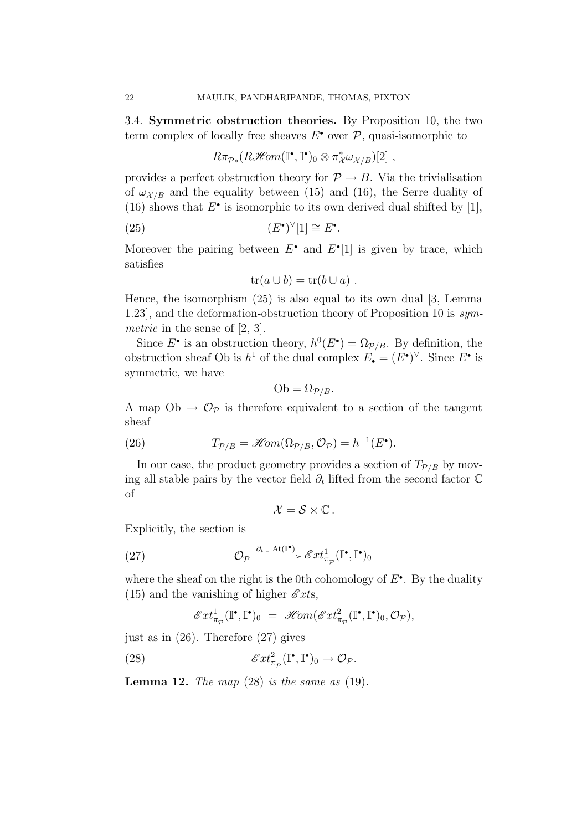3.4. Symmetric obstruction theories. By Proposition 10, the two term complex of locally free sheaves  $E^{\bullet}$  over  $\mathcal{P}$ , quasi-isomorphic to

$$
R\pi_{\mathcal{P}*}(R\mathscr{H}\!\mathit{om}(\mathbb{I}^{\bullet},\mathbb{I}^{\bullet})_{0}\otimes \pi_{\mathcal{X}}^{*}\omega_{\mathcal{X}/B})[2] ,
$$

provides a perfect obstruction theory for  $\mathcal{P} \to B$ . Via the trivialisation of  $\omega_{\mathcal{X}/B}$  and the equality between (15) and (16), the Serre duality of (16) shows that  $E^{\bullet}$  is isomorphic to its own derived dual shifted by [1],

(25) 
$$
(E^{\bullet})^{\vee}[1] \cong E^{\bullet}.
$$

Moreover the pairing between  $E^{\bullet}$  and  $E^{\bullet}[1]$  is given by trace, which satisfies

$$
tr(a\cup b)=tr(b\cup a) .
$$

Hence, the isomorphism (25) is also equal to its own dual [3, Lemma 1.23], and the deformation-obstruction theory of Proposition 10 is symmetric in the sense of [2, 3].

Since  $E^{\bullet}$  is an obstruction theory,  $h^0(E^{\bullet}) = \Omega_{\mathcal{P}/B}$ . By definition, the obstruction sheaf Ob is  $h^1$  of the dual complex  $E_{\bullet} = (E^{\bullet})^{\vee}$ . Since  $E^{\bullet}$  is symmetric, we have

$$
Ob = \Omega_{\mathcal{P}/B}.
$$

A map  $Ob \rightarrow \mathcal{O}_{\mathcal{P}}$  is therefore equivalent to a section of the tangent sheaf

(26) 
$$
T_{\mathcal{P}/B} = \mathscr{H}\!\mathit{om}(\Omega_{\mathcal{P}/B}, \mathcal{O}_{\mathcal{P}}) = h^{-1}(E^{\bullet}).
$$

In our case, the product geometry provides a section of  $T_{\mathcal{P}/B}$  by moving all stable pairs by the vector field  $\partial_t$  lifted from the second factor  $\mathbb C$ of

$$
\mathcal{X}=\mathcal{S}\times\mathbb{C}.
$$

Explicitly, the section is

(27) 
$$
\mathcal{O}_{\mathcal{P}} \xrightarrow{\partial_{t} \text{ at } (\mathbb{I}^{\bullet})} \mathscr{E}xt_{\pi_{\mathcal{P}}}^{1}(\mathbb{I}^{\bullet}, \mathbb{I}^{\bullet})_{0}
$$

where the sheaf on the right is the 0th cohomology of  $E^{\bullet}$ . By the duality (15) and the vanishing of higher  $\mathscr{E}xts$ ,

$$
\mathscr{E}xt^1_{\pi_{\mathcal{P}}}(\mathbb{I}^\bullet,\mathbb{I}^\bullet)_0 = \mathscr{H}\!\!om(\mathscr{E}xt^2_{\pi_{\mathcal{P}}}(\mathbb{I}^\bullet,\mathbb{I}^\bullet)_0,\mathcal{O}_{\mathcal{P}}),
$$

just as in (26). Therefore (27) gives

(28) 
$$
\mathscr{E}xt_{\pi_{\mathcal{P}}}^2(\mathbb{I}^\bullet,\mathbb{I}^\bullet)_0 \to \mathcal{O}_{\mathcal{P}}.
$$

**Lemma 12.** The map  $(28)$  is the same as  $(19)$ .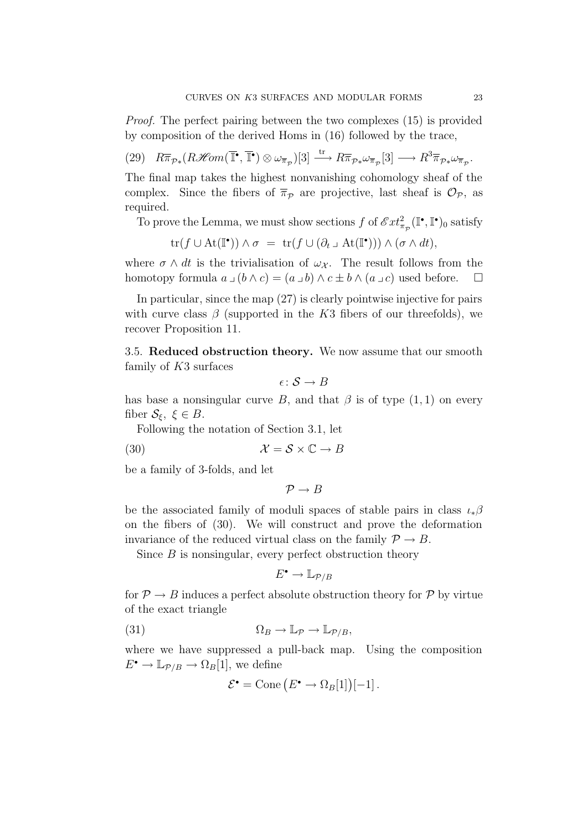Proof. The perfect pairing between the two complexes (15) is provided by composition of the derived Homs in (16) followed by the trace,

 $(29)$   $R\overline{\pi}_{\mathcal{P} *} (R\mathcal{H}om(\overline{\mathbb{I}^{\bullet}}, \overline{\mathbb{I}^{\bullet}}) \otimes \omega_{\overline{\pi}_{\mathcal{P}}})[3] \longrightarrow R\overline{\pi}_{\mathcal{P} *} \omega_{\overline{\pi}_{\mathcal{P}}}[3] \longrightarrow R^3\overline{\pi}_{\mathcal{P} *} \omega_{\overline{\pi}_{\mathcal{P}}}$ 

The final map takes the highest nonvanishing cohomology sheaf of the complex. Since the fibers of  $\bar{\pi}_{\mathcal{P}}$  are projective, last sheaf is  $\mathcal{O}_{\mathcal{P}}$ , as required.

To prove the Lemma, we must show sections  $f$  of  $\mathscr{E}xt_{\pi_{\mathcal{P}}}^2(\mathbb{I}^\bullet, \mathbb{I}^\bullet)_{0}$  satisfy

$$
\operatorname{tr}(f \cup \operatorname{At}(\mathbb{I}^{\bullet})) \wedge \sigma = \operatorname{tr}(f \cup (\partial_t \cup \operatorname{At}(\mathbb{I}^{\bullet}))) \wedge (\sigma \wedge dt),
$$

where  $\sigma \wedge dt$  is the trivialisation of  $\omega_{\mathcal{X}}$ . The result follows from the homotopy formula  $a \cup (b \wedge c) = (a \cup b) \wedge c \pm b \wedge (a \cup c)$  used before.  $\Box$ 

In particular, since the map (27) is clearly pointwise injective for pairs with curve class  $\beta$  (supported in the K3 fibers of our threefolds), we recover Proposition 11.

3.5. Reduced obstruction theory. We now assume that our smooth family of K3 surfaces

 $\epsilon \colon \mathcal{S} \to B$ 

has base a nonsingular curve B, and that  $\beta$  is of type  $(1, 1)$  on every fiber  $\mathcal{S}_{\xi}$ ,  $\xi \in B$ .

Following the notation of Section 3.1, let

(30)  $\mathcal{X} = \mathcal{S} \times \mathbb{C} \to B$ 

be a family of 3-folds, and let

 $\mathcal{P} \rightarrow B$ 

be the associated family of moduli spaces of stable pairs in class  $\iota_*\beta$ on the fibers of (30). We will construct and prove the deformation invariance of the reduced virtual class on the family  $\mathcal{P} \to B$ .

Since  $B$  is nonsingular, every perfect obstruction theory

$$
E^{\scriptstyle\bullet} \to \mathbb{L}_{\mathcal{P}/B}
$$

for  $\mathcal{P} \to B$  induces a perfect absolute obstruction theory for  $\mathcal{P}$  by virtue of the exact triangle

(31) 
$$
\Omega_B \to \mathbb{L}_{\mathcal{P}} \to \mathbb{L}_{\mathcal{P}/B},
$$

where we have suppressed a pull-back map. Using the composition  $E^{\bullet} \to \mathbb{L}_{\mathcal{P}/B} \to \Omega_B[1]$ , we define

$$
\mathcal{E}^{\bullet} = \text{Cone}\left(E^{\bullet} \to \Omega_B[1]\right)[-1].
$$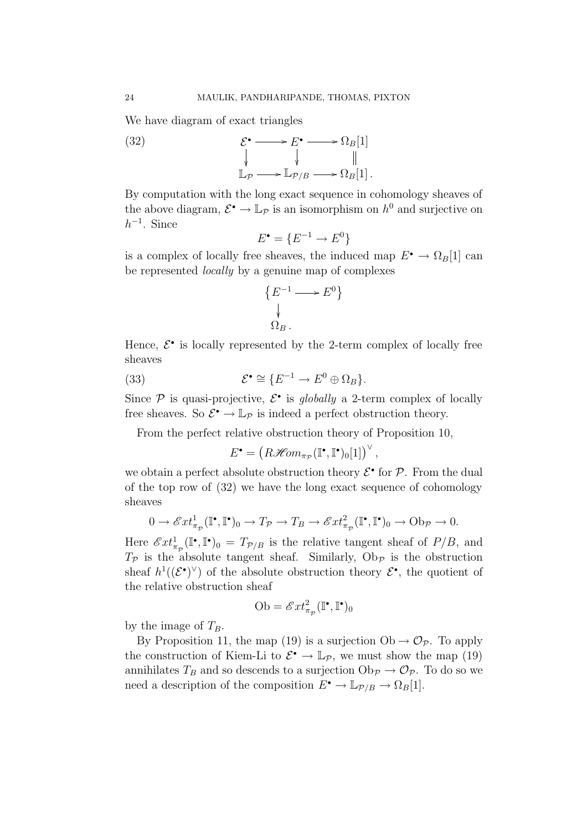We have diagram of exact triangles



By computation with the long exact sequence in cohomology sheaves of the above diagram,  $\mathcal{E}^{\bullet} \to \mathbb{L}_{\mathcal{P}}$  is an isomorphism on  $h^0$  and surjective on  $h^{-1}$ . Since

$$
E^{\bullet} = \{ E^{-1} \to E^0 \}
$$

is a complex of locally free sheaves, the induced map  $E^{\bullet} \to \Omega_B[1]$  can be represented locally by a genuine map of complexes

$$
\{E^{-1}\longrightarrow E^0\}
$$
  

$$
\downarrow
$$
  

$$
\Omega_B.
$$

Hence,  $\mathcal{E}^{\bullet}$  is locally represented by the 2-term complex of locally free sheaves

(33) 
$$
\mathcal{E}^{\bullet} \cong \{ E^{-1} \to E^{0} \oplus \Omega_{B} \}.
$$

Since  $P$  is quasi-projective,  $\mathcal{E}^{\bullet}$  is globally a 2-term complex of locally free sheaves. So  $\mathcal{E}^{\bullet} \to \mathbb{L}_{\mathcal{P}}$  is indeed a perfect obstruction theory.

From the perfect relative obstruction theory of Proposition 10,

$$
E^{\bullet} = \left(R\mathscr{H}\!\mathit{om}_{\pi_{\mathcal{P}}}(\mathbb{I}^{\bullet}, \mathbb{I}^{\bullet})_0[1]\right)^{\vee},
$$

we obtain a perfect absolute obstruction theory  $\mathcal{E}^{\bullet}$  for  $\mathcal{P}$ . From the dual of the top row of (32) we have the long exact sequence of cohomology sheaves

$$
0 \to \mathscr{E}xt^1_{\pi_{\mathcal{P}}}(\mathbb{I}^\bullet,\mathbb{I}^\bullet)_0 \to T_{\mathcal{P}} \to T_B \to \mathscr{E}xt^2_{\pi_{\mathcal{P}}}(\mathbb{I}^\bullet,\mathbb{I}^\bullet)_0 \to \text{Ob}_{\mathcal{P}} \to 0.
$$

Here  $\mathscr{E}xt^1_{\pi_{\mathcal{P}}}(\mathbb{I}^\bullet,\mathbb{I}^\bullet)_0 = T_{\mathcal{P}/B}$  is the relative tangent sheaf of  $P/B$ , and  $T_{\mathcal{P}}$  is the absolute tangent sheaf. Similarly,  $\mathrm{Ob}_{\mathcal{P}}$  is the obstruction sheaf  $h^1((\mathcal{E}^{\bullet})^{\vee})$  of the absolute obstruction theory  $\mathcal{E}^{\bullet}$ , the quotient of the relative obstruction sheaf

Ob = 
$$
\mathcal{E}xt_{\pi_{\mathcal{P}}}^2(\mathbb{I}^\bullet, \mathbb{I}^\bullet)_0
$$

by the image of  $T_B$ .

By Proposition 11, the map (19) is a surjection  $Ob \rightarrow \mathcal{O}_{\mathcal{P}}$ . To apply the construction of Kiem-Li to  $\mathcal{E}^{\bullet} \to \mathbb{L}_{\mathcal{P}}$ , we must show the map (19) annihilates  $T_B$  and so descends to a surjection  $\mathrm{Ob}_{\mathcal{P}} \to \mathcal{O}_{\mathcal{P}}$ . To do so we need a description of the composition  $E^{\bullet} \to \mathbb{L}_{\mathcal{P}/B} \to \Omega_B[1]$ .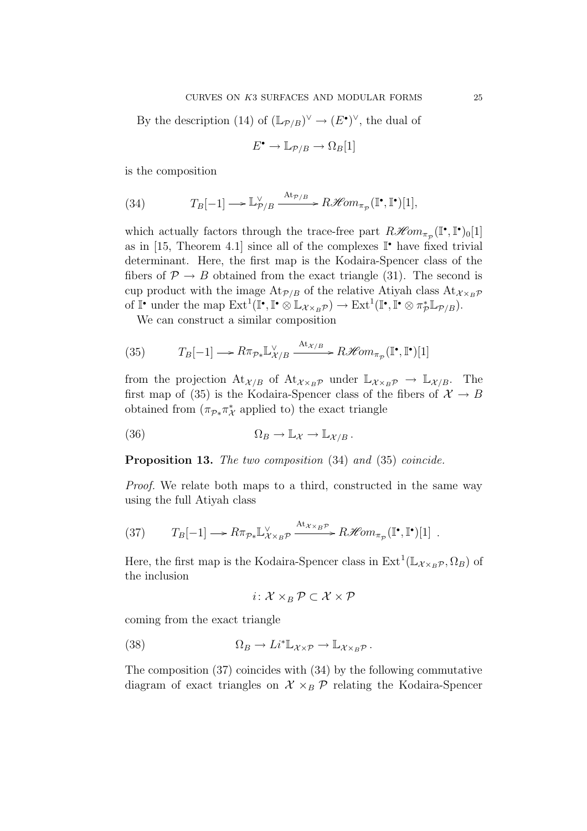By the description (14) of  $(\mathbb{L}_{\mathcal{P}/B})^{\vee} \to (E^{\bullet})^{\vee}$ , the dual of

$$
E^{\bullet} \to \mathbb{L}_{\mathcal{P}/B} \to \Omega_B[1]
$$

is the composition

(34) 
$$
T_B[-1] \longrightarrow \mathbb{L}_{\mathcal{P}/B}^{\vee} \xrightarrow{\mathrm{At}_{\mathcal{P}/B}} R\mathcal{H}om_{\pi_{\mathcal{P}}}(\mathbb{I}^{\bullet}, \mathbb{I}^{\bullet})[1],
$$

which actually factors through the trace-free part  $R\mathscr{H}\!\mathit{om}_{\pi_{\mathcal{D}}}(\mathbb{I}^\bullet,\mathbb{I}^\bullet)_{0}[1]$ as in [15, Theorem 4.1] since all of the complexes  $\mathbb{I}^{\bullet}$  have fixed trivial determinant. Here, the first map is the Kodaira-Spencer class of the fibers of  $\mathcal{P} \to B$  obtained from the exact triangle (31). The second is cup product with the image  $At_{\mathcal{P}/B}$  of the relative Atiyah class  $At_{\mathcal{X}\times_B\mathcal{P}}$ of  $\mathbb{I}^{\bullet}$  under the map  $\mathrm{Ext}^1(\mathbb{I}^{\bullet}, \mathbb{I}^{\bullet} \otimes \mathbb{L}_{\mathcal{X} \times_B \mathcal{P}}) \to \mathrm{Ext}^1(\mathbb{I}^{\bullet}, \mathbb{I}^{\bullet} \otimes \pi_{\mathcal{P}}^* \mathbb{L}_{\mathcal{P}/B}).$ 

We can construct a similar composition

(35) 
$$
T_B[-1] \longrightarrow R\pi_{\mathcal{P} *}\mathbb{L}_{\mathcal{X}/B}^{\vee} \xrightarrow{\mathrm{At}_{\mathcal{X}/B}} R\mathcal{H}om_{\pi_{\mathcal{P}}}(\mathbb{I}^{\bullet}, \mathbb{I}^{\bullet})[1]
$$

from the projection  $\mathrm{At}_{\mathcal{X}/B}$  of  $\mathrm{At}_{\mathcal{X}\times_B\mathcal{P}}$  under  $\mathbb{L}_{\mathcal{X}\times_B\mathcal{P}} \to \mathbb{L}_{\mathcal{X}/B}$ . The first map of (35) is the Kodaira-Spencer class of the fibers of  $\mathcal{X} \to B$ obtained from  $(\pi_{\mathcal{P}*}\pi^*_{\mathcal{X}})$  applied to) the exact triangle

(36) 
$$
\Omega_B \to \mathbb{L} \mathcal{X} \to \mathbb{L} \mathcal{X}/B.
$$

Proposition 13. The two composition (34) and (35) coincide.

Proof. We relate both maps to a third, constructed in the same way using the full Atiyah class

(37) 
$$
T_B[-1] \longrightarrow R\pi_{\mathcal{P} *}\mathbb{L}_{\mathcal{X}\times_B\mathcal{P}}^{\vee} \xrightarrow{\text{At}_{\mathcal{X}\times_B\mathcal{P}}} R\mathscr{H}om_{\pi_{\mathcal{P}}}(\mathbb{I}^\bullet,\mathbb{I}^\bullet)[1] .
$$

Here, the first map is the Kodaira-Spencer class in  $\text{Ext}^1(\mathbb{L}_{\mathcal{X}\times_B \mathcal{P}}, \Omega_B)$  of the inclusion

$$
i\colon \mathcal{X} \times_B \mathcal{P} \subset \mathcal{X} \times \mathcal{P}
$$

coming from the exact triangle

(38) 
$$
\Omega_B \to Li^* \mathbb{L}_{\mathcal{X} \times \mathcal{P}} \to \mathbb{L}_{\mathcal{X} \times_B \mathcal{P}}.
$$

The composition (37) coincides with (34) by the following commutative diagram of exact triangles on  $\mathcal{X} \times_B \mathcal{P}$  relating the Kodaira-Spencer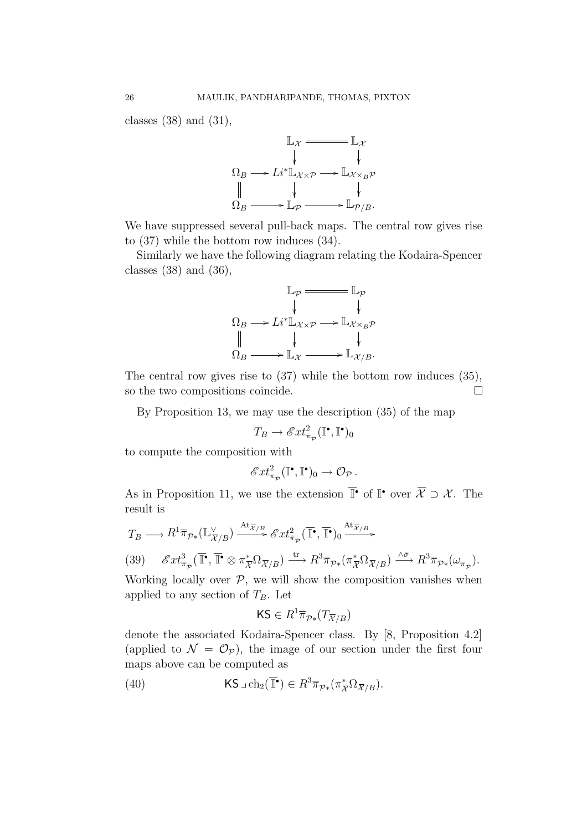classes  $(38)$  and  $(31)$ ,



We have suppressed several pull-back maps. The central row gives rise to (37) while the bottom row induces (34).

Similarly we have the following diagram relating the Kodaira-Spencer classes (38) and (36),

$$
\mathbb{L}_{\mathcal{P}} \longrightarrow \mathbb{L}_{\mathcal{P}}
$$
\n
$$
\Omega_B \longrightarrow Li^* \mathbb{L}_{\mathcal{X} \times \mathcal{P}} \longrightarrow \mathbb{L}_{\mathcal{X} \times_B \mathcal{P}}
$$
\n
$$
\parallel \qquad \qquad \downarrow \qquad \qquad \downarrow
$$
\n
$$
\Omega_B \longrightarrow \mathbb{L}_{\mathcal{X}} \longrightarrow \mathbb{L}_{\mathcal{X}/B}.
$$

The central row gives rise to (37) while the bottom row induces (35), so the two compositions coincide.

By Proposition 13, we may use the description (35) of the map

$$
T_B \to \mathscr{E}xt^2_{\pi_{\mathcal{P}}}(\mathbb{I}^\bullet, \mathbb{I}^\bullet)_0
$$

to compute the composition with

$$
\mathscr{E}xt^2_{\pi_{\mathcal{P}}}(\mathbb{I}^{\bullet},\mathbb{I}^{\bullet})_0 \to \mathcal{O}_{\mathcal{P}}.
$$

As in Proposition 11, we use the extension  $\overline{\mathbb{I}^{\bullet}}$  of  $\mathbb{I}^{\bullet}$  over  $\overline{\mathcal{X}} \supset \mathcal{X}$ . The result is

$$
T_B \longrightarrow R^1 \overline{\pi}_{\mathcal{P}*}(\mathbb{L}_{\overline{\mathcal{X}}/B}^{\vee}) \xrightarrow{\mathrm{At}_{\overline{\mathcal{X}}/B}} \mathcal{E}xt_{\overline{\pi}_{\mathcal{P}}}^2(\overline{\mathbb{I}^{\bullet}}, \overline{\mathbb{I}^{\bullet}})_0 \xrightarrow{\mathrm{At}_{\overline{\mathcal{X}}/B}} \mathcal{E}xt_{\overline{\pi}_{\mathcal{P}}}^2(\overline{\mathbb{I}^{\bullet}}, \overline{\mathbb{I}^{\bullet}})_0 \xrightarrow{\mathrm{At}_{\overline{\mathcal{X}}/B}} \mathcal{E}^2
$$
  
(39) 
$$
\mathcal{E}xt_{\overline{\pi}_{\mathcal{P}}}^3(\overline{\mathbb{I}^{\bullet}}, \overline{\mathbb{I}^{\bullet}} \otimes \pi_{\overline{\mathcal{X}}}^* \Omega_{\overline{\mathcal{X}}/B}) \xrightarrow{\mathrm{tr}} R^3 \overline{\pi}_{\mathcal{P}*}(\pi_{\overline{\mathcal{X}}}^* \Omega_{\overline{\mathcal{X}}/B}) \xrightarrow{\wedge \overline{\sigma}} R^3 \overline{\pi}_{\mathcal{P}*}(\omega_{\overline{\pi}_{\mathcal{P}}}).
$$

Working locally over  $P$ , we will show the composition vanishes when applied to any section of  $T_B$ . Let

$$
\mathsf{KS}\in R^1\overline{\pi}_{\mathcal{P}*}(T_{\overline{\mathcal{X}}/B})
$$

denote the associated Kodaira-Spencer class. By [8, Proposition 4.2] (applied to  $\mathcal{N} = \mathcal{O}_{\mathcal{P}}$ ), the image of our section under the first four maps above can be computed as

(40) 
$$
\mathsf{KS} \,\lrcorner\, \mathrm{ch}_2(\overline{\mathbb{T}}^{\bullet}) \in R^3 \overline{\pi}_{\mathcal{P} *}(\pi_{\overline{X}}^* \Omega_{\overline{X}/B}).
$$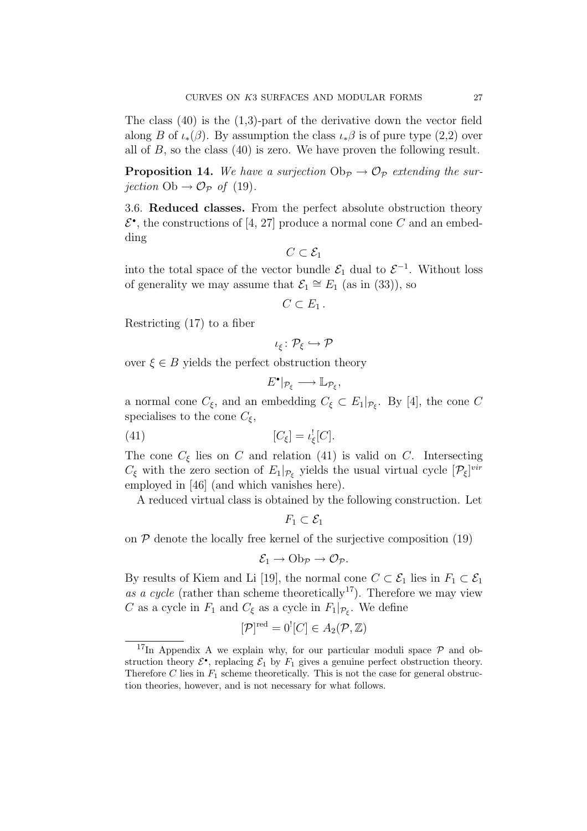The class (40) is the (1,3)-part of the derivative down the vector field along B of  $\iota_*(\beta)$ . By assumption the class  $\iota_*\beta$  is of pure type (2,2) over all of  $B$ , so the class (40) is zero. We have proven the following result.

**Proposition 14.** We have a surjection  $\mathrm{Ob}_{\mathcal{P}} \to \mathcal{O}_{\mathcal{P}}$  extending the surjection  $Ob \rightarrow \mathcal{O}_{\mathcal{P}}$  of (19).

3.6. Reduced classes. From the perfect absolute obstruction theory  $\mathcal{E}^{\bullet}$ , the constructions of [4, 27] produce a normal cone C and an embedding

$$
C\subset \mathcal{E}_1
$$

into the total space of the vector bundle  $\mathcal{E}_1$  dual to  $\mathcal{E}^{-1}$ . Without loss of generality we may assume that  $\mathcal{E}_1 \cong E_1$  (as in (33)), so

$$
C\subset E_1.
$$

Restricting (17) to a fiber

$$
\iota_\xi\colon \mathcal{P}_\xi\hookrightarrow \mathcal{P}
$$

over  $\xi \in B$  yields the perfect obstruction theory

$$
E^{\bullet}|_{\mathcal{P}_{\xi}} \longrightarrow \mathbb{L}_{\mathcal{P}_{\xi}},
$$

a normal cone  $C_{\xi}$ , and an embedding  $C_{\xi} \subset E_1|_{\mathcal{P}_{\xi}}$ . By [4], the cone C specialises to the cone  $C_{\xi}$ ,

$$
[C_{\xi}] = \iota_{\xi}^![C].
$$

The cone  $C_{\xi}$  lies on C and relation (41) is valid on C. Intersecting  $C_{\xi}$  with the zero section of  $E_1|_{\mathcal{P}_{\xi}}$  yields the usual virtual cycle  $[\mathcal{P}_{\xi}]^{vir}$ employed in [46] (and which vanishes here).

A reduced virtual class is obtained by the following construction. Let

$$
F_1\subset \mathcal{E}_1
$$

on  $P$  denote the locally free kernel of the surjective composition  $(19)$ 

$$
\mathcal{E}_1 \to \mathrm{Ob}_{\mathcal{P}} \to \mathcal{O}_{\mathcal{P}}.
$$

By results of Kiem and Li [19], the normal cone  $C \subset \mathcal{E}_1$  lies in  $F_1 \subset \mathcal{E}_1$ as a cycle (rather than scheme theoretically<sup>17</sup>). Therefore we may view C as a cycle in  $F_1$  and  $C_{\xi}$  as a cycle in  $F_1|_{\mathcal{P}_{\xi}}$ . We define

$$
[\mathcal{P}]^{\text{red}} = 0^![C] \in A_2(\mathcal{P}, \mathbb{Z})
$$

<sup>&</sup>lt;sup>17</sup>In Appendix A we explain why, for our particular moduli space  $P$  and obstruction theory  $\mathcal{E}^{\bullet}$ , replacing  $\mathcal{E}_1$  by  $F_1$  gives a genuine perfect obstruction theory. Therefore  $C$  lies in  $F_1$  scheme theoretically. This is not the case for general obstruction theories, however, and is not necessary for what follows.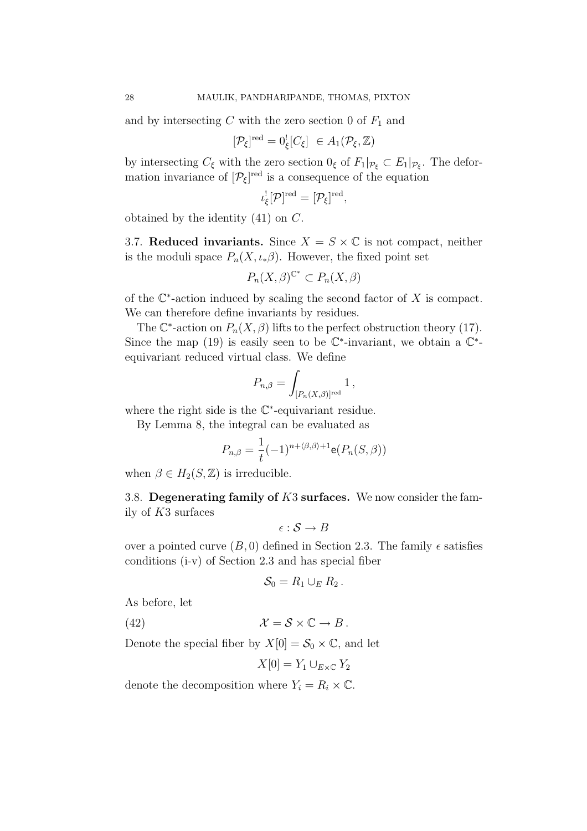and by intersecting  $C$  with the zero section 0 of  $F_1$  and

$$
[\mathcal{P}_{\xi}]^{\text{red}} = 0_{\xi}^{\text{!}}[C_{\xi}] \in A_1(\mathcal{P}_{\xi}, \mathbb{Z})
$$

by intersecting  $C_{\xi}$  with the zero section  $0_{\xi}$  of  $F_1|_{\mathcal{P}_{\xi}} \subset E_1|_{\mathcal{P}_{\xi}}$ . The deformation invariance of  $[\mathcal{P}_{\xi}]^{\text{red}}$  is a consequence of the equation

$$
\iota_{\xi}^{!}[\mathcal{P}]^{\text{red}} = [\mathcal{P}_{\xi}]^{\text{red}},
$$

obtained by the identity (41) on C.

3.7. Reduced invariants. Since  $X = S \times \mathbb{C}$  is not compact, neither is the moduli space  $P_n(X, \iota_* \beta)$ . However, the fixed point set

$$
P_n(X,\beta)^{\mathbb{C}^*} \subset P_n(X,\beta)
$$

of the  $\mathbb{C}^*$ -action induced by scaling the second factor of X is compact. We can therefore define invariants by residues.

The  $\mathbb{C}^*$ -action on  $P_n(X,\beta)$  lifts to the perfect obstruction theory (17). Since the map (19) is easily seen to be  $\mathbb{C}^*$ -invariant, we obtain a  $\mathbb{C}^*$ equivariant reduced virtual class. We define

$$
P_{n,\beta} = \int_{[P_n(X,\beta)]^{\rm red}} 1\,,
$$

where the right side is the C∗-equivariant residue.

By Lemma 8, the integral can be evaluated as

$$
P_{n,\beta} = \frac{1}{t}(-1)^{n+\langle \beta,\beta \rangle+1} \mathbf{e}(P_n(S,\beta))
$$

when  $\beta \in H_2(S, \mathbb{Z})$  is irreducible.

3.8. Degenerating family of  $K3$  surfaces. We now consider the family of K3 surfaces

$$
\epsilon : \mathcal{S} \to B
$$

over a pointed curve  $(B, 0)$  defined in Section 2.3. The family  $\epsilon$  satisfies conditions (i-v) of Section 2.3 and has special fiber

$$
\mathcal{S}_0=R_1\cup_E R_2.
$$

As before, let

(42)  $\mathcal{X} = \mathcal{S} \times \mathbb{C} \to B$ .

Denote the special fiber by  $X[0] = \mathcal{S}_0 \times \mathbb{C}$ , and let

$$
X[0] = Y_1 \cup_{E \times \mathbb{C}} Y_2
$$

denote the decomposition where  $Y_i = R_i \times \mathbb{C}$ .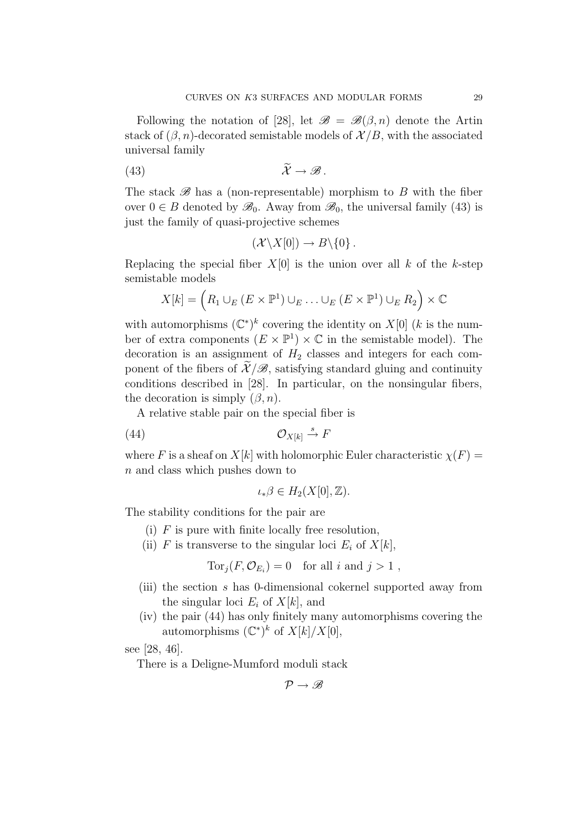Following the notation of [28], let  $\mathscr{B} = \mathscr{B}(\beta,n)$  denote the Artin stack of  $(\beta, n)$ -decorated semistable models of  $\mathcal{X}/B$ , with the associated universal family

$$
\widetilde{\mathcal{X}} \to \mathscr{B}.
$$

The stack  $\mathscr{B}$  has a (non-representable) morphism to B with the fiber over  $0 \in B$  denoted by  $\mathscr{B}_0$ . Away from  $\mathscr{B}_0$ , the universal family (43) is just the family of quasi-projective schemes

$$
(\mathcal{X}\backslash X[0])\to B\backslash\{0\}.
$$

Replacing the special fiber  $X[0]$  is the union over all k of the k-step semistable models

$$
X[k] = \left(R_1 \cup_E (E \times \mathbb{P}^1) \cup_E \ldots \cup_E (E \times \mathbb{P}^1) \cup_E R_2\right) \times \mathbb{C}
$$

with automorphisms  $(\mathbb{C}^*)^k$  covering the identity on  $X[0]$  (k is the number of extra components  $(E \times \mathbb{P}^1) \times \mathbb{C}$  in the semistable model). The decoration is an assignment of  $H_2$  classes and integers for each component of the fibers of  $\mathcal{X}/\mathcal{B}$ , satisfying standard gluing and continuity conditions described in [28]. In particular, on the nonsingular fibers, the decoration is simply  $(\beta, n)$ .

A relative stable pair on the special fiber is

(44) OX[k] s → F

where F is a sheaf on  $X[k]$  with holomorphic Euler characteristic  $\chi(F)$  = n and class which pushes down to

$$
\iota_*\beta \in H_2(X[0],\mathbb{Z}).
$$

The stability conditions for the pair are

- (i)  $F$  is pure with finite locally free resolution,
- (ii) F is transverse to the singular loci  $E_i$  of  $X[k]$ ,

$$
Tor_j(F, \mathcal{O}_{E_i}) = 0 \text{ for all } i \text{ and } j > 1 ,
$$

- (iii) the section s has 0-dimensional cokernel supported away from the singular loci  $E_i$  of  $X[k]$ , and
- (iv) the pair (44) has only finitely many automorphisms covering the automorphisms  $(\mathbb{C}^*)^k$  of  $X[k]/X[0]$ ,

see [28, 46].

There is a Deligne-Mumford moduli stack

$$
\mathcal{P}\to\mathscr{B}
$$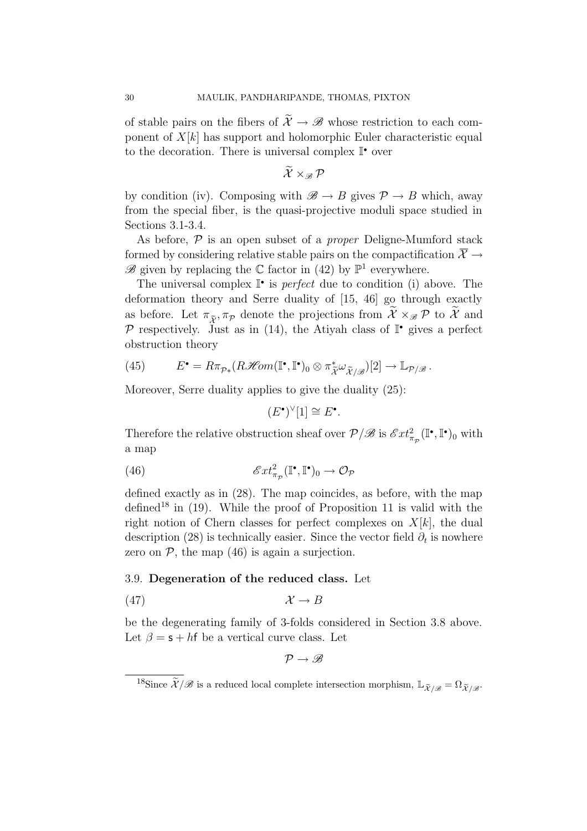of stable pairs on the fibers of  $\widetilde{\mathcal{X}} \to \mathscr{B}$  whose restriction to each component of  $X[k]$  has support and holomorphic Euler characteristic equal to the decoration. There is universal complex  $\mathbb{I}^{\bullet}$  over

 $\widetilde{\mathcal{X}} \times \mathscr{P}$ 

by condition (iv). Composing with  $\mathscr{B} \to B$  gives  $\mathcal{P} \to B$  which, away from the special fiber, is the quasi-projective moduli space studied in Sections 3.1-3.4.

As before,  $\mathcal P$  is an open subset of a *proper* Deligne-Mumford stack formed by considering relative stable pairs on the compactification  $\overline{X} \rightarrow$  $\mathscr{B}$  given by replacing the C factor in (42) by  $\mathbb{P}^1$  everywhere.

The universal complex  $\mathbb{I}^{\bullet}$  is *perfect* due to condition (i) above. The deformation theory and Serre duality of [15, 46] go through exactly as before. Let  $\pi_{\tilde{\mathcal{X}}}$ ,  $\pi_{\mathcal{P}}$  denote the projections from  $\widetilde{\mathcal{X}} \times_{\mathscr{B}} \mathcal{P}$  to  $\widetilde{\mathcal{X}}$  and P respectively. Just as in (14), the Atiyah class of  $\mathbb{I}^{\bullet}$  gives a perfect obstruction theory

(45) 
$$
E^{\bullet} = R\pi_{\mathcal{P} *}(R\mathscr{H}om(\mathbb{I}^{\bullet}, \mathbb{I}^{\bullet})_{0} \otimes \pi_{\widetilde{\mathcal{X}}}^{\ast} \omega_{\widetilde{\mathcal{X}}/\mathscr{B}})[2] \rightarrow \mathbb{L}_{\mathcal{P}/\mathscr{B}}.
$$

Moreover, Serre duality applies to give the duality (25):

$$
(E^{\bullet})^{\vee}[1] \cong E^{\bullet}.
$$

Therefore the relative obstruction sheaf over  $\mathcal{P}/\mathcal{B}$  is  $\mathcal{E}xt_{\pi_{\mathcal{P}}}^2(\mathbb{I}^{\bullet},\mathbb{I}^{\bullet})_0$  with a map

(46) 
$$
\mathscr{E}xt^2_{\pi_{\mathcal{P}}}(\mathbb{I}^\bullet,\mathbb{I}^\bullet)_0 \to \mathcal{O}_{\mathcal{P}}
$$

defined exactly as in (28). The map coincides, as before, with the map defined<sup>18</sup> in  $(19)$ . While the proof of Proposition 11 is valid with the right notion of Chern classes for perfect complexes on  $X[k]$ , the dual description (28) is technically easier. Since the vector field  $\partial_t$  is nowhere zero on  $P$ , the map  $(46)$  is again a surjection.

### 3.9. Degeneration of the reduced class. Let

$$
(47) \t\t\t \mathcal{X} \to B
$$

be the degenerating family of 3-folds considered in Section 3.8 above. Let  $\beta = s + hf$  be a vertical curve class. Let

 $\mathcal{P} \rightarrow \mathscr{B}$ 

<sup>&</sup>lt;sup>18</sup>Since  $\widetilde{\mathcal{X}}/\mathscr{B}$  is a reduced local complete intersection morphism,  $\mathbb{L}_{\widetilde{\mathcal{X}}/\mathscr{B}} = \Omega_{\widetilde{\mathcal{X}}/\mathscr{B}}$ .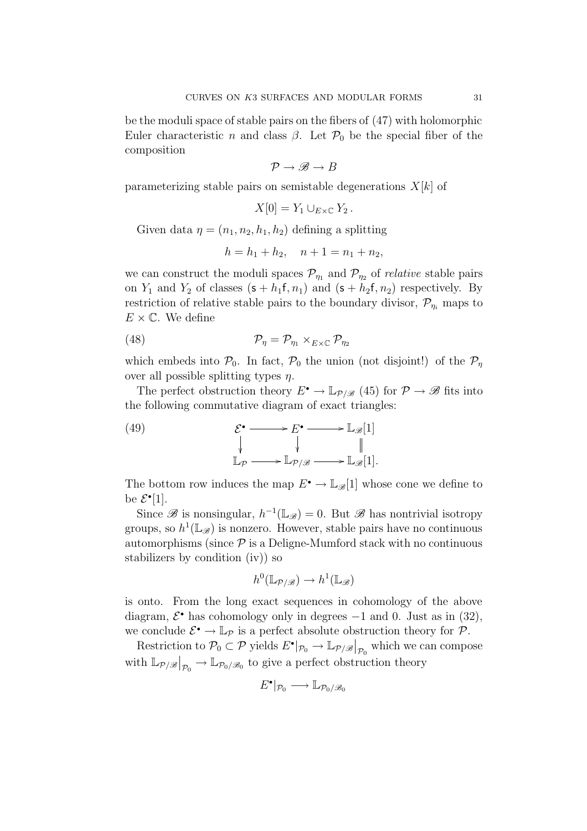be the moduli space of stable pairs on the fibers of (47) with holomorphic Euler characteristic n and class  $\beta$ . Let  $\mathcal{P}_0$  be the special fiber of the composition

$$
\mathcal{P} \to \mathscr{B} \to B
$$

parameterizing stable pairs on semistable degenerations  $X[k]$  of

$$
X[0] = Y_1 \cup_{E \times \mathbb{C}} Y_2.
$$

Given data  $\eta = (n_1, n_2, h_1, h_2)$  defining a splitting

$$
h = h_1 + h_2, \quad n + 1 = n_1 + n_2,
$$

we can construct the moduli spaces  $\mathcal{P}_{\eta_1}$  and  $\mathcal{P}_{\eta_2}$  of *relative* stable pairs on  $Y_1$  and  $Y_2$  of classes  $(s + h_1f, n_1)$  and  $(s + h_2f, n_2)$  respectively. By restriction of relative stable pairs to the boundary divisor,  $\mathcal{P}_{\eta_i}$  maps to  $E \times \mathbb{C}$ . We define

$$
(48) \t\t\t\t \mathcal{P}_\eta = \mathcal{P}_{\eta_1} \times_{E \times \mathbb{C}} \mathcal{P}_{\eta_2}
$$

which embeds into  $\mathcal{P}_0$ . In fact,  $\mathcal{P}_0$  the union (not disjoint!) of the  $\mathcal{P}_\eta$ over all possible splitting types  $\eta$ .

The perfect obstruction theory  $E^{\bullet} \to \mathbb{L}_{\mathcal{P}/\mathcal{B}}$  (45) for  $\mathcal{P} \to \mathcal{B}$  fits into the following commutative diagram of exact triangles:

(49) 
$$
\mathcal{E}^{\bullet} \longrightarrow E^{\bullet} \longrightarrow \mathbb{L}_{\mathscr{B}}[1] \downarrow \qquad \qquad \downarrow \qquad \qquad \parallel \mathbb{L}_{\mathcal{P}} \longrightarrow \mathbb{L}_{\mathcal{P}/\mathscr{B}} \longrightarrow \mathbb{L}_{\mathscr{B}}[1].
$$

The bottom row induces the map  $E^{\bullet} \to \mathbb{L}_{\mathscr{B}}[1]$  whose cone we define to be  $\mathcal{E}^{\bullet}[1]$ .

Since  $\mathscr B$  is nonsingular,  $h^{-1}(\mathbb{L}_{\mathscr B})=0$ . But  $\mathscr B$  has nontrivial isotropy groups, so  $h^1(\mathbb{L}_{\mathscr{B}})$  is nonzero. However, stable pairs have no continuous automorphisms (since  $P$  is a Deligne-Mumford stack with no continuous stabilizers by condition (iv)) so

$$
h^0(\mathbb{L}_{\mathcal{P}/\mathcal{B}}) \to h^1(\mathbb{L}_{\mathcal{B}})
$$

is onto. From the long exact sequences in cohomology of the above diagram,  $\mathcal{E}^{\bullet}$  has cohomology only in degrees  $-1$  and 0. Just as in (32), we conclude  $\mathcal{E}^{\bullet} \to \mathbb{L}_{\mathcal{P}}$  is a perfect absolute obstruction theory for  $\mathcal{P}$ .

Restriction to  $\mathcal{P}_0 \subset \mathcal{P}$  yields  $E^{\bullet}|_{\mathcal{P}_0} \to \mathbb{L}_{\mathcal{P}/\mathscr{B}}|_{\mathcal{P}_0}$  which we can compose with  $\mathbb{L}_{\mathcal{P}/\mathcal{B}}|_{\mathcal{P}_{0}} \to \mathbb{L}_{\mathcal{P}_{0}/\mathcal{B}_{0}}$  to give a perfect obstruction theory

$$
E^{\bullet}|_{\mathcal{P}_0} \longrightarrow \mathbb{L}_{\mathcal{P}_0/\mathscr{B}_0}
$$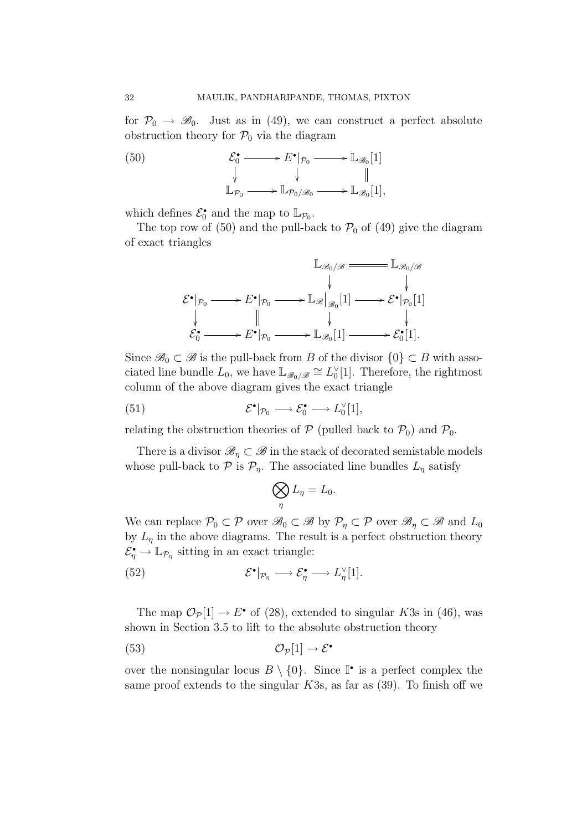for  $\mathcal{P}_0 \to \mathcal{B}_0$ . Just as in (49), we can construct a perfect absolute obstruction theory for  $P_0$  via the diagram

(50) 
$$
\mathcal{E}_0^{\bullet} \longrightarrow E^{\bullet}|_{\mathcal{P}_0} \longrightarrow \mathbb{L}_{\mathscr{B}_0}[1] \downarrow \qquad \qquad \downarrow \qquad \qquad \parallel \mathbb{L}_{\mathcal{P}_0} \longrightarrow \mathbb{L}_{\mathcal{P}_0/\mathscr{B}_0} \longrightarrow \mathbb{L}_{\mathscr{B}_0}[1],
$$

which defines  $\mathcal{E}_0^{\bullet}$  and the map to  $\mathbb{L}_{\mathcal{P}_0}$ .

The top row of (50) and the pull-back to  $P_0$  of (49) give the diagram of exact triangles



Since  $\mathscr{B}_0 \subset \mathscr{B}$  is the pull-back from B of the divisor  $\{0\} \subset B$  with associated line bundle  $L_0$ , we have  $\mathbb{L}_{\mathscr{B}_0/\mathscr{B}} \cong L_0^{\vee}[1]$ . Therefore, the rightmost column of the above diagram gives the exact triangle

(51) 
$$
\mathcal{E}^{\bullet}|_{\mathcal{P}_0} \longrightarrow \mathcal{E}_0^{\bullet} \longrightarrow L_0^{\vee}[1],
$$

relating the obstruction theories of  $P$  (pulled back to  $P_0$ ) and  $P_0$ .

There is a divisor  $\mathscr{B}_\eta \subset \mathscr{B}$  in the stack of decorated semistable models whose pull-back to  $P$  is  $P_n$ . The associated line bundles  $L_n$  satisfy

$$
\bigotimes_{\eta} L_{\eta} = L_0.
$$

We can replace  $\mathcal{P}_0 \subset \mathcal{P}$  over  $\mathscr{B}_0 \subset \mathcal{B}$  by  $\mathcal{P}_\eta \subset \mathcal{P}$  over  $\mathscr{B}_\eta \subset \mathcal{B}$  and  $L_0$ by  $L_{\eta}$  in the above diagrams. The result is a perfect obstruction theory  $\mathcal{E}_{\eta}^{\bullet} \to \mathbb{L}_{\mathcal{P}_{\eta}}$  sitting in an exact triangle:

(52) 
$$
\mathcal{E}^{\bullet}|_{\mathcal{P}_{\eta}} \longrightarrow \mathcal{E}_{\eta}^{\bullet} \longrightarrow L_{\eta}^{\vee}[1].
$$

The map  $\mathcal{O}_{\mathcal{P}}[1] \to E^{\bullet}$  of (28), extended to singular K3s in (46), was shown in Section 3.5 to lift to the absolute obstruction theory

$$
\mathcal{O}_{\mathcal{P}}[1] \to \mathcal{E}^{\bullet}
$$

over the nonsingular locus  $B \setminus \{0\}$ . Since  $\mathbb{I}^{\bullet}$  is a perfect complex the same proof extends to the singular  $K3s$ , as far as (39). To finish off we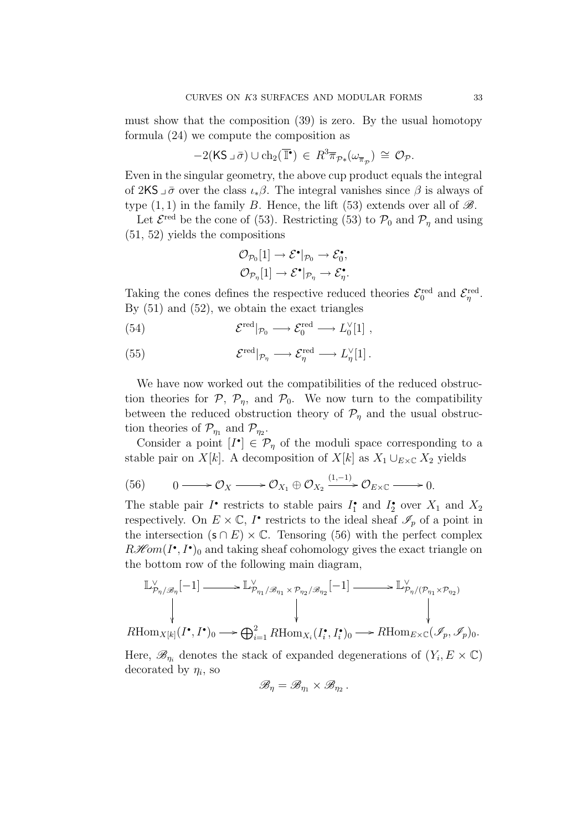must show that the composition (39) is zero. By the usual homotopy formula (24) we compute the composition as

$$
-2(KS \lrcorner \bar{\sigma}) \cup ch_2(\overline{\mathbb{I}^{\bullet}}) \in R^3 \overline{\pi}_{\mathcal{P} *}(\omega_{\overline{\pi}_{\mathcal{P}}}) \cong \mathcal{O}_{\mathcal{P}}.
$$

Even in the singular geometry, the above cup product equals the integral of 2KS  $\bar{\sigma}$  over the class  $\iota_*\beta$ . The integral vanishes since  $\beta$  is always of type  $(1, 1)$  in the family B. Hence, the lift (53) extends over all of  $\mathscr{B}$ .

Let  $\mathcal{E}^{\text{red}}$  be the cone of (53). Restricting (53) to  $\mathcal{P}_0$  and  $\mathcal{P}_\eta$  and using (51, 52) yields the compositions

$$
\mathcal{O}_{\mathcal{P}_0}[1] \to \mathcal{E}^{\bullet}|_{\mathcal{P}_0} \to \mathcal{E}_0^{\bullet},
$$
  

$$
\mathcal{O}_{\mathcal{P}_\eta}[1] \to \mathcal{E}^{\bullet}|_{\mathcal{P}_\eta} \to \mathcal{E}_\eta^{\bullet}.
$$

Taking the cones defines the respective reduced theories  $\mathcal{E}_0^{\text{red}}$  and  $\mathcal{E}_{\eta}^{\text{red}}$ . By (51) and (52), we obtain the exact triangles

(54) 
$$
\mathcal{E}^{\text{red}}|_{\mathcal{P}_0} \longrightarrow \mathcal{E}_0^{\text{red}} \longrightarrow L_0^{\vee}[1],
$$

(55) 
$$
\mathcal{E}^{\text{red}}|_{\mathcal{P}_{\eta}} \longrightarrow \mathcal{E}_{\eta}^{\text{red}} \longrightarrow L_{\eta}^{\vee}[1].
$$

We have now worked out the compatibilities of the reduced obstruction theories for  $P$ ,  $P_n$ , and  $P_0$ . We now turn to the compatibility between the reduced obstruction theory of  $\mathcal{P}_\eta$  and the usual obstruction theories of  $\mathcal{P}_{\eta_1}$  and  $\mathcal{P}_{\eta_2}$ .

Consider a point  $[I^{\bullet}] \in \mathcal{P}_{\eta}$  of the moduli space corresponding to a stable pair on  $X[k]$ . A decomposition of  $X[k]$  as  $X_1 \cup_{E \times \mathbb{C}} X_2$  yields

(56) 
$$
0 \longrightarrow \mathcal{O}_X \longrightarrow \mathcal{O}_{X_1} \oplus \mathcal{O}_{X_2} \xrightarrow{(1,-1)} \mathcal{O}_{E \times \mathbb{C}} \longrightarrow 0.
$$

The stable pair  $I^{\bullet}$  restricts to stable pairs  $I_1^{\bullet}$  and  $I_2^{\bullet}$  over  $X_1$  and  $X_2$ respectively. On  $E \times \mathbb{C}$ , I' restricts to the ideal sheaf  $\mathscr{I}_p$  of a point in the intersection  $(s \cap E) \times \mathbb{C}$ . Tensoring (56) with the perfect complex  $R\mathscr{H}\!\mathit{om}(I^{\bullet}, I^{\bullet})$  and taking sheaf cohomology gives the exact triangle on the bottom row of the following main diagram,

$$
\mathbb{L}_{\mathcal{P}_{\eta}/\mathcal{B}_{\eta}}^{\vee}[-1] \longrightarrow \mathbb{L}_{\mathcal{P}_{\eta_1}/\mathcal{B}_{\eta_1} \times \mathcal{P}_{\eta_2}/\mathcal{B}_{\eta_2}}^{\vee}[-1] \longrightarrow \mathbb{L}_{\mathcal{P}_{\eta}/(\mathcal{P}_{\eta_1} \times \mathcal{P}_{\eta_2})}^{\vee}
$$
\n
$$
\downarrow \qquad \qquad \downarrow \qquad \qquad \downarrow \qquad \qquad \downarrow \qquad \qquad \downarrow \qquad \qquad \downarrow \qquad \qquad \downarrow \qquad \qquad \downarrow \qquad \qquad \downarrow \qquad \qquad \downarrow \qquad \qquad \downarrow \qquad \qquad \downarrow \qquad \qquad \downarrow \qquad \qquad \downarrow \qquad \qquad \downarrow \qquad \qquad \downarrow \qquad \qquad \downarrow \qquad \qquad \downarrow \qquad \qquad \downarrow \qquad \qquad \downarrow \qquad \qquad \downarrow \qquad \qquad \downarrow \qquad \qquad \downarrow \qquad \qquad \downarrow \qquad \qquad \downarrow \qquad \qquad \downarrow \qquad \qquad \downarrow \qquad \qquad \downarrow \qquad \qquad \downarrow \qquad \qquad \downarrow \qquad \qquad \downarrow \qquad \qquad \downarrow \qquad \qquad \downarrow \qquad \qquad \downarrow \qquad \qquad \downarrow \qquad \qquad \downarrow \qquad \qquad \downarrow \qquad \qquad \downarrow \qquad \qquad \downarrow \qquad \qquad \downarrow \qquad \qquad \downarrow \qquad \qquad \downarrow \qquad \qquad \downarrow \qquad \qquad \downarrow \qquad \qquad \downarrow \qquad \qquad \downarrow \qquad \qquad \downarrow \qquad \qquad \downarrow \qquad \qquad \downarrow \qquad \qquad \downarrow \qquad \qquad \downarrow \qquad \qquad \downarrow \qquad \qquad \downarrow \qquad \qquad \downarrow \qquad \qquad \downarrow \qquad \qquad \downarrow \qquad \qquad \downarrow \qquad \qquad \downarrow \qquad \qquad \downarrow \qquad \qquad \downarrow \qquad \qquad \downarrow \qquad \qquad \downarrow \qquad \qquad \downarrow \qquad \qquad \downarrow \qquad \qquad \downarrow \qquad \qquad \downarrow \qquad \qquad \downarrow \qquad \qquad \downarrow \qquad \q
$$

 $R\text{Hom}_{X[k]}(I^{\bullet}, I^{\bullet})_0 \longrightarrow \bigoplus_{i=1}^2 R\text{Hom}_{X_i}(I_i^{\bullet}, I_i^{\bullet})_0 \longrightarrow R\text{Hom}_{E \times \mathbb{C}}(\mathscr{I}_p, \mathscr{I}_p)_0.$ 

Here,  $\mathscr{B}_{\eta_i}$  denotes the stack of expanded degenerations of  $(Y_i, E \times \mathbb{C})$ decorated by  $\eta_i$ , so

$$
\mathscr{B}_{\eta}=\mathscr{B}_{\eta_1}\times\mathscr{B}_{\eta_2}.
$$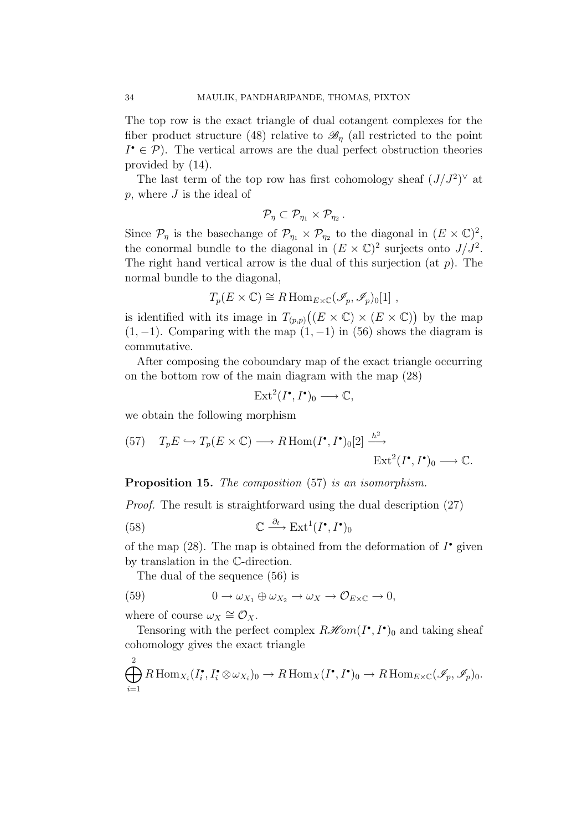The top row is the exact triangle of dual cotangent complexes for the fiber product structure (48) relative to  $\mathcal{B}_n$  (all restricted to the point  $I^{\bullet} \in \mathcal{P}$ . The vertical arrows are the dual perfect obstruction theories provided by (14).

The last term of the top row has first cohomology sheaf  $(J/J^2)^\vee$  at  $p$ , where  $J$  is the ideal of

$$
\mathcal{P}_{\eta} \subset \mathcal{P}_{\eta_1} \times \mathcal{P}_{\eta_2} \, .
$$

Since  $\mathcal{P}_{\eta}$  is the basechange of  $\mathcal{P}_{\eta_1} \times \mathcal{P}_{\eta_2}$  to the diagonal in  $(E \times \mathbb{C})^2$ , the conormal bundle to the diagonal in  $(E \times \mathbb{C})^2$  surjects onto  $J/J^2$ . The right hand vertical arrow is the dual of this surjection (at  $p$ ). The normal bundle to the diagonal,

$$
T_p(E \times \mathbb{C}) \cong R \operatorname{Hom}_{E \times \mathbb{C}}(\mathscr{I}_p, \mathscr{I}_p)_0[1],
$$

is identified with its image in  $T_{(p,p)}((E \times \mathbb{C}) \times (E \times \mathbb{C}))$  by the map  $(1, -1)$ . Comparing with the map  $(1, -1)$  in (56) shows the diagram is commutative.

After composing the coboundary map of the exact triangle occurring on the bottom row of the main diagram with the map (28)

$$
\mathrm{Ext}^2(I^\bullet, I^\bullet)_0 \longrightarrow \mathbb{C},
$$

we obtain the following morphism

(57) 
$$
T_p E \hookrightarrow T_p(E \times \mathbb{C}) \longrightarrow R \operatorname{Hom}(I^{\bullet}, I^{\bullet})_0[2] \xrightarrow{h^2} \operatorname{Ext}^2(I^{\bullet}, I^{\bullet})_0 \longrightarrow \mathbb{C}.
$$

Proposition 15. The composition (57) is an isomorphism.

Proof. The result is straightforward using the dual description (27)

(58) 
$$
\mathbb{C} \xrightarrow{\partial_t} \mathrm{Ext}^1(I^\bullet, I^\bullet)_0
$$

of the map (28). The map is obtained from the deformation of  $I^{\bullet}$  given by translation in the C-direction.

The dual of the sequence (56) is

(59) 
$$
0 \to \omega_{X_1} \oplus \omega_{X_2} \to \omega_X \to \mathcal{O}_{E \times \mathbb{C}} \to 0,
$$

where of course  $\omega_X \cong \mathcal{O}_X$ .

Tensoring with the perfect complex  $R\mathscr{H}\!om(I^{\bullet}, I^{\bullet})_0$  and taking sheaf cohomology gives the exact triangle

$$
\bigoplus_{i=1}^{2} R\operatorname{Hom}_{X_{i}}(I_{i}^{\bullet}, I_{i}^{\bullet} \otimes \omega_{X_{i}})_{0} \to R\operatorname{Hom}_{X}(I^{\bullet}, I^{\bullet})_{0} \to R\operatorname{Hom}_{E \times \mathbb{C}}(\mathscr{I}_{p}, \mathscr{I}_{p})_{0}.
$$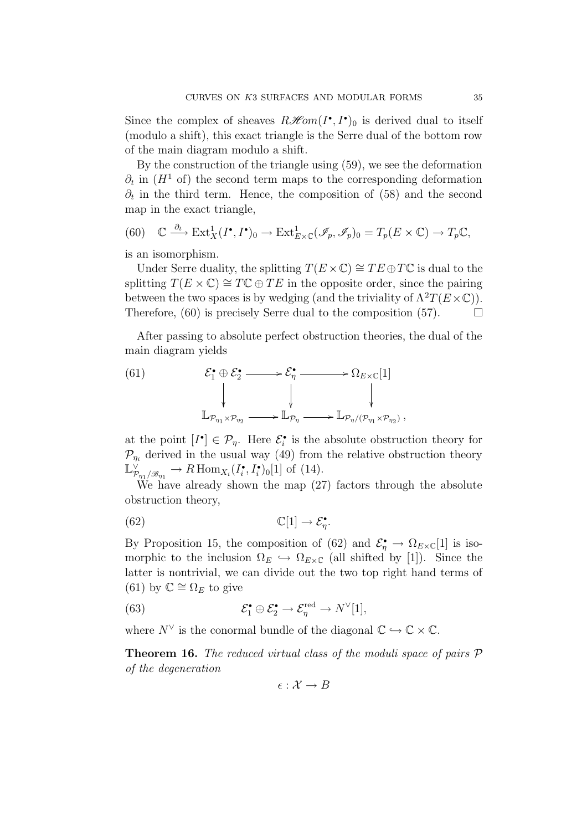Since the complex of sheaves  $R\mathcal{H}om(I^{\bullet}, I^{\bullet})_0$  is derived dual to itself (modulo a shift), this exact triangle is the Serre dual of the bottom row of the main diagram modulo a shift.

By the construction of the triangle using (59), we see the deformation  $\partial_t$  in  $(H^1 \text{ of})$  the second term maps to the corresponding deformation  $\partial_t$  in the third term. Hence, the composition of (58) and the second map in the exact triangle,

(60) 
$$
\mathbb{C} \xrightarrow{\partial_t} \text{Ext}^1_X(I^{\bullet}, I^{\bullet})_0 \to \text{Ext}^1_{E \times \mathbb{C}}(\mathscr{I}_p, \mathscr{I}_p)_0 = T_p(E \times \mathbb{C}) \to T_p \mathbb{C},
$$

is an isomorphism.

Under Serre duality, the splitting  $T(E \times \mathbb{C}) \cong TE \oplus T\mathbb{C}$  is dual to the splitting  $T(E \times \mathbb{C}) \cong T\mathbb{C} \oplus TE$  in the opposite order, since the pairing between the two spaces is by wedging (and the triviality of  $\Lambda^2 T(E\times \mathbb{C})$ ). Therefore, (60) is precisely Serre dual to the composition (57).  $\Box$ 

After passing to absolute perfect obstruction theories, the dual of the main diagram yields

(61) 
$$
\mathcal{E}_{1} \oplus \mathcal{E}_{2} \longrightarrow \mathcal{E}_{\eta} \longrightarrow \Omega_{E \times \mathbb{C}}[1]
$$
\n
$$
\downarrow \qquad \qquad \downarrow \qquad \qquad \downarrow
$$
\n
$$
\mathbb{L}_{\mathcal{P}_{\eta_{1}} \times \mathcal{P}_{\eta_{2}}} \longrightarrow \mathbb{L}_{\mathcal{P}_{\eta}} \longrightarrow \mathbb{L}_{\mathcal{P}_{\eta}/(\mathcal{P}_{\eta_{1}} \times \mathcal{P}_{\eta_{2}})},
$$

at the point  $[I^{\bullet}] \in \mathcal{P}_{\eta}$ . Here  $\mathcal{E}_{i}^{\bullet}$  is the absolute obstruction theory for  $\mathcal{P}_{\eta_i}$  derived in the usual way (49) from the relative obstruction theory  $\mathbb{L}_{\mathcal{P}_{\eta_1}/\mathcal{B}_{\eta_1}}^{\vee} \to R\operatorname{Hom}_{X_i}(I_i^{\bullet}, I_i^{\bullet})_0[1]$  of (14).

We have already shown the map (27) factors through the absolute obstruction theory,

(62) 
$$
\mathbb{C}[1] \to \mathcal{E}_\eta^{\bullet}.
$$

By Proposition 15, the composition of (62) and  $\mathcal{E}_{\eta}^{\bullet} \to \Omega_{E \times \mathbb{C}}[1]$  is isomorphic to the inclusion  $\Omega_E \hookrightarrow \Omega_{E \times \mathbb{C}}$  (all shifted by [1]). Since the latter is nontrivial, we can divide out the two top right hand terms of (61) by  $\mathbb{C} \cong \Omega_E$  to give

(63) 
$$
\mathcal{E}_1^{\bullet} \oplus \mathcal{E}_2^{\bullet} \to \mathcal{E}_\eta^{\text{red}} \to N^{\vee}[1],
$$

where  $N^{\vee}$  is the conormal bundle of the diagonal  $\mathbb{C} \hookrightarrow \mathbb{C} \times \mathbb{C}$ .

Theorem 16. The reduced virtual class of the moduli space of pairs  $\mathcal P$ of the degeneration

$$
\epsilon: \mathcal{X} \to B
$$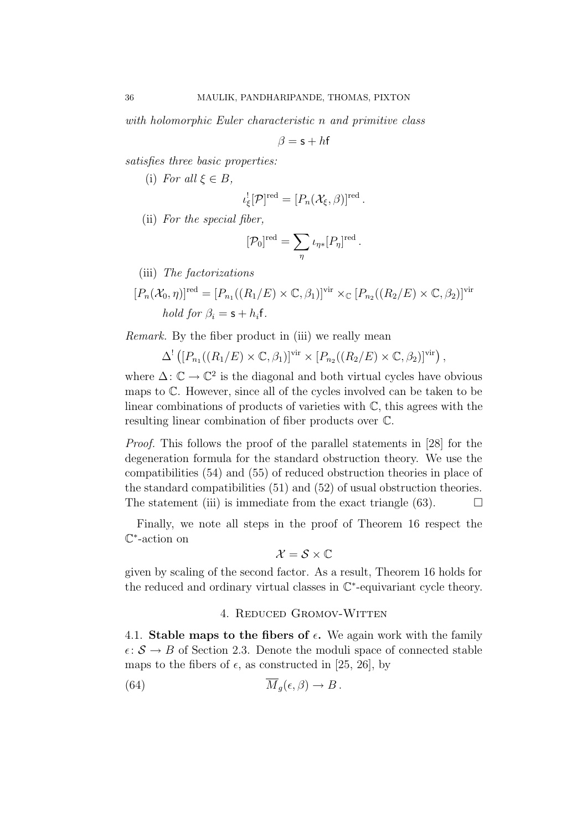with holomorphic Euler characteristic n and primitive class

$$
\beta = \mathsf{s} + h\mathsf{f}
$$

satisfies three basic properties:

(i) For all  $\xi \in B$ ,

$$
\iota_{\xi}^![\mathcal{P}]^{\text{red}}=[P_n(\mathcal{X}_{\xi},\beta)]^{\text{red}}.
$$

(ii) For the special fiber,

$$
[\mathcal{P}_0]^{\text{red}} = \sum_{\eta} \iota_{\eta *} [P_{\eta}]^{\text{red}}.
$$

(iii) The factorizations

$$
[P_n(\mathcal{X}_0, \eta)]^{\text{red}} = [P_{n_1}((R_1/E) \times \mathbb{C}, \beta_1)]^{\text{vir}} \times_{\mathbb{C}} [P_{n_2}((R_2/E) \times \mathbb{C}, \beta_2)]^{\text{vir}}
$$
  
*hold for*  $\beta_i = \mathsf{s} + h_i \mathsf{f}$ .

Remark. By the fiber product in (iii) we really mean

$$
\Delta^!\left([P_{n_1}((R_1/E)\times\mathbb{C},\beta_1)]^{vir}\times[P_{n_2}((R_2/E)\times\mathbb{C},\beta_2)]^{vir}\right),\,
$$

where  $\Delta: \mathbb{C} \to \mathbb{C}^2$  is the diagonal and both virtual cycles have obvious maps to C. However, since all of the cycles involved can be taken to be linear combinations of products of varieties with C, this agrees with the resulting linear combination of fiber products over C.

Proof. This follows the proof of the parallel statements in [28] for the degeneration formula for the standard obstruction theory. We use the compatibilities (54) and (55) of reduced obstruction theories in place of the standard compatibilities (51) and (52) of usual obstruction theories. The statement (iii) is immediate from the exact triangle (63).  $\Box$ 

Finally, we note all steps in the proof of Theorem 16 respect the C∗-action on

$$
\mathcal{X}=\mathcal{S}\times\mathbb{C}
$$

given by scaling of the second factor. As a result, Theorem 16 holds for the reduced and ordinary virtual classes in C∗-equivariant cycle theory.

## 4. Reduced Gromov-Witten

4.1. Stable maps to the fibers of  $\epsilon$ . We again work with the family  $\epsilon: \mathcal{S} \to B$  of Section 2.3. Denote the moduli space of connected stable maps to the fibers of  $\epsilon$ , as constructed in [25, 26], by

(64) 
$$
\overline{M}_g(\epsilon,\beta) \to B.
$$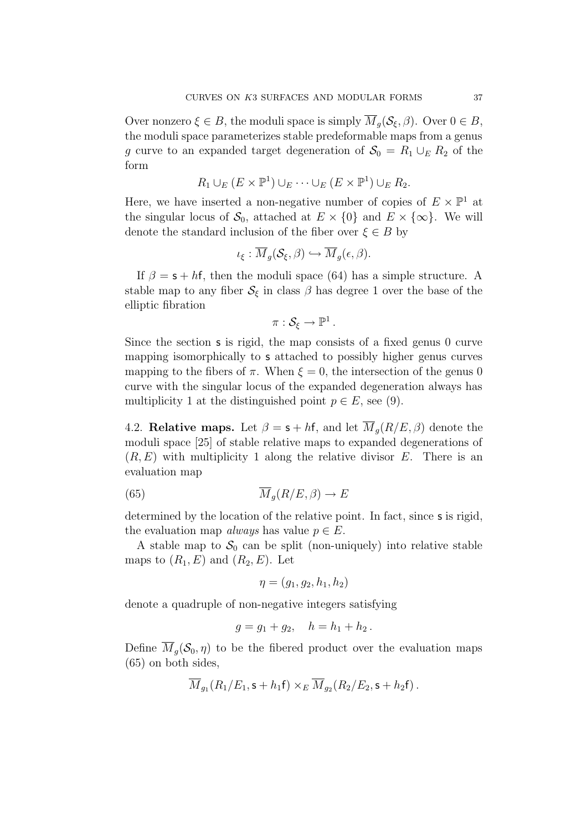Over nonzero  $\xi \in B$ , the moduli space is simply  $\overline{M}_q(\mathcal{S}_\xi,\beta)$ . Over  $0 \in B$ , the moduli space parameterizes stable predeformable maps from a genus g curve to an expanded target degeneration of  $S_0 = R_1 \cup_E R_2$  of the form

$$
R_1 \cup_E (E \times \mathbb{P}^1) \cup_E \cdots \cup_E (E \times \mathbb{P}^1) \cup_E R_2.
$$

Here, we have inserted a non-negative number of copies of  $E \times \mathbb{P}^1$  at the singular locus of  $S_0$ , attached at  $E \times \{0\}$  and  $E \times \{\infty\}$ . We will denote the standard inclusion of the fiber over  $\xi \in B$  by

$$
\iota_{\xi} : \overline{M}_g(\mathcal{S}_{\xi}, \beta) \hookrightarrow \overline{M}_g(\epsilon, \beta).
$$

If  $\beta = s + hf$ , then the moduli space (64) has a simple structure. A stable map to any fiber  $S_{\xi}$  in class  $\beta$  has degree 1 over the base of the elliptic fibration

$$
\pi:\mathcal{S}_{\xi}\to\mathbb{P}^1.
$$

Since the section s is rigid, the map consists of a fixed genus 0 curve mapping isomorphically to s attached to possibly higher genus curves mapping to the fibers of  $\pi$ . When  $\xi = 0$ , the intersection of the genus 0 curve with the singular locus of the expanded degeneration always has multiplicity 1 at the distinguished point  $p \in E$ , see (9).

4.2. Relative maps. Let  $\beta = s + hf$ , and let  $\overline{M}_q(R/E, \beta)$  denote the moduli space [25] of stable relative maps to expanded degenerations of  $(R, E)$  with multiplicity 1 along the relative divisor E. There is an evaluation map

(65) 
$$
\overline{M}_g(R/E,\beta) \to E
$$

determined by the location of the relative point. In fact, since **s** is rigid, the evaluation map *always* has value  $p \in E$ .

A stable map to  $S_0$  can be split (non-uniquely) into relative stable maps to  $(R_1, E)$  and  $(R_2, E)$ . Let

$$
\eta=(g_1,g_2,h_1,h_2)
$$

denote a quadruple of non-negative integers satisfying

$$
g = g_1 + g_2, \quad h = h_1 + h_2.
$$

Define  $\overline{M}_g(\mathcal{S}_0, \eta)$  to be the fibered product over the evaluation maps (65) on both sides,

$$
\overline{M}_{g_1}(R_1/E_1,\mathsf{s}+h_1\mathsf{f})\times_E \overline{M}_{g_2}(R_2/E_2,\mathsf{s}+h_2\mathsf{f}).
$$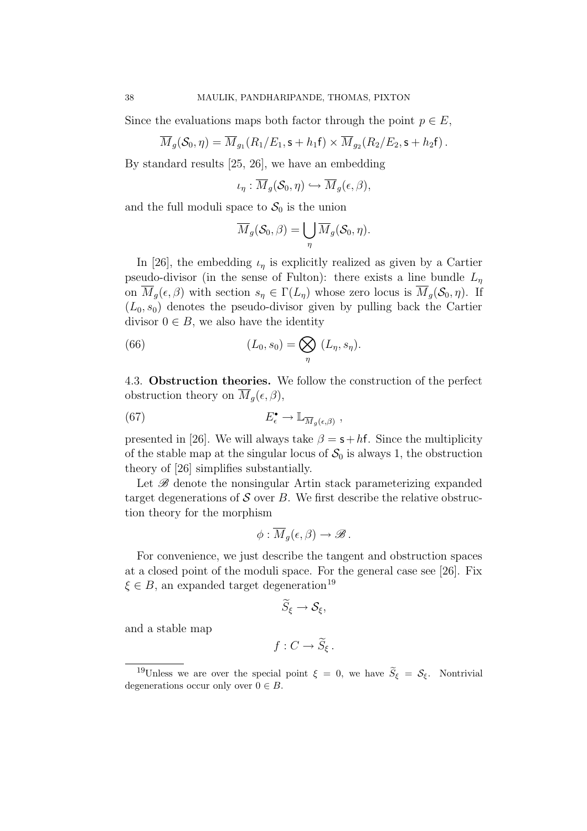Since the evaluations maps both factor through the point  $p \in E$ ,

$$
\overline{M}_g(\mathcal{S}_0,\eta)=\overline{M}_{g_1}(R_1/E_1,\mathsf{s}+h_1\mathsf{f})\times\overline{M}_{g_2}(R_2/E_2,\mathsf{s}+h_2\mathsf{f}).
$$

By standard results [25, 26], we have an embedding

$$
\iota_{\eta}: \overline{M}_g(\mathcal{S}_0, \eta) \hookrightarrow \overline{M}_g(\epsilon, \beta),
$$

and the full moduli space to  $S_0$  is the union

$$
\overline{M}_g(\mathcal{S}_0, \beta) = \bigcup_{\eta} \overline{M}_g(\mathcal{S}_0, \eta).
$$

In [26], the embedding  $\iota_{\eta}$  is explicitly realized as given by a Cartier pseudo-divisor (in the sense of Fulton): there exists a line bundle  $L_n$ on  $\overline{M}_g(\epsilon, \beta)$  with section  $s_\eta \in \Gamma(L_\eta)$  whose zero locus is  $\overline{M}_g(\mathcal{S}_0, \eta)$ . If  $(L_0, s_0)$  denotes the pseudo-divisor given by pulling back the Cartier divisor  $0 \in B$ , we also have the identity

(66) 
$$
(L_0, s_0) = \bigotimes_{\eta} (L_{\eta}, s_{\eta}).
$$

4.3. Obstruction theories. We follow the construction of the perfect obstruction theory on  $\overline{M}_g(\epsilon, \beta)$ ,

(67) 
$$
E_{\epsilon}^{\bullet} \to \mathbb{L}_{\overline{M}_{g}(\epsilon,\beta)},
$$

presented in [26]. We will always take  $\beta = s + hf$ . Since the multiplicity of the stable map at the singular locus of  $S_0$  is always 1, the obstruction theory of [26] simplifies substantially.

Let  $\mathscr B$  denote the nonsingular Artin stack parameterizing expanded target degenerations of  $S$  over  $B$ . We first describe the relative obstruction theory for the morphism

$$
\phi:\overline{M}_g(\epsilon,\beta)\to\mathscr{B}.
$$

For convenience, we just describe the tangent and obstruction spaces at a closed point of the moduli space. For the general case see [26]. Fix  $\xi \in B$ , an expanded target degeneration<sup>19</sup>

$$
\widetilde{S}_{\xi}\to\mathcal{S}_{\xi},
$$

and a stable map

$$
f: C \to \widetilde{S}_{\xi} .
$$

<sup>&</sup>lt;sup>19</sup>Unless we are over the special point  $\xi = 0$ , we have  $\widetilde{S}_{\xi} = \mathcal{S}_{\xi}$ . Nontrivial degenerations occur only over  $0 \in B$ .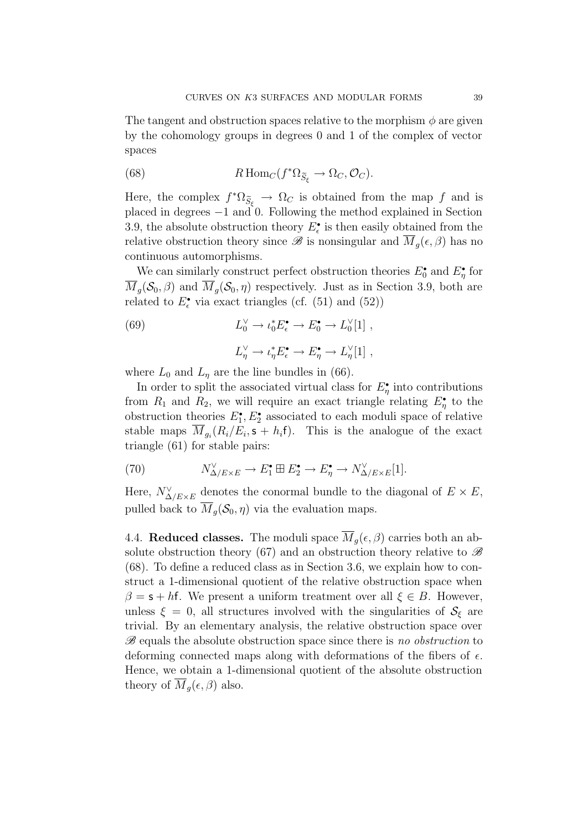The tangent and obstruction spaces relative to the morphism  $\phi$  are given by the cohomology groups in degrees 0 and 1 of the complex of vector spaces

(68) 
$$
R\operatorname{Hom}_{C}(f^{*}\Omega_{\widetilde{S}_{\xi}}\to\Omega_{C},\mathcal{O}_{C}).
$$

Here, the complex  $f^* \Omega_{\widetilde{S}_{\varepsilon}} \to \Omega_C$  is obtained from the map f and is placed in degrees −1 and 0. Following the method explained in Section 3.9, the absolute obstruction theory  $E_{\epsilon}^{\bullet}$  is then easily obtained from the relative obstruction theory since  $\mathscr B$  is nonsingular and  $\overline{M}_q(\epsilon,\beta)$  has no continuous automorphisms.

We can similarly construct perfect obstruction theories  $E_0^{\bullet}$  and  $E_{\eta}^{\bullet}$  for  $\overline{M}_g(\mathcal{S}_0, \beta)$  and  $\overline{M}_g(\mathcal{S}_0, \eta)$  respectively. Just as in Section 3.9, both are related to  $E_{\epsilon}^{\bullet}$  via exact triangles (cf. (51) and (52))

(69) 
$$
L_0^{\vee} \to \iota_0^* E_{\epsilon}^{\bullet} \to E_0^{\bullet} \to L_0^{\vee}[1],
$$

$$
L_{\eta}^{\vee} \to \iota_{\eta}^* E_{\epsilon}^{\bullet} \to E_{\eta}^{\bullet} \to L_{\eta}^{\vee}[1],
$$

where  $L_0$  and  $L_n$  are the line bundles in (66).

In order to split the associated virtual class for  $E^{\bullet}_{\eta}$  into contributions from  $R_1$  and  $R_2$ , we will require an exact triangle relating  $E^{\bullet}_{\eta}$  to the obstruction theories  $E_1^{\bullet}, E_2^{\bullet}$  associated to each moduli space of relative stable maps  $\overline{M}_{g_i}(R_i/E_i, \mathbf{s} + h_i \mathbf{f})$ . This is the analogue of the exact triangle (61) for stable pairs:

(70) 
$$
N^{\vee}_{\Delta/E \times E} \to E_1^{\bullet} \boxplus E_2^{\bullet} \to E_{\eta}^{\bullet} \to N^{\vee}_{\Delta/E \times E}[1].
$$

Here,  $N^{\vee}_{\Delta/E\times E}$  denotes the conormal bundle to the diagonal of  $E\times E$ , pulled back to  $\overline{M}_q(\mathcal{S}_0, \eta)$  via the evaluation maps.

4.4. Reduced classes. The moduli space  $\overline{M}_q(\epsilon, \beta)$  carries both an absolute obstruction theory (67) and an obstruction theory relative to  $\mathscr B$ (68). To define a reduced class as in Section 3.6, we explain how to construct a 1-dimensional quotient of the relative obstruction space when  $\beta = s + hf$ . We present a uniform treatment over all  $\xi \in B$ . However, unless  $\xi = 0$ , all structures involved with the singularities of  $S_{\xi}$  are trivial. By an elementary analysis, the relative obstruction space over  $\mathscr{B}$  equals the absolute obstruction space since there is no obstruction to deforming connected maps along with deformations of the fibers of  $\epsilon$ . Hence, we obtain a 1-dimensional quotient of the absolute obstruction theory of  $\overline{M}_q(\epsilon, \beta)$  also.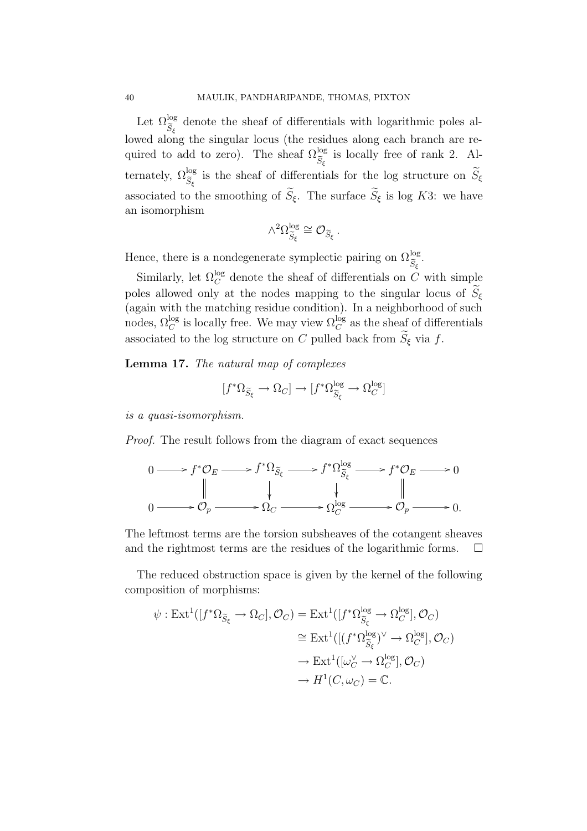Let  $\Omega_{\widetilde{S}_{\xi}}^{\log}$  denote the sheaf of differentials with logarithmic poles allowed along the singular locus (the residues along each branch are required to add to zero). The sheaf  $\Omega_{\widetilde{S}_{\xi}}^{\log}$  is locally free of rank 2. Alternately,  $\Omega_{\widetilde{S}_{\xi}}^{\log}$  is the sheaf of differentials for the log structure on  $\widetilde{S}_{\xi}$ associated to the smoothing of  $\widetilde{S}_{\xi}$ . The surface  $\widetilde{S}_{\xi}$  is log K3: we have an isomorphism

$$
\wedge^2 \Omega_{\widetilde{S}_\xi}^{\log} \cong \mathcal{O}_{\widetilde{S}_\xi}\,.
$$

Hence, there is a nondegenerate symplectic pairing on  $\Omega_{\widetilde{S}_{\xi}}^{\log}$ .

Similarly, let  $\Omega_C^{\log}$  denote the sheaf of differentials on C with simple poles allowed only at the nodes mapping to the singular locus of  $\widetilde{S}_{\xi}$ (again with the matching residue condition). In a neighborhood of such nodes,  $\Omega_C^{\log}$  is locally free. We may view  $\Omega_C^{\log}$  as the sheaf of differentials associated to the log structure on C pulled back from  $\widetilde{S}_{\xi}$  via f.

Lemma 17. The natural map of complexes

$$
[f^*\Omega_{\widetilde{S}_\xi}\to \Omega_C]\to [f^*\Omega_{\widetilde{S}_\xi}^{\log}\to \Omega_C^{\log}]
$$

is a quasi-isomorphism.

Proof. The result follows from the diagram of exact sequences

$$
0 \longrightarrow f^* \mathcal{O}_E \longrightarrow f^* \Omega_{\widetilde{S}_{\xi}} \longrightarrow f^* \Omega_{\widetilde{S}_{\xi}}^{\log} \longrightarrow f^* \mathcal{O}_E \longrightarrow 0
$$
  

$$
\parallel \qquad \qquad \downarrow \qquad \qquad \downarrow \qquad \qquad \parallel
$$
  

$$
0 \longrightarrow \mathcal{O}_p \longrightarrow \Omega_C \longrightarrow \Omega_C^{\log} \longrightarrow \mathcal{O}_p \longrightarrow 0.
$$

The leftmost terms are the torsion subsheaves of the cotangent sheaves and the rightmost terms are the residues of the logarithmic forms.  $\Box$ 

The reduced obstruction space is given by the kernel of the following composition of morphisms:

$$
\psi: \operatorname{Ext}^1([f^*\Omega_{\widetilde{S}_{\xi}} \to \Omega_C], \mathcal{O}_C) = \operatorname{Ext}^1([f^*\Omega_{\widetilde{S}_{\xi}}^{\log} \to \Omega_C^{\log}], \mathcal{O}_C)
$$
  
\n
$$
\cong \operatorname{Ext}^1([f^*\Omega_{\widetilde{S}_{\xi}}^{\log})^{\vee} \to \Omega_C^{\log}], \mathcal{O}_C)
$$
  
\n
$$
\to \operatorname{Ext}^1([\omega_C^{\vee} \to \Omega_C^{\log}], \mathcal{O}_C)
$$
  
\n
$$
\to H^1(C, \omega_C) = \mathbb{C}.
$$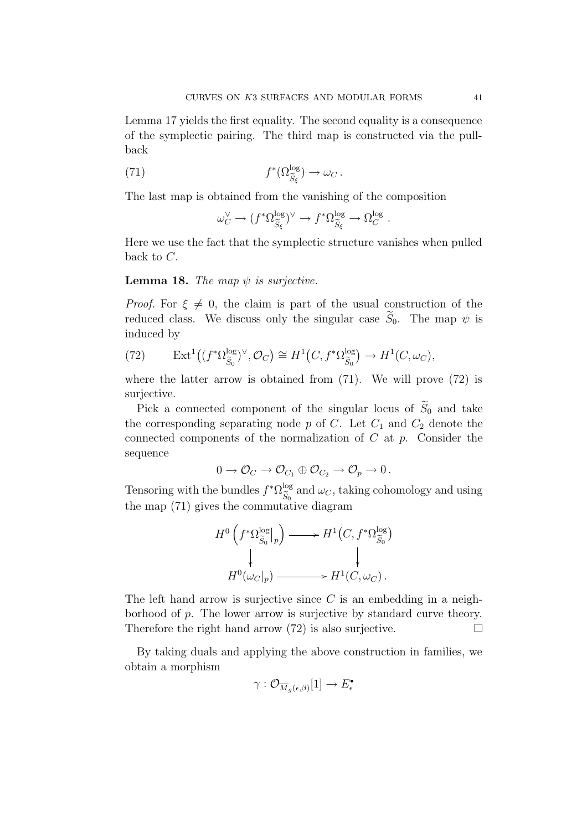Lemma 17 yields the first equality. The second equality is a consequence of the symplectic pairing. The third map is constructed via the pullback

(71) 
$$
f^*(\Omega_{\widetilde{S}_{\xi}}^{\log}) \to \omega_C.
$$

The last map is obtained from the vanishing of the composition

$$
\omega_C^{\vee} \to (f^*\Omega_{\widetilde{S}_{\xi}}^{\log})^{\vee} \to f^*\Omega_{\widetilde{S}_{\xi}}^{\log} \to \Omega_C^{\log}.
$$

Here we use the fact that the symplectic structure vanishes when pulled back to C.

**Lemma 18.** The map  $\psi$  is surjective.

*Proof.* For  $\xi \neq 0$ , the claim is part of the usual construction of the reduced class. We discuss only the singular case  $\widetilde{S}_0$ . The map  $\psi$  is induced by

(72) 
$$
\operatorname{Ext}^1((f^*\Omega_{\widetilde{S}_0}^{\log})^{\vee}, \mathcal{O}_C) \cong H^1(C, f^*\Omega_{\widetilde{S}_0}^{\log}) \to H^1(C, \omega_C),
$$

where the latter arrow is obtained from  $(71)$ . We will prove  $(72)$  is surjective.

Pick a connected component of the singular locus of  $\widetilde{S}_0$  and take the corresponding separating node  $p$  of  $C$ . Let  $C_1$  and  $C_2$  denote the connected components of the normalization of  $C$  at  $p$ . Consider the sequence

$$
0 \to \mathcal{O}_C \to \mathcal{O}_{C_1} \oplus \mathcal{O}_{C_2} \to \mathcal{O}_p \to 0.
$$

Tensoring with the bundles  $f^* \Omega_{\widetilde{S}_0}^{\log}$  and  $\omega_C$ , taking cohomology and using the map (71) gives the commutative diagram

$$
H^{0}\left(f^{*}\Omega_{\widetilde{S}_{0}}^{\log}|_{p}\right) \longrightarrow H^{1}\left(C, f^{*}\Omega_{\widetilde{S}_{0}}^{\log}\right)
$$

$$
\downarrow \qquad \qquad \downarrow
$$

$$
H^{0}(\omega_{C}|_{p}) \longrightarrow H^{1}\left(C, \omega_{C}\right).
$$

The left hand arrow is surjective since  $C$  is an embedding in a neighborhood of p. The lower arrow is surjective by standard curve theory. Therefore the right hand arrow  $(72)$  is also surjective.

By taking duals and applying the above construction in families, we obtain a morphism

$$
\gamma: \mathcal{O}_{\overline{M}_g(\epsilon,\beta)}[1] \rightarrow E^{\bullet}_{\epsilon}
$$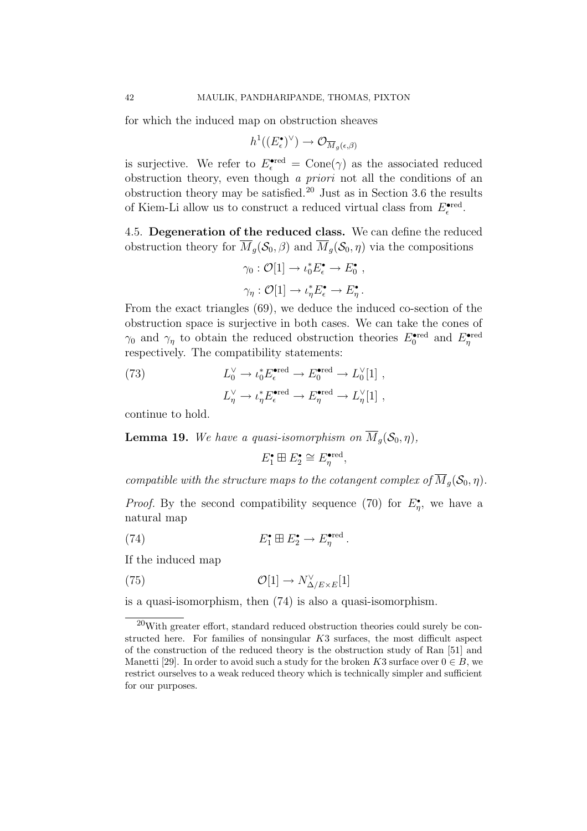for which the induced map on obstruction sheaves

$$
h^1((E_\epsilon^\bullet)^\vee) \to \mathcal{O}_{\overline{M}_g(\epsilon,\beta)}
$$

is surjective. We refer to  $E_{\epsilon}^{\text{ered}} = \text{Cone}(\gamma)$  as the associated reduced obstruction theory, even though a priori not all the conditions of an obstruction theory may be satisfied.<sup>20</sup> Just as in Section 3.6 the results of Kiem-Li allow us to construct a reduced virtual class from  $E_{\epsilon}^{\text{ered}}$ .

4.5. Degeneration of the reduced class. We can define the reduced obstruction theory for  $\overline{M}_q(\mathcal{S}_0, \beta)$  and  $\overline{M}_q(\mathcal{S}_0, \eta)$  via the compositions

$$
\gamma_0: \mathcal{O}[1] \to \iota_0^* E_{\epsilon}^{\bullet} \to E_0^{\bullet} ,
$$
  

$$
\gamma_{\eta}: \mathcal{O}[1] \to \iota_{\eta}^* E_{\epsilon}^{\bullet} \to E_{\eta}^{\bullet} .
$$

From the exact triangles (69), we deduce the induced co-section of the obstruction space is surjective in both cases. We can take the cones of  $\gamma_0$  and  $\gamma_\eta$  to obtain the reduced obstruction theories  $E_0^{\text{ered}}$  and  $E_\eta^{\text{ered}}$ respectively. The compatibility statements:

(73) 
$$
L_0^{\vee} \to \iota_0^* E_{\epsilon}^{\bullet \text{red}} \to E_0^{\bullet \text{red}} \to L_0^{\vee}[1] ,
$$

$$
L_{\eta}^{\vee} \to \iota_{\eta}^* E_{\epsilon}^{\bullet \text{red}} \to E_{\eta}^{\bullet \text{red}} \to L_{\eta}^{\vee}[1] ,
$$

continue to hold.

**Lemma 19.** We have a quasi-isomorphism on  $\overline{M}_q(\mathcal{S}_0, \eta)$ ,

$$
E_1^{\bullet} \boxplus E_2^{\bullet} \cong E_{\eta}^{\bullet \text{red}},
$$

compatible with the structure maps to the cotangent complex of  $\overline{M}_g(\mathcal{S}_0, \eta)$ .

*Proof.* By the second compatibility sequence (70) for  $E^{\bullet}_{\eta}$ , we have a natural map

(74) 
$$
E_1^{\bullet} \boxplus E_2^{\bullet} \to E_{\eta}^{\bullet \text{red}}.
$$

If the induced map

(75) 
$$
\mathcal{O}[1] \to N_{\Delta/E \times E}^{\vee}[1]
$$

is a quasi-isomorphism, then (74) is also a quasi-isomorphism.

 $20$ With greater effort, standard reduced obstruction theories could surely be constructed here. For families of nonsingular K3 surfaces, the most difficult aspect of the construction of the reduced theory is the obstruction study of Ran [51] and Manetti [29]. In order to avoid such a study for the broken K3 surface over  $0 \in B$ , we restrict ourselves to a weak reduced theory which is technically simpler and sufficient for our purposes.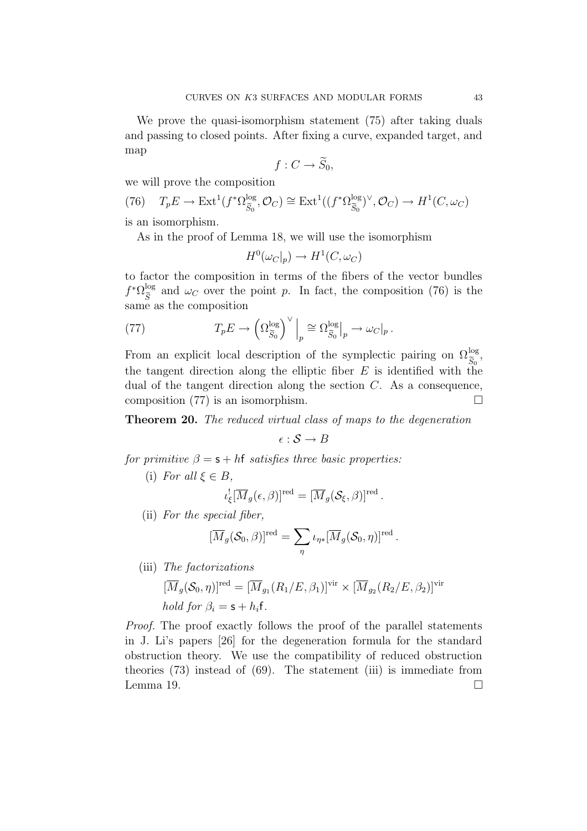We prove the quasi-isomorphism statement (75) after taking duals and passing to closed points. After fixing a curve, expanded target, and map

$$
f:C\to \widetilde{S}_0,
$$

we will prove the composition

(76) 
$$
T_p E \to \text{Ext}^1(f^* \Omega_{\widetilde{S}_0}^{\log}, \mathcal{O}_C) \cong \text{Ext}^1((f^* \Omega_{\widetilde{S}_0}^{\log})^{\vee}, \mathcal{O}_C) \to H^1(C, \omega_C)
$$

is an isomorphism.

As in the proof of Lemma 18, we will use the isomorphism

$$
H^0(\omega_C|_p) \to H^1(C, \omega_C)
$$

to factor the composition in terms of the fibers of the vector bundles  $f^* \Omega_{\widetilde{S}}^{\log}$  and  $\omega_C$  over the point p. In fact, the composition (76) is the same as the composition

(77) 
$$
T_p E \to \left(\Omega_{\widetilde{S}_0}^{\log}\right)^{\vee} \Big|_p \cong \Omega_{\widetilde{S}_0}^{\log} \Big|_p \to \omega_C|_p.
$$

From an explicit local description of the symplectic pairing on  $\Omega_{\widetilde{S}_0}^{\log}$ , the tangent direction along the elliptic fiber  $E$  is identified with the dual of the tangent direction along the section  $C$ . As a consequence, composition (77) is an isomorphism.  $\square$ 

Theorem 20. The reduced virtual class of maps to the degeneration

$$
\epsilon : \mathcal{S} \to B
$$

for primitive  $\beta = s + hf$  satisfies three basic properties:

(i) For all  $\xi \in B$ ,

$$
\iota_{\xi}^![\overline{M}_g(\epsilon,\beta)]^{\text{red}} = [\overline{M}_g(\mathcal{S}_{\xi},\beta)]^{\text{red}}.
$$

(ii) For the special fiber,

$$
[\overline{M}_g(\mathcal{S}_0,\beta)]^{\text{red}} = \sum_{\eta} \iota_{\eta*} [\overline{M}_g(\mathcal{S}_0,\eta)]^{\text{red}} \, .
$$

(iii) The factorizations

$$
[\overline{M}_g(\mathcal{S}_0, \eta)]^{\text{red}} = [\overline{M}_{g_1}(R_1/E, \beta_1)]^{\text{vir}} \times [\overline{M}_{g_2}(R_2/E, \beta_2)]^{\text{vir}}
$$
  
hold for  $\beta_i = \mathsf{s} + h_i \mathsf{f}$ .

Proof. The proof exactly follows the proof of the parallel statements in J. Li's papers [26] for the degeneration formula for the standard obstruction theory. We use the compatibility of reduced obstruction theories (73) instead of (69). The statement (iii) is immediate from Lemma 19.  $\Box$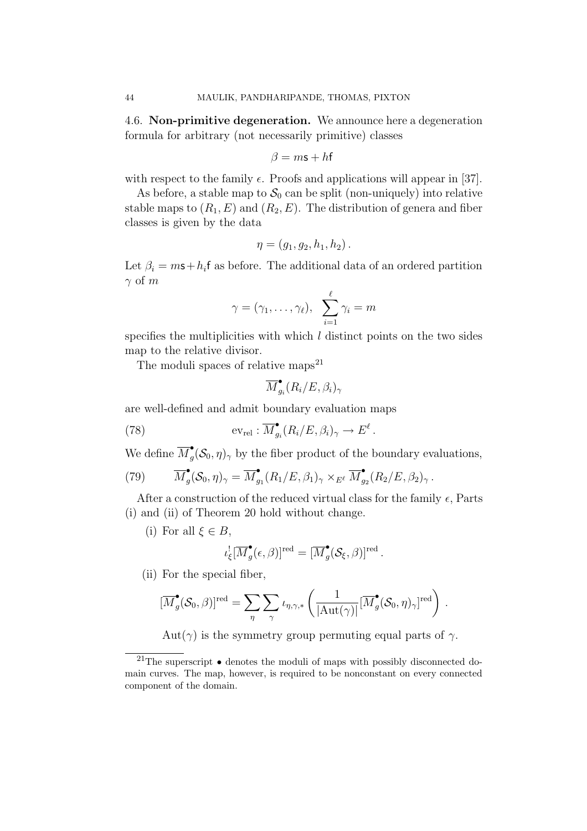4.6. Non-primitive degeneration. We announce here a degeneration formula for arbitrary (not necessarily primitive) classes

$$
\beta = m\mathbf{s} + h\mathbf{f}
$$

with respect to the family  $\epsilon$ . Proofs and applications will appear in [37].

As before, a stable map to  $S_0$  can be split (non-uniquely) into relative stable maps to  $(R_1, E)$  and  $(R_2, E)$ . The distribution of genera and fiber classes is given by the data

$$
\eta = (g_1, g_2, h_1, h_2).
$$

Let  $\beta_i = ms + h_i$  f as before. The additional data of an ordered partition  $\gamma$  of m

$$
\gamma=(\gamma_1,\ldots,\gamma_\ell),\ \sum_{i=1}^\ell\gamma_i=m
$$

specifies the multiplicities with which  $l$  distinct points on the two sides map to the relative divisor.

The moduli spaces of relative maps $^{21}$ 

$$
\overline{M}_{g_i}^\bullet(R_i/E,\beta_i)_\gamma
$$

are well-defined and admit boundary evaluation maps

(78) 
$$
\operatorname{ev}_{\operatorname{rel}}: \overline{M}_{g_i}^{\bullet}(R_i/E, \beta_i)_{\gamma} \to E^{\ell}.
$$

We define  $\overline{M}_{g}^{\bullet}(\mathcal{S}_0, \eta)_{\gamma}$  by the fiber product of the boundary evaluations,

(79) 
$$
\overline{M}_g^{\bullet}(\mathcal{S}_0, \eta)_{\gamma} = \overline{M}_{g_1}^{\bullet}(R_1/E, \beta_1)_{\gamma} \times_{E^{\ell}} \overline{M}_{g_2}^{\bullet}(R_2/E, \beta_2)_{\gamma}.
$$

After a construction of the reduced virtual class for the family  $\epsilon$ , Parts (i) and (ii) of Theorem 20 hold without change.

(i) For all  $\xi \in B$ ,

$$
\iota_{\xi}^![\overline{M}^{\bullet}_{g}(\epsilon,\beta)]^{\text{red}} = [\overline{M}^{\bullet}_{g}(\mathcal{S}_{\xi},\beta)]^{\text{red}}.
$$

(ii) For the special fiber,

$$
[\overline{M}^{\bullet}_{g}(\mathcal{S}_{0}, \beta)]^{\text{red}} = \sum_{\eta} \sum_{\gamma} \iota_{\eta, \gamma, *} \left( \frac{1}{|\text{Aut}(\gamma)|} [\overline{M}^{\bullet}_{g}(\mathcal{S}_{0}, \eta)_{\gamma}]^{\text{red}} \right) .
$$

$$
Aut(\gamma)
$$
 is the symmetry group permuting equal parts of  $\gamma$ .

<sup>&</sup>lt;sup>21</sup>The superscript  $\bullet$  denotes the moduli of maps with possibly disconnected domain curves. The map, however, is required to be nonconstant on every connected component of the domain.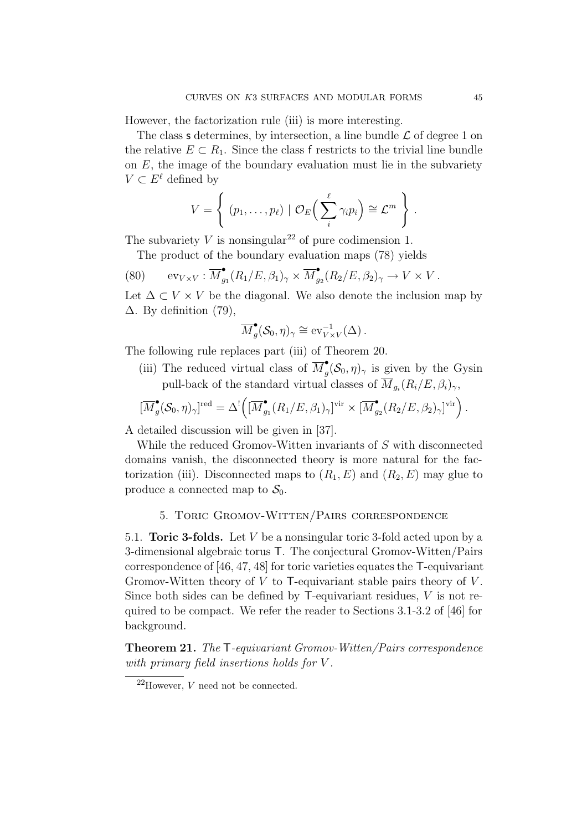However, the factorization rule (iii) is more interesting.

The class **s** determines, by intersection, a line bundle  $\mathcal{L}$  of degree 1 on the relative  $E \subset R_1$ . Since the class f restricts to the trivial line bundle on  $E$ , the image of the boundary evaluation must lie in the subvariety  $V \subset E^{\ell}$  defined by

$$
V = \left\{ (p_1, \ldots, p_\ell) \mid \mathcal{O}_E \left( \sum_i^{\ell} \gamma_i p_i \right) \cong \mathcal{L}^m \right\}.
$$

The subvariety V is nonsingular<sup>22</sup> of pure codimension 1.

The product of the boundary evaluation maps (78) yields

(80) 
$$
\operatorname{ev}_{V\times V} : \overline{M}_{g_1}^{\bullet}(R_1/E,\beta_1)_{\gamma} \times \overline{M}_{g_2}^{\bullet}(R_2/E,\beta_2)_{\gamma} \to V \times V.
$$

Let  $\Delta \subset V \times V$  be the diagonal. We also denote the inclusion map by  $\Delta$ . By definition (79),

$$
\overline{M}_g^{\bullet}(\mathcal{S}_0, \eta)_{\gamma} \cong \text{ev}_{V \times V}^{-1}(\Delta).
$$

The following rule replaces part (iii) of Theorem 20.

(iii) The reduced virtual class of  $\overline{M}_{g}^{\bullet}(\mathcal{S}_{0},\eta)_{\gamma}$  is given by the Gysin pull-back of the standard virtual classes of  $\overline{M}_{q_i}(R_i/E, \beta_i)_{\gamma}$ ,

$$
[\overline{M}_{g}^{\bullet}(\mathcal{S}_{0},\eta)_{\gamma}]^{\text{red}} = \Delta^{!} \Big([\overline{M}_{g_1}^{\bullet}(R_1/E,\beta_1)_{\gamma}]^{\text{vir}} \times [\overline{M}_{g_2}^{\bullet}(R_2/E,\beta_2)_{\gamma}]^{\text{vir}}\Big).
$$

A detailed discussion will be given in [37].

While the reduced Gromov-Witten invariants of S with disconnected domains vanish, the disconnected theory is more natural for the factorization (iii). Disconnected maps to  $(R_1, E)$  and  $(R_2, E)$  may glue to produce a connected map to  $S_0$ .

## 5. Toric Gromov-Witten/Pairs correspondence

5.1. **Toric 3-folds.** Let  $V$  be a nonsingular toric 3-fold acted upon by a 3-dimensional algebraic torus T. The conjectural Gromov-Witten/Pairs correspondence of [46, 47, 48] for toric varieties equates the T-equivariant Gromov-Witten theory of  $V$  to T-equivariant stable pairs theory of  $V$ . Since both sides can be defined by  $\mathsf{T}\text{-}\mathsf{equivariant}$  residues,  $V$  is not required to be compact. We refer the reader to Sections 3.1-3.2 of [46] for background.

Theorem 21. The T-equivariant Gromov-Witten/Pairs correspondence with primary field insertions holds for V.

 $22$ However, V need not be connected.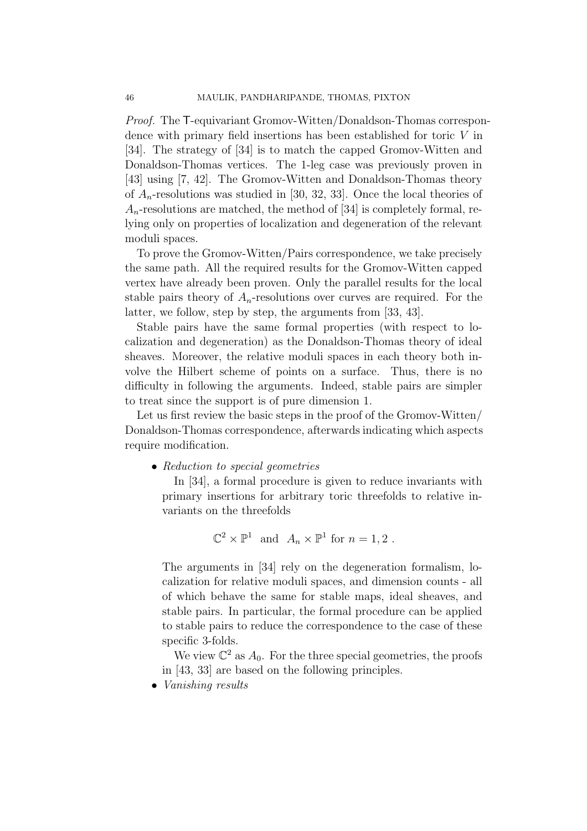Proof. The T-equivariant Gromov-Witten/Donaldson-Thomas correspondence with primary field insertions has been established for toric V in [34]. The strategy of [34] is to match the capped Gromov-Witten and Donaldson-Thomas vertices. The 1-leg case was previously proven in [43] using [7, 42]. The Gromov-Witten and Donaldson-Thomas theory of  $A_n$ -resolutions was studied in [30, 32, 33]. Once the local theories of  $A_n$ -resolutions are matched, the method of [34] is completely formal, relying only on properties of localization and degeneration of the relevant moduli spaces.

To prove the Gromov-Witten/Pairs correspondence, we take precisely the same path. All the required results for the Gromov-Witten capped vertex have already been proven. Only the parallel results for the local stable pairs theory of  $A_n$ -resolutions over curves are required. For the latter, we follow, step by step, the arguments from [33, 43].

Stable pairs have the same formal properties (with respect to localization and degeneration) as the Donaldson-Thomas theory of ideal sheaves. Moreover, the relative moduli spaces in each theory both involve the Hilbert scheme of points on a surface. Thus, there is no difficulty in following the arguments. Indeed, stable pairs are simpler to treat since the support is of pure dimension 1.

Let us first review the basic steps in the proof of the Gromov-Witten/ Donaldson-Thomas correspondence, afterwards indicating which aspects require modification.

• Reduction to special geometries

In [34], a formal procedure is given to reduce invariants with primary insertions for arbitrary toric threefolds to relative invariants on the threefolds

$$
\mathbb{C}^2 \times \mathbb{P}^1 \text{ and } A_n \times \mathbb{P}^1 \text{ for } n = 1, 2 .
$$

The arguments in [34] rely on the degeneration formalism, localization for relative moduli spaces, and dimension counts - all of which behave the same for stable maps, ideal sheaves, and stable pairs. In particular, the formal procedure can be applied to stable pairs to reduce the correspondence to the case of these specific 3-folds.

We view  $\mathbb{C}^2$  as  $A_0$ . For the three special geometries, the proofs in [43, 33] are based on the following principles.

• Vanishing results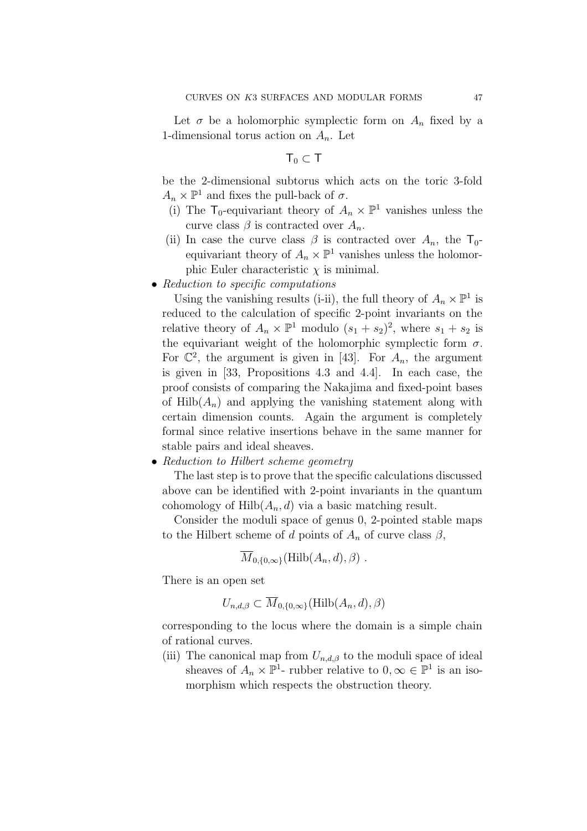Let  $\sigma$  be a holomorphic symplectic form on  $A_n$  fixed by a 1-dimensional torus action on  $A_n$ . Let

 $T_0 \subset T$ 

be the 2-dimensional subtorus which acts on the toric 3-fold  $A_n \times \mathbb{P}^1$  and fixes the pull-back of  $\sigma$ .

- (i) The  $\mathsf{T}_0$ -equivariant theory of  $A_n \times \mathbb{P}^1$  vanishes unless the curve class  $\beta$  is contracted over  $A_n$ .
- (ii) In case the curve class  $\beta$  is contracted over  $A_n$ , the  $\mathsf{T}_0$ equivariant theory of  $A_n \times \mathbb{P}^1$  vanishes unless the holomorphic Euler characteristic  $\chi$  is minimal.
- Reduction to specific computations

Using the vanishing results (i-ii), the full theory of  $A_n \times \mathbb{P}^1$  is reduced to the calculation of specific 2-point invariants on the relative theory of  $A_n \times \mathbb{P}^1$  modulo  $(s_1 + s_2)^2$ , where  $s_1 + s_2$  is the equivariant weight of the holomorphic symplectic form  $\sigma$ . For  $\mathbb{C}^2$ , the argument is given in [43]. For  $A_n$ , the argument is given in [33, Propositions 4.3 and 4.4]. In each case, the proof consists of comparing the Nakajima and fixed-point bases of  $Hilb(A_n)$  and applying the vanishing statement along with certain dimension counts. Again the argument is completely formal since relative insertions behave in the same manner for stable pairs and ideal sheaves.

• Reduction to Hilbert scheme geometry

The last step is to prove that the specific calculations discussed above can be identified with 2-point invariants in the quantum cohomology of  $Hilb(A_n, d)$  via a basic matching result.

Consider the moduli space of genus 0, 2-pointed stable maps to the Hilbert scheme of d points of  $A_n$  of curve class  $\beta$ ,

$$
\overline{M}_{0,\{0,\infty\}}(\mathrm{Hilb}(A_n,d),\beta) .
$$

There is an open set

$$
U_{n,d,\beta}\subset \overline{M}_{0,\{0,\infty\}}(\mathrm{Hilb}(A_n,d),\beta)
$$

corresponding to the locus where the domain is a simple chain of rational curves.

(iii) The canonical map from  $U_{n,d,\beta}$  to the moduli space of ideal sheaves of  $A_n \times \mathbb{P}^1$ - rubber relative to  $0, \infty \in \mathbb{P}^1$  is an isomorphism which respects the obstruction theory.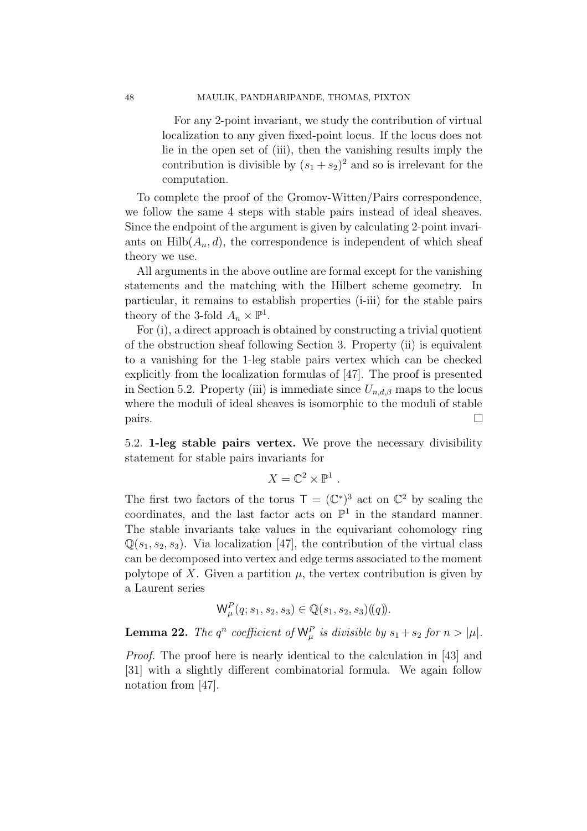For any 2-point invariant, we study the contribution of virtual localization to any given fixed-point locus. If the locus does not lie in the open set of (iii), then the vanishing results imply the contribution is divisible by  $(s_1 + s_2)^2$  and so is irrelevant for the computation.

To complete the proof of the Gromov-Witten/Pairs correspondence, we follow the same 4 steps with stable pairs instead of ideal sheaves. Since the endpoint of the argument is given by calculating 2-point invariants on  $Hilb(A_n, d)$ , the correspondence is independent of which sheaf theory we use.

All arguments in the above outline are formal except for the vanishing statements and the matching with the Hilbert scheme geometry. In particular, it remains to establish properties (i-iii) for the stable pairs theory of the 3-fold  $A_n \times \mathbb{P}^1$ .

For (i), a direct approach is obtained by constructing a trivial quotient of the obstruction sheaf following Section 3. Property (ii) is equivalent to a vanishing for the 1-leg stable pairs vertex which can be checked explicitly from the localization formulas of [47]. The proof is presented in Section 5.2. Property (iii) is immediate since  $U_{n,d,\beta}$  maps to the locus where the moduli of ideal sheaves is isomorphic to the moduli of stable pairs.  $\Box$ 

5.2. 1-leg stable pairs vertex. We prove the necessary divisibility statement for stable pairs invariants for

$$
X=\mathbb{C}^2\times\mathbb{P}^1.
$$

The first two factors of the torus  $\mathsf{T} = (\mathbb{C}^*)^3$  act on  $\mathbb{C}^2$  by scaling the coordinates, and the last factor acts on  $\mathbb{P}^1$  in the standard manner. The stable invariants take values in the equivariant cohomology ring  $\mathbb{Q}(s_1, s_2, s_3)$ . Via localization [47], the contribution of the virtual class can be decomposed into vertex and edge terms associated to the moment polytope of X. Given a partition  $\mu$ , the vertex contribution is given by a Laurent series

$$
\mathsf{W}_{\mu}^{P}(q; s_1, s_2, s_3) \in \mathbb{Q}(s_1, s_2, s_3)(\!(q)\!).
$$

**Lemma 22.** The  $q^n$  coefficient of  $\mathsf{W}_{\mu}^P$  is divisible by  $s_1 + s_2$  for  $n > |\mu|$ .

Proof. The proof here is nearly identical to the calculation in [43] and [31] with a slightly different combinatorial formula. We again follow notation from [47].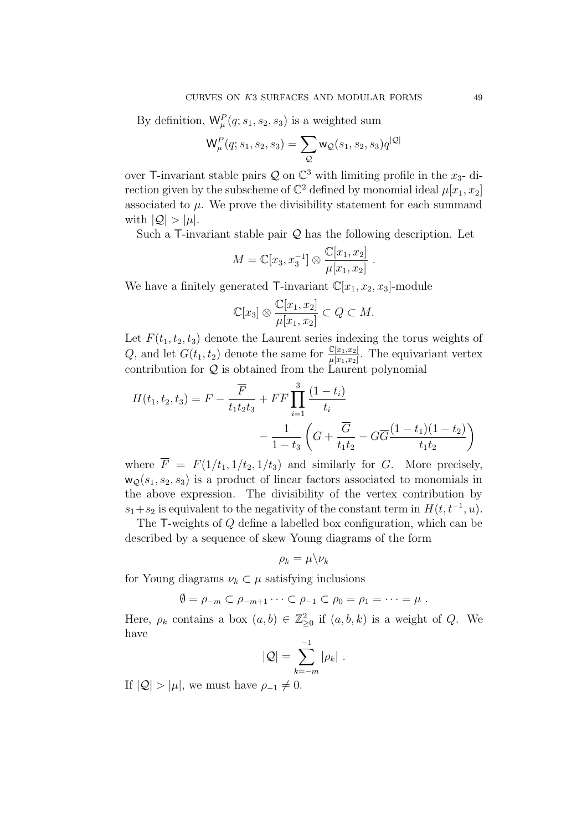By definition,  $\mathsf{W}_{\mu}^{P}(q; s_1, s_2, s_3)$  is a weighted sum

$$
\mathsf{W}_{\mu}^{P}(q;s_{1},s_{2},s_{3})=\sum_{\mathcal{Q}}\mathsf{w}_{\mathcal{Q}}(s_{1},s_{2},s_{3})q^{|\mathcal{Q}|}
$$

over T-invariant stable pairs  $\mathcal Q$  on  $\mathbb C^3$  with limiting profile in the  $x_3$ - direction given by the subscheme of  $\mathbb{C}^2$  defined by monomial ideal  $\mu[x_1, x_2]$ associated to  $\mu$ . We prove the divisibility statement for each summand with  $|Q| > |\mu|$ .

Such a  $\mathsf{T}\text{-invariant stable pair } \mathcal{Q}$  has the following description. Let

$$
M = \mathbb{C}[x_3, x_3^{-1}] \otimes \frac{\mathbb{C}[x_1, x_2]}{\mu[x_1, x_2]}.
$$

We have a finitely generated  $\mathsf{T}\text{-invariant } \mathbb{C}[x_1, x_2, x_3]$ -module

$$
\mathbb{C}[x_3] \otimes \frac{\mathbb{C}[x_1, x_2]}{\mu[x_1, x_2]} \subset Q \subset M.
$$

Let  $F(t_1, t_2, t_3)$  denote the Laurent series indexing the torus weights of Q, and let  $G(t_1, t_2)$  denote the same for  $\frac{\mathbb{C}[x_1, x_2]}{\mu[x_1, x_2]}$ . The equivariant vertex contribution for  $Q$  is obtained from the Laurent polynomial

$$
H(t_1, t_2, t_3) = F - \frac{\overline{F}}{t_1 t_2 t_3} + F \overline{F} \prod_{i=1}^3 \frac{(1 - t_i)}{t_i} - \frac{1}{1 - t_3} \left( G + \frac{\overline{G}}{t_1 t_2} - G \overline{G} \frac{(1 - t_1)(1 - t_2)}{t_1 t_2} \right)
$$

where  $\overline{F} = F(1/t_1, 1/t_2, 1/t_3)$  and similarly for G. More precisely,  $w<sub>O</sub>(s<sub>1</sub>, s<sub>2</sub>, s<sub>3</sub>)$  is a product of linear factors associated to monomials in the above expression. The divisibility of the vertex contribution by  $s_1+s_2$  is equivalent to the negativity of the constant term in  $H(t, t^{-1}, u)$ .

The T-weights of Q define a labelled box configuration, which can be described by a sequence of skew Young diagrams of the form

$$
\rho_k = \mu \backslash \nu_k
$$

for Young diagrams  $\nu_k \subset \mu$  satisfying inclusions

$$
\emptyset = \rho_{-m} \subset \rho_{-m+1} \cdots \subset \rho_{-1} \subset \rho_0 = \rho_1 = \cdots = \mu.
$$

Here,  $\rho_k$  contains a box  $(a, b) \in \mathbb{Z}_{\geq 0}^2$  if  $(a, b, k)$  is a weight of Q. We have

$$
|Q|=\sum_{k=-m}^{-1}|\rho_k|.
$$

If  $|Q| > |\mu|$ , we must have  $\rho_{-1} \neq 0$ .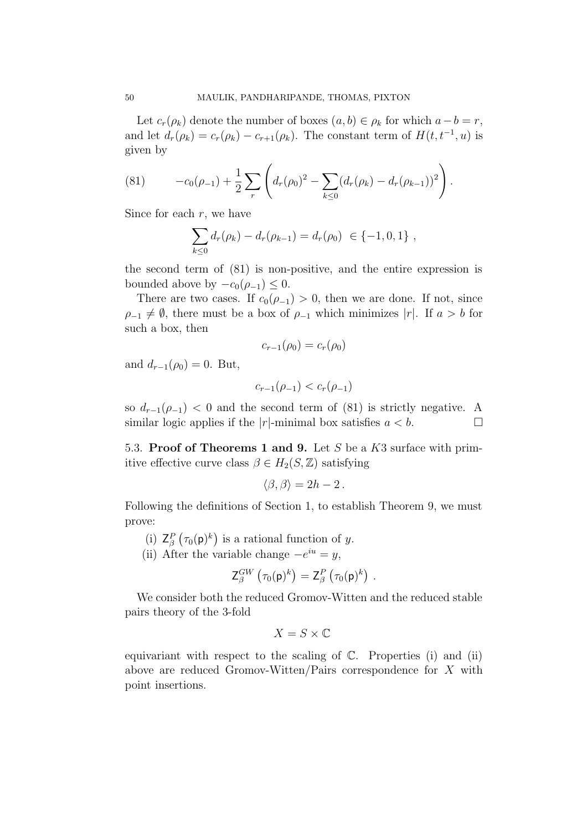Let  $c_r(\rho_k)$  denote the number of boxes  $(a, b) \in \rho_k$  for which  $a - b = r$ , and let  $d_r(\rho_k) = c_r(\rho_k) - c_{r+1}(\rho_k)$ . The constant term of  $H(t, t^{-1}, u)$  is given by

(81) 
$$
-c_0(\rho_{-1}) + \frac{1}{2} \sum_r \left( d_r(\rho_0)^2 - \sum_{k \leq 0} (d_r(\rho_k) - d_r(\rho_{k-1}))^2 \right).
$$

Since for each  $r$ , we have

$$
\sum_{k\leq 0} d_r(\rho_k) - d_r(\rho_{k-1}) = d_r(\rho_0) \in \{-1, 0, 1\} ,
$$

the second term of (81) is non-positive, and the entire expression is bounded above by  $-c_0(\rho_{-1}) \leq 0$ .

There are two cases. If  $c_0(\rho_{-1}) > 0$ , then we are done. If not, since  $\rho_{-1} \neq \emptyset$ , there must be a box of  $\rho_{-1}$  which minimizes |r|. If  $a > b$  for such a box, then

$$
c_{r-1}(\rho_0)=c_r(\rho_0)
$$

and  $d_{r-1}(\rho_0) = 0$ . But,

$$
c_{r-1}(\rho_{-1}) < c_r(\rho_{-1})
$$

so  $d_{r-1}(\rho_{-1}) < 0$  and the second term of (81) is strictly negative. A similar logic applies if the |r|-minimal box satisfies  $a < b$ . similar logic applies if the  $|r|$ -minimal box satisfies  $a < b$ .

5.3. Proof of Theorems 1 and 9. Let S be a  $K3$  surface with primitive effective curve class  $\beta \in H_2(S, \mathbb{Z})$  satisfying

$$
\langle \beta, \beta \rangle = 2h - 2.
$$

Following the definitions of Section 1, to establish Theorem 9, we must prove:

- (i)  $Z_{\beta}^{P}(\tau_0(\mathsf{p})^k)$  is a rational function of y.
- (ii) After the variable change  $-e^{iu} = y$ ,

$$
\mathsf{Z}_{\beta}^{GW}\left(\tau_0(\mathsf{p})^k\right)=\mathsf{Z}_{\beta}^{P}\left(\tau_0(\mathsf{p})^k\right).
$$

We consider both the reduced Gromov-Witten and the reduced stable pairs theory of the 3-fold

$$
X = S \times \mathbb{C}
$$

equivariant with respect to the scaling of  $\mathbb{C}$ . Properties (i) and (ii) above are reduced Gromov-Witten/Pairs correspondence for  $X$  with point insertions.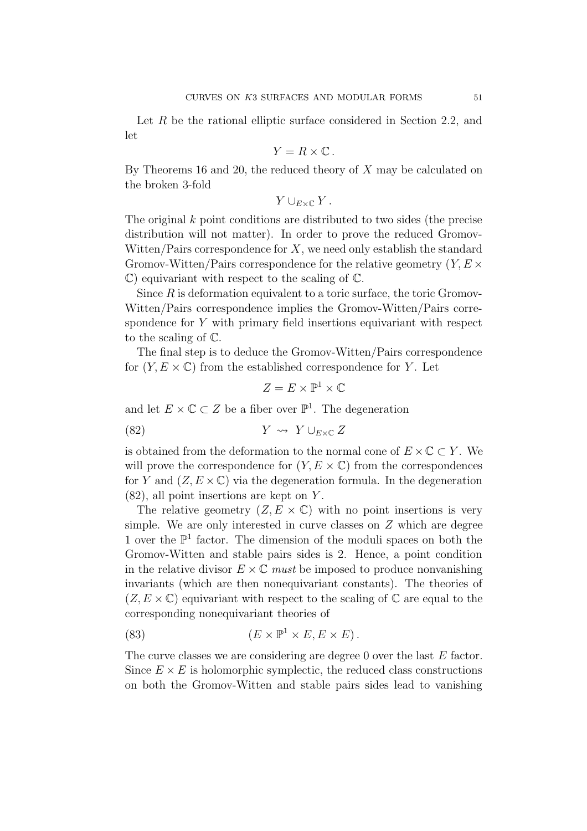Let R be the rational elliptic surface considered in Section 2.2, and let

$$
Y = R \times \mathbb{C} \, .
$$

By Theorems 16 and 20, the reduced theory of  $X$  may be calculated on the broken 3-fold

$$
Y\cup_{E\times\mathbb{C}}Y.
$$

The original k point conditions are distributed to two sides (the precise distribution will not matter). In order to prove the reduced Gromov-Witten/Pairs correspondence for  $X$ , we need only establish the standard Gromov-Witten/Pairs correspondence for the relative geometry  $(Y, E \times$ C) equivariant with respect to the scaling of C.

Since  $R$  is deformation equivalent to a toric surface, the toric Gromov-Witten/Pairs correspondence implies the Gromov-Witten/Pairs correspondence for  $Y$  with primary field insertions equivariant with respect to the scaling of C.

The final step is to deduce the Gromov-Witten/Pairs correspondence for  $(Y, E \times \mathbb{C})$  from the established correspondence for Y. Let

 $Z = E \times \mathbb{P}^1 \times \mathbb{C}$ 

and let  $E \times \mathbb{C} \subset Z$  be a fiber over  $\mathbb{P}^1$ . The degeneration

$$
(82) \t\t Y \rightsquigarrow Y \cup_{E \times \mathbb{C}} Z
$$

is obtained from the deformation to the normal cone of  $E \times \mathbb{C} \subset Y$ . We will prove the correspondence for  $(Y, E \times \mathbb{C})$  from the correspondences for Y and  $(Z, E \times \mathbb{C})$  via the degeneration formula. In the degeneration  $(82)$ , all point insertions are kept on Y.

The relative geometry  $(Z, E \times \mathbb{C})$  with no point insertions is very simple. We are only interested in curve classes on Z which are degree 1 over the  $\mathbb{P}^1$  factor. The dimension of the moduli spaces on both the Gromov-Witten and stable pairs sides is 2. Hence, a point condition in the relative divisor  $E \times \mathbb{C}$  must be imposed to produce nonvanishing invariants (which are then nonequivariant constants). The theories of  $(Z, E \times \mathbb{C})$  equivariant with respect to the scaling of  $\mathbb{C}$  are equal to the corresponding nonequivariant theories of

(83) 
$$
(E \times \mathbb{P}^1 \times E, E \times E).
$$

The curve classes we are considering are degree 0 over the last E factor. Since  $E \times E$  is holomorphic symplectic, the reduced class constructions on both the Gromov-Witten and stable pairs sides lead to vanishing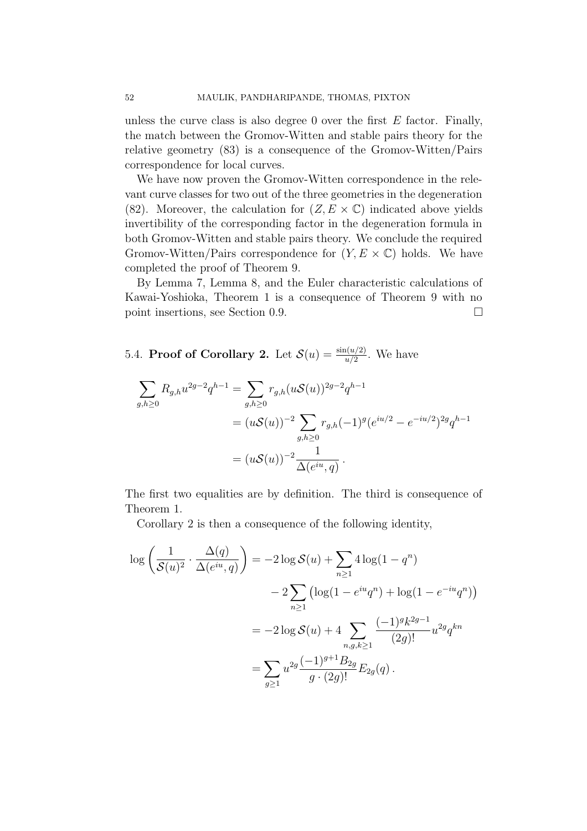unless the curve class is also degree 0 over the first  $E$  factor. Finally, the match between the Gromov-Witten and stable pairs theory for the relative geometry (83) is a consequence of the Gromov-Witten/Pairs correspondence for local curves.

We have now proven the Gromov-Witten correspondence in the relevant curve classes for two out of the three geometries in the degeneration (82). Moreover, the calculation for  $(Z, E \times \mathbb{C})$  indicated above yields invertibility of the corresponding factor in the degeneration formula in both Gromov-Witten and stable pairs theory. We conclude the required Gromov-Witten/Pairs correspondence for  $(Y, E \times \mathbb{C})$  holds. We have completed the proof of Theorem 9.

By Lemma 7, Lemma 8, and the Euler characteristic calculations of Kawai-Yoshioka, Theorem 1 is a consequence of Theorem 9 with no point insertions, see Section 0.9.

5.4. **Proof of Corollary 2.** Let  $\mathcal{S}(u) = \frac{\sin(u/2)}{u/2}$ . We have

$$
\sum_{g,h\geq 0} R_{g,h} u^{2g-2} q^{h-1} = \sum_{g,h\geq 0} r_{g,h} (u\mathcal{S}(u))^{2g-2} q^{h-1}
$$
  
=  $(u\mathcal{S}(u))^{-2} \sum_{g,h\geq 0} r_{g,h} (-1)^g (e^{iu/2} - e^{-iu/2})^{2g} q^{h-1}$   
=  $(u\mathcal{S}(u))^{-2} \frac{1}{\Delta(e^{iu}, q)}$ .

The first two equalities are by definition. The third is consequence of Theorem 1.

Corollary 2 is then a consequence of the following identity,

$$
\log\left(\frac{1}{\mathcal{S}(u)^2} \cdot \frac{\Delta(q)}{\Delta(e^{iu}, q)}\right) = -2\log \mathcal{S}(u) + \sum_{n \ge 1} 4\log(1 - q^n) \n-2\sum_{n \ge 1} \left(\log(1 - e^{iu}q^n) + \log(1 - e^{-iu}q^n)\right) \n= -2\log \mathcal{S}(u) + 4\sum_{n, g, k \ge 1} \frac{(-1)^g k^{2g-1}}{(2g)!} u^{2g} q^{kn} \n= \sum_{g \ge 1} u^{2g} \frac{(-1)^{g+1} B_{2g}}{g \cdot (2g)!} E_{2g}(q).
$$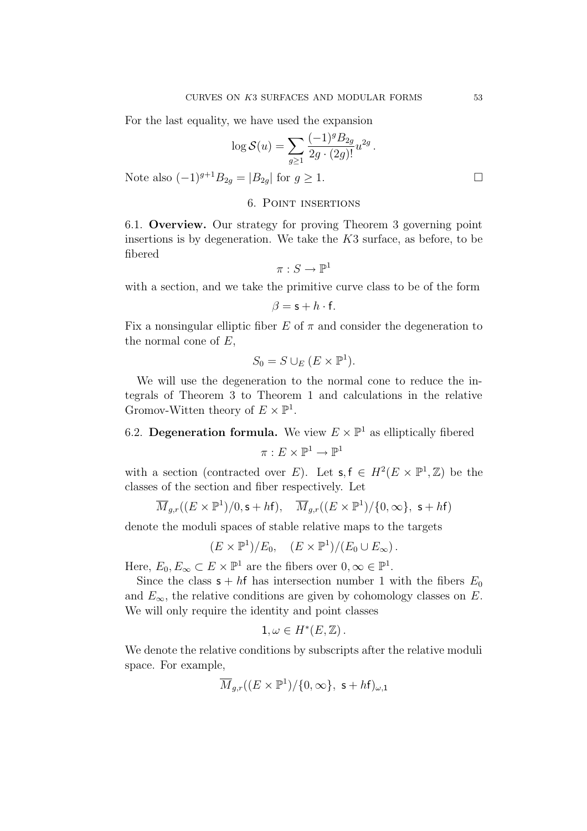For the last equality, we have used the expansion

$$
\log \mathcal{S}(u) = \sum_{g \ge 1} \frac{(-1)^g B_{2g}}{2g \cdot (2g)!} u^{2g}.
$$

Note also  $(-1)^{g+1}B_{2g} = |B_{2g}|$  for  $g \ge 1$ . □

## 6. Point insertions

6.1. Overview. Our strategy for proving Theorem 3 governing point insertions is by degeneration. We take the  $K3$  surface, as before, to be fibered

$$
\pi:S\to\mathbb{P}^1
$$

with a section, and we take the primitive curve class to be of the form

$$
\beta = \mathsf{s} + h \cdot \mathsf{f}.
$$

Fix a nonsingular elliptic fiber E of  $\pi$  and consider the degeneration to the normal cone of  $E$ ,

$$
S_0 = S \cup_E (E \times \mathbb{P}^1).
$$

We will use the degeneration to the normal cone to reduce the integrals of Theorem 3 to Theorem 1 and calculations in the relative Gromov-Witten theory of  $E \times \mathbb{P}^1$ .

# 6.2. Degeneration formula. We view  $E \times \mathbb{P}^1$  as elliptically fibered  $\pi : E \times \mathbb{P}^1 \longrightarrow \mathbb{P}^1$

with a section (contracted over E). Let  $\mathsf{s}, \mathsf{f} \in H^2(E \times \mathbb{P}^1, \mathbb{Z})$  be the classes of the section and fiber respectively. Let

$$
\overline{M}_{g,r}((E\times\mathbb{P}^1)/0,\mathsf{s}+h\mathsf{f}),\quad \overline{M}_{g,r}((E\times\mathbb{P}^1)/\{0,\infty\},\ \mathsf{s}+h\mathsf{f})
$$

denote the moduli spaces of stable relative maps to the targets

$$
(E \times \mathbb{P}^1)/E_0, \quad (E \times \mathbb{P}^1)/(E_0 \cup E_\infty).
$$

Here,  $E_0, E_\infty \subset E \times \mathbb{P}^1$  are the fibers over  $0, \infty \in \mathbb{P}^1$ .

Since the class  $s + hf$  has intersection number 1 with the fibers  $E_0$ and  $E_{\infty}$ , the relative conditions are given by cohomology classes on E. We will only require the identity and point classes

$$
1,\omega\in H^*(E,\mathbb{Z})\,.
$$

We denote the relative conditions by subscripts after the relative moduli space. For example,

$$
\overline{M}_{g,r}((E\times\mathbb{P}^1)/\{0,\infty\},\ \mathsf{s}+h\mathsf{f})_{\omega,\mathsf{1}}
$$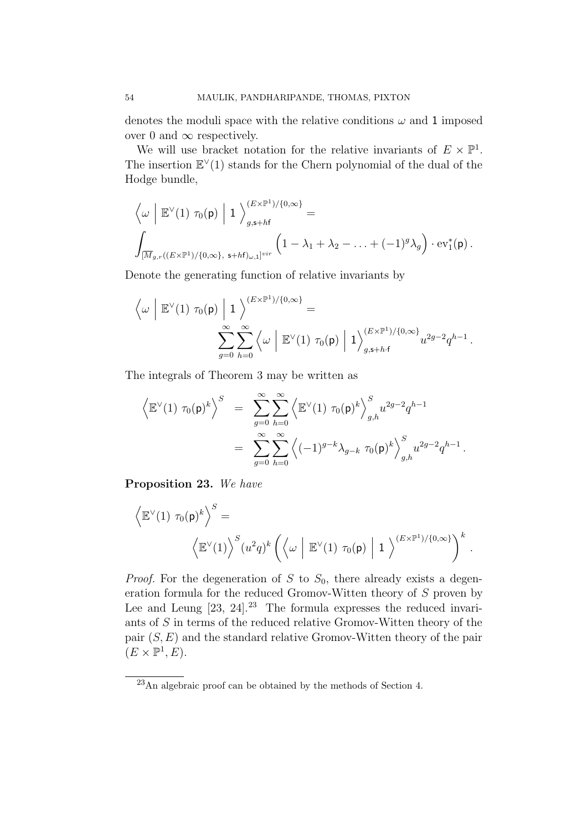denotes the moduli space with the relative conditions  $\omega$  and 1 imposed over 0 and  $\infty$  respectively.

We will use bracket notation for the relative invariants of  $E \times \mathbb{P}^1$ . The insertion  $E<sup>V</sup>(1)$  stands for the Chern polynomial of the dual of the Hodge bundle,

$$
\left\langle \omega \mid \mathbb{E}^{\vee}(1) \tau_0(\mathsf{p}) \mid 1 \right\rangle_{g,\mathsf{s}+h\mathsf{f}}^{(E \times \mathbb{P}^1)/\{0,\infty\}} =
$$
\n
$$
\int_{[\overline{M}_{g,r}((E \times \mathbb{P}^1)/\{0,\infty\},\ \mathsf{s}+h\mathsf{f})_{\omega,1}]^{vir}} \left(1 - \lambda_1 + \lambda_2 - \ldots + (-1)^g \lambda_g\right) \cdot \mathrm{ev}_1^*(\mathsf{p}).
$$

Denote the generating function of relative invariants by

$$
\left\langle \omega \mid \mathbb{E}^\vee(1) \; \tau_0(\mathsf{p}) \mid 1 \right\rangle^{(E \times \mathbb{P}^1)/\{0,\infty\}} =
$$
  

$$
\sum_{g=0}^{\infty} \sum_{h=0}^{\infty} \left\langle \omega \mid \mathbb{E}^\vee(1) \; \tau_0(\mathsf{p}) \mid 1 \right\rangle_{g,\mathsf{s+h\cdot f}}^{(E \times \mathbb{P}^1)/\{0,\infty\}} u^{2g-2} q^{h-1}.
$$

The integrals of Theorem 3 may be written as

$$
\left\langle \mathbb{E}^{\vee}(1) \ \tau_0(\mathsf{p})^k \right\rangle^S \ = \ \sum_{g=0}^{\infty} \sum_{h=0}^{\infty} \left\langle \mathbb{E}^{\vee}(1) \ \tau_0(\mathsf{p})^k \right\rangle_{g,h}^S u^{2g-2} q^{h-1}
$$
  

$$
= \ \sum_{g=0}^{\infty} \sum_{h=0}^{\infty} \left\langle (-1)^{g-k} \lambda_{g-k} \ \tau_0(\mathsf{p})^k \right\rangle_{g,h}^S u^{2g-2} q^{h-1}.
$$

Proposition 23. We have

$$
\langle \mathbb{E}^{\vee}(1) \tau_0(\mathsf{p})^k \rangle^S =
$$

$$
\langle \mathbb{E}^{\vee}(1) \rangle^S (u^2 q)^k \left( \langle \omega \mid \mathbb{E}^{\vee}(1) \tau_0(\mathsf{p}) \mid 1 \rangle^{(E \times \mathbb{P}^1)/\{0,\infty\}} \right)^k.
$$

*Proof.* For the degeneration of S to  $S_0$ , there already exists a degeneration formula for the reduced Gromov-Witten theory of  $S$  proven by Lee and Leung  $[23, 24]$ .<sup>23</sup> The formula expresses the reduced invariants of S in terms of the reduced relative Gromov-Witten theory of the pair  $(S, E)$  and the standard relative Gromov-Witten theory of the pair  $(E \times \mathbb{P}^1, E).$ 

<sup>23</sup>An algebraic proof can be obtained by the methods of Section 4.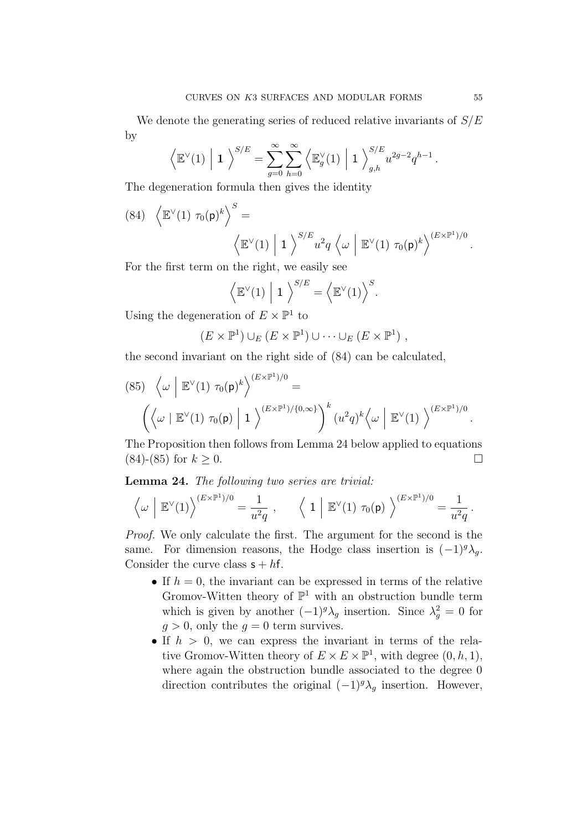We denote the generating series of reduced relative invariants of  $S/E$ by

$$
\left\langle \mathbb{E}^\vee(1) \middle| 1 \right\rangle^{S/E} = \sum_{g=0}^\infty \sum_{h=0}^\infty \left\langle \mathbb{E}_g^\vee(1) \middle| 1 \right\rangle_{g,h}^{S/E} u^{2g-2} q^{h-1}.
$$

The degeneration formula then gives the identity

(84) 
$$
\langle \mathbb{E}^{\vee}(1) \tau_0(\mathbf{p})^k \rangle^S =
$$
  
 $\langle \mathbb{E}^{\vee}(1) | 1 \rangle^{S/E} u^2 q \langle \omega | \mathbb{E}^{\vee}(1) \tau_0(\mathbf{p})^k \rangle^{(E \times \mathbb{P}^1)/0}.$ 

For the first term on the right, we easily see

$$
\left\langle \mathbb{E}^{\vee}(1) \middle| 1 \right\rangle^{S/E} = \left\langle \mathbb{E}^{\vee}(1) \right\rangle^{S}.
$$

Using the degeneration of  $E \times \mathbb{P}^1$  to

$$
(E \times \mathbb{P}^1) \cup_E (E \times \mathbb{P}^1) \cup \cdots \cup_E (E \times \mathbb{P}^1) ,
$$

the second invariant on the right side of (84) can be calculated,

(85) 
$$
\left\langle \omega \middle| \mathbb{E}^{\vee}(1) \tau_0(\mathsf{p})^k \right\rangle^{(E \times \mathbb{P}^1)/0} =
$$
  
 $\left( \left\langle \omega \middle| \mathbb{E}^{\vee}(1) \tau_0(\mathsf{p}) \middle| 1 \right\rangle^{(E \times \mathbb{P}^1)/\{0,\infty\}} \right)^k (u^2 q)^k \left\langle \omega \middle| \mathbb{E}^{\vee}(1) \right\rangle^{(E \times \mathbb{P}^1)/0}.$ 

The Proposition then follows from Lemma 24 below applied to equations  $(84)$ - $(85)$  for  $k > 0$ .

Lemma 24. The following two series are trivial:

$$
\left\langle \omega \ \middle| \ \mathbb{E}^{\vee}(1) \right\rangle^{(E \times \mathbb{P}^1)/0} = \frac{1}{u^2 q} \ , \qquad \left\langle \ 1 \ \middle| \ \mathbb{E}^{\vee}(1) \ \tau_0(\mathsf{p}) \ \right\rangle^{(E \times \mathbb{P}^1)/0} = \frac{1}{u^2 q} \ .
$$

Proof. We only calculate the first. The argument for the second is the same. For dimension reasons, the Hodge class insertion is  $(-1)^{g} \lambda_g$ . Consider the curve class  $s + hf$ .

- If  $h = 0$ , the invariant can be expressed in terms of the relative Gromov-Witten theory of  $\mathbb{P}^1$  with an obstruction bundle term which is given by another  $(-1)^g \lambda_g$  insertion. Since  $\lambda_g^2 = 0$  for  $q > 0$ , only the  $q = 0$  term survives.
- If  $h > 0$ , we can express the invariant in terms of the relative Gromov-Witten theory of  $E \times E \times \mathbb{P}^1$ , with degree  $(0, h, 1)$ , where again the obstruction bundle associated to the degree 0 direction contributes the original  $(-1)^{g} \lambda_{g}$  insertion. However,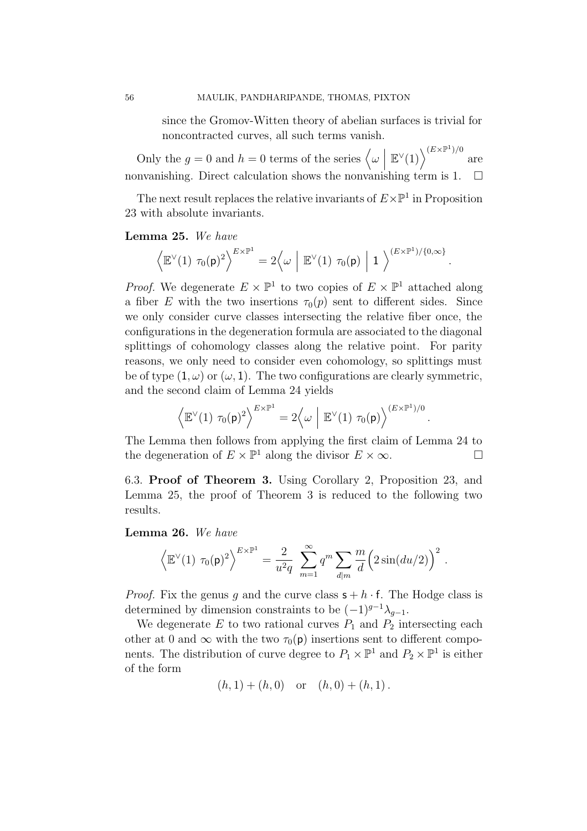since the Gromov-Witten theory of abelian surfaces is trivial for noncontracted curves, all such terms vanish.

Only the  $g = 0$  and  $h = 0$  terms of the series  $\langle \omega | \mathbb{E}^{\vee}(1) \rangle^{(E \times \mathbb{P}^1)/0}$  are nonvanishing. Direct calculation shows the nonvanishing term is  $1. \square$ 

The next result replaces the relative invariants of  $E\times\mathbb{P}^1$  in Proposition 23 with absolute invariants.

#### Lemma 25. We have

$$
\left\langle \mathbb{E}^\vee(1) \ \tau_0(\mathsf{p})^2 \right\rangle^{E \times \mathbb{P}^1} = 2 \left\langle \omega \ \middle| \ \mathbb{E}^\vee(1) \ \tau_0(\mathsf{p}) \ \middle| \ 1 \ \right\rangle^{(E \times \mathbb{P}^1)/\{0,\infty\}}.
$$

*Proof.* We degenerate  $E \times \mathbb{P}^1$  to two copies of  $E \times \mathbb{P}^1$  attached along a fiber E with the two insertions  $\tau_0(p)$  sent to different sides. Since we only consider curve classes intersecting the relative fiber once, the configurations in the degeneration formula are associated to the diagonal splittings of cohomology classes along the relative point. For parity reasons, we only need to consider even cohomology, so splittings must be of type  $(1, \omega)$  or  $(\omega, 1)$ . The two configurations are clearly symmetric, and the second claim of Lemma 24 yields

$$
\left\langle \mathbb{E}^{\vee}(1) \ \tau_0(\mathsf{p})^2 \right\rangle^{E \times \mathbb{P}^1} = 2 \left\langle \omega \mid \mathbb{E}^{\vee}(1) \ \tau_0(\mathsf{p}) \right\rangle^{(E \times \mathbb{P}^1)/0}
$$

.

The Lemma then follows from applying the first claim of Lemma 24 to the degeneration of  $E \times \mathbb{P}^1$  along the divisor  $E \times \infty$ .

6.3. Proof of Theorem 3. Using Corollary 2, Proposition 23, and Lemma 25, the proof of Theorem 3 is reduced to the following two results.

Lemma 26. We have

$$
\left\langle \mathbb{E}^{\vee}(1) \tau_0(\mathsf{p})^2 \right\rangle^{E \times \mathbb{P}^1} = \frac{2}{u^2 q} \sum_{m=1}^{\infty} q^m \sum_{d|m} \frac{m}{d} \left( 2 \sin(du/2) \right)^2.
$$

*Proof.* Fix the genus q and the curve class  $s + h \cdot f$ . The Hodge class is determined by dimension constraints to be  $(-1)^{g-1}\lambda_{g-1}$ .

We degenerate  $E$  to two rational curves  $P_1$  and  $P_2$  intersecting each other at 0 and  $\infty$  with the two  $\tau_0(\mathsf{p})$  insertions sent to different components. The distribution of curve degree to  $P_1 \times \mathbb{P}^1$  and  $P_2 \times \mathbb{P}^1$  is either of the form

$$
(h, 1) + (h, 0)
$$
 or  $(h, 0) + (h, 1)$ .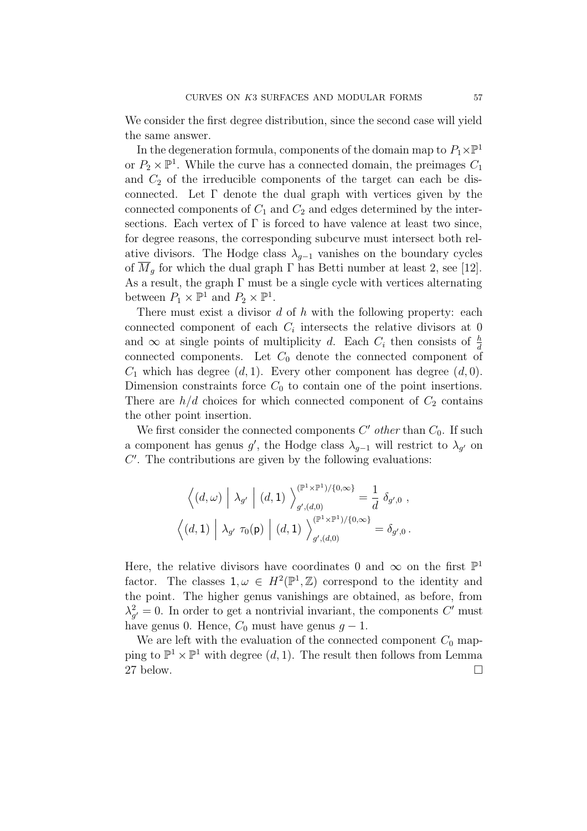We consider the first degree distribution, since the second case will yield the same answer.

In the degeneration formula, components of the domain map to  $P_1\times\mathbb{P}^1$ or  $P_2 \times \mathbb{P}^1$ . While the curve has a connected domain, the preimages  $C_1$ and  $C_2$  of the irreducible components of the target can each be disconnected. Let  $\Gamma$  denote the dual graph with vertices given by the connected components of  $C_1$  and  $C_2$  and edges determined by the intersections. Each vertex of  $\Gamma$  is forced to have valence at least two since, for degree reasons, the corresponding subcurve must intersect both relative divisors. The Hodge class  $\lambda_{q-1}$  vanishes on the boundary cycles of  $M<sub>q</sub>$  for which the dual graph  $\Gamma$  has Betti number at least 2, see [12]. As a result, the graph  $\Gamma$  must be a single cycle with vertices alternating between  $P_1 \times \mathbb{P}^1$  and  $P_2 \times \mathbb{P}^1$ .

There must exist a divisor  $d$  of  $h$  with the following property: each connected component of each  $C_i$  intersects the relative divisors at 0 and  $\infty$  at single points of multiplicity d. Each  $C_i$  then consists of  $\frac{h}{d}$ connected components. Let  $C_0$  denote the connected component of  $C_1$  which has degree  $(d, 1)$ . Every other component has degree  $(d, 0)$ . Dimension constraints force  $C_0$  to contain one of the point insertions. There are  $h/d$  choices for which connected component of  $C_2$  contains the other point insertion.

We first consider the connected components  $C'$  other than  $C_0$ . If such a component has genus  $g'$ , the Hodge class  $\lambda_{g-1}$  will restrict to  $\lambda_{g'}$  on  $C'$ . The contributions are given by the following evaluations:

$$
\left\langle (d,\omega) \middle| \lambda_{g'} \middle| (d,1) \right\rangle_{g',(d,0)}^{(\mathbb{P}^1 \times \mathbb{P}^1)/\{0,\infty\}} = \frac{1}{d} \delta_{g',0} ,
$$

$$
\left\langle (d,1) \middle| \lambda_{g'} \tau_0(\mathsf{p}) \middle| (d,1) \right\rangle_{g',(d,0)}^{(\mathbb{P}^1 \times \mathbb{P}^1)/\{0,\infty\}} = \delta_{g',0} .
$$

Here, the relative divisors have coordinates 0 and  $\infty$  on the first  $\mathbb{P}^1$ factor. The classes  $1, \omega \in H^2(\mathbb{P}^1, \mathbb{Z})$  correspond to the identity and the point. The higher genus vanishings are obtained, as before, from  $\lambda_{g'}^2 = 0$ . In order to get a nontrivial invariant, the components C' must have genus 0. Hence,  $C_0$  must have genus  $g - 1$ .

We are left with the evaluation of the connected component  $C_0$  mapping to  $\mathbb{P}^1 \times \mathbb{P}^1$  with degree  $(d, 1)$ . The result then follows from Lemma 27 below.  $\square$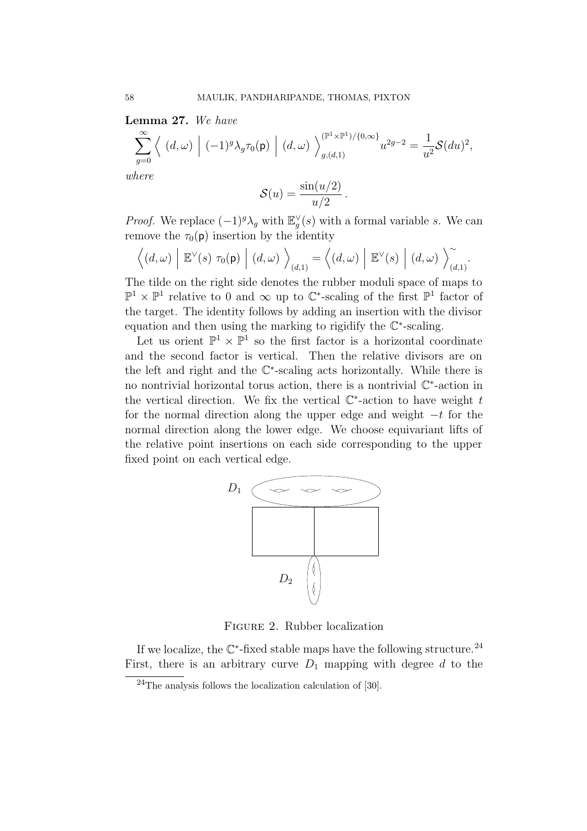Lemma 27. We have

$$
\sum_{g=0}^{\infty} \left\langle (d,\omega) \mid (-1)^g \lambda_g \tau_0(\mathbf{p}) \mid (d,\omega) \right\rangle_{g,(d,1)}^{(\mathbb{P}^1 \times \mathbb{P}^1)/\{0,\infty\}} u^{2g-2} = \frac{1}{u^2} \mathcal{S}(du)^2,
$$

where

$$
\mathcal{S}(u) = \frac{\sin(u/2)}{u/2} \, .
$$

*Proof.* We replace  $(-1)^g \lambda_g$  with  $\mathbb{E}_g^{\vee}(s)$  with a formal variable s. We can remove the  $\tau_0(\mathsf{p})$  insertion by the identity

$$
\left\langle (d,\omega) \middle| \mathbb{E}^{\vee}(s) \tau_0(\mathsf{p}) \middle| (d,\omega) \right\rangle_{(d,1)} = \left\langle (d,\omega) \middle| \mathbb{E}^{\vee}(s) \middle| (d,\omega) \right\rangle_{(d,1)}^{\sim}.
$$

The tilde on the right side denotes the rubber moduli space of maps to  $\mathbb{P}^1$  ×  $\mathbb{P}^1$  relative to 0 and ∞ up to  $\mathbb{C}^*$ -scaling of the first  $\mathbb{P}^1$  factor of the target. The identity follows by adding an insertion with the divisor equation and then using the marking to rigidify the C∗-scaling.

Let us orient  $\mathbb{P}^1 \times \mathbb{P}^1$  so the first factor is a horizontal coordinate and the second factor is vertical. Then the relative divisors are on the left and right and the  $\mathbb{C}^*$ -scaling acts horizontally. While there is no nontrivial horizontal torus action, there is a nontrivial C∗-action in the vertical direction. We fix the vertical  $\mathbb{C}^*$ -action to have weight t for the normal direction along the upper edge and weight  $-t$  for the normal direction along the lower edge. We choose equivariant lifts of the relative point insertions on each side corresponding to the upper fixed point on each vertical edge.



Figure 2. Rubber localization

If we localize, the  $\mathbb{C}^*$ -fixed stable maps have the following structure.<sup>24</sup> First, there is an arbitrary curve  $D_1$  mapping with degree d to the

<sup>24</sup>The analysis follows the localization calculation of [30].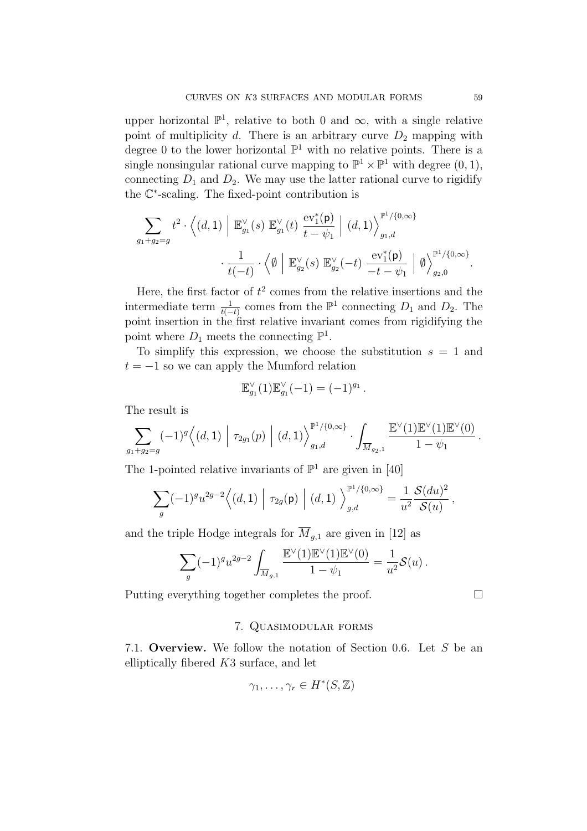upper horizontal  $\mathbb{P}^1$ , relative to both 0 and  $\infty$ , with a single relative point of multiplicity d. There is an arbitrary curve  $D_2$  mapping with degree 0 to the lower horizontal  $\mathbb{P}^1$  with no relative points. There is a single nonsingular rational curve mapping to  $\mathbb{P}^1 \times \mathbb{P}^1$  with degree  $(0, 1)$ , connecting  $D_1$  and  $D_2$ . We may use the latter rational curve to rigidify the C∗-scaling. The fixed-point contribution is

$$
\sum_{g_1+g_2=g} t^2 \cdot \left\langle (d,1) \middle| \mathbb{E}_{g_1}^{\vee}(s) \mathbb{E}_{g_1}^{\vee}(t) \frac{\mathrm{ev}_1^*(\mathsf{p})}{t-\psi_1} \middle| (d,1) \right\rangle_{g_1,d}^{\mathbb{P}^1/\{0,\infty\}} \cdot \frac{1}{t(-t)} \cdot \left\langle \emptyset \middle| \mathbb{E}_{g_2}^{\vee}(s) \mathbb{E}_{g_2}^{\vee}(-t) \frac{\mathrm{ev}_1^*(\mathsf{p})}{-t-\psi_1} \middle| \emptyset \right\rangle_{g_2,0}^{\mathbb{P}^1/\{0,\infty\}}.
$$

Here, the first factor of  $t^2$  comes from the relative insertions and the intermediate term  $\frac{1}{t(-t)}$  comes from the  $\mathbb{P}^1$  connecting  $D_1$  and  $D_2$ . The point insertion in the first relative invariant comes from rigidifying the point where  $D_1$  meets the connecting  $\mathbb{P}^1$ .

To simplify this expression, we choose the substitution  $s = 1$  and  $t = -1$  so we can apply the Mumford relation

$$
\mathbb{E}_{g_1}^{\vee}(1)\mathbb{E}_{g_1}^{\vee}(-1) = (-1)^{g_1}.
$$

The result is

$$
\sum_{g_1+g_2=g} (-1)^g \Big\langle (d,1) \Big| \tau_{2g_1}(p) \Big| (d,1) \Big\rangle_{g_1,d}^{\mathbb{P}^1/\{0,\infty\}} \cdot \int_{\overline{M}_{g_2,1}} \frac{\mathbb{E}^{\vee}(1)\mathbb{E}^{\vee}(1)\mathbb{E}^{\vee}(0)}{1-\psi_1}.
$$

The 1-pointed relative invariants of  $\mathbb{P}^1$  are given in [40]

$$
\sum_{g} (-1)^{g} u^{2g-2} \Big\langle (d,1) \Big| \tau_{2g}(\mathsf{p}) \Big| (d,1) \Big\rangle_{g,d}^{\mathbb{P}^1/\{0,\infty\}} = \frac{1}{u^2} \frac{\mathcal{S}(du)^2}{\mathcal{S}(u)},
$$

and the triple Hodge integrals for  $\overline{M}_{q,1}$  are given in [12] as

$$
\sum_{g} (-1)^{g} u^{2g-2} \int_{\overline{M}_{g,1}} \frac{\mathbb{E}^{\vee}(1)\mathbb{E}^{\vee}(1)\mathbb{E}^{\vee}(0)}{1-\psi_1} = \frac{1}{u^2} \mathcal{S}(u) .
$$

Putting everything together completes the proof.

## 7. Quasimodular forms

7.1. Overview. We follow the notation of Section 0.6. Let S be an elliptically fibered K3 surface, and let

$$
\gamma_1,\ldots,\gamma_r\in H^*(S,\mathbb{Z})
$$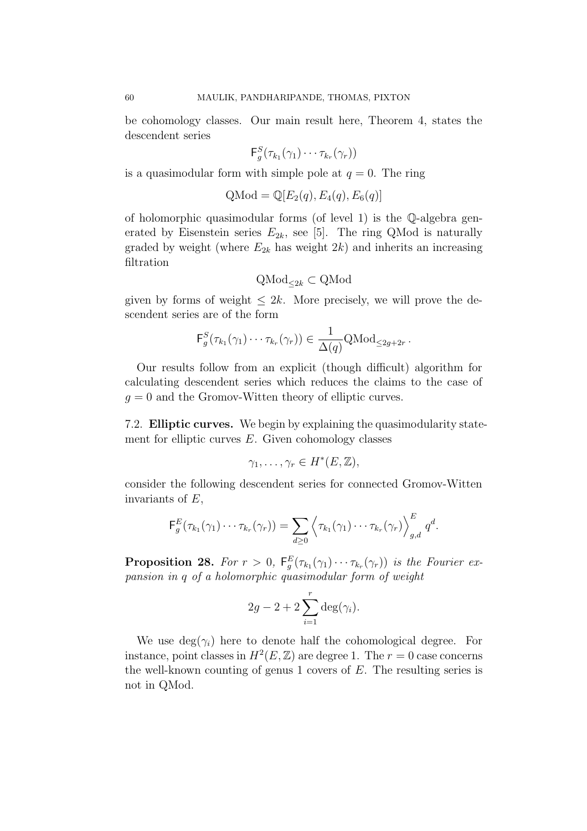be cohomology classes. Our main result here, Theorem 4, states the descendent series

$$
\mathsf{F}^S_g(\tau_{k_1}(\gamma_1)\cdots\tau_{k_r}(\gamma_r))
$$

is a quasimodular form with simple pole at  $q = 0$ . The ring

$$
Q\text{Mod} = \mathbb{Q}[E_2(q), E_4(q), E_6(q)]
$$

of holomorphic quasimodular forms (of level 1) is the Q-algebra generated by Eisenstein series  $E_{2k}$ , see [5]. The ring QMod is naturally graded by weight (where  $E_{2k}$  has weight  $2k$ ) and inherits an increasing filtration

$$
\mathrm{QMod}_{\leq 2k} \subset \mathrm{QMod}
$$

given by forms of weight  $\leq 2k$ . More precisely, we will prove the descendent series are of the form

$$
\mathsf{F}_g^S(\tau_{k_1}(\gamma_1)\cdots\tau_{k_r}(\gamma_r))\in\frac{1}{\Delta(q)}\mathrm{QMod}_{\leq 2g+2r}.
$$

Our results follow from an explicit (though difficult) algorithm for calculating descendent series which reduces the claims to the case of  $g = 0$  and the Gromov-Witten theory of elliptic curves.

7.2. Elliptic curves. We begin by explaining the quasimodularity statement for elliptic curves  $E$ . Given cohomology classes

$$
\gamma_1,\ldots,\gamma_r\in H^*(E,\mathbb{Z}),
$$

consider the following descendent series for connected Gromov-Witten invariants of  $E$ ,

$$
\mathsf{F}_g^E(\tau_{k_1}(\gamma_1)\cdots\tau_{k_r}(\gamma_r))=\sum_{d\geq 0}\left\langle\tau_{k_1}(\gamma_1)\cdots\tau_{k_r}(\gamma_r)\right\rangle_{g,d}^E q^d.
$$

**Proposition 28.** For  $r > 0$ ,  $F_g^E(\tau_{k_1}(\gamma_1)\cdots \tau_{k_r}(\gamma_r))$  is the Fourier expansion in q of a holomorphic quasimodular form of weight

$$
2g - 2 + 2\sum_{i=1}^r \deg(\gamma_i).
$$

We use  $deg(\gamma_i)$  here to denote half the cohomological degree. For instance, point classes in  $H^2(E, \mathbb{Z})$  are degree 1. The  $r = 0$  case concerns the well-known counting of genus 1 covers of  $E$ . The resulting series is not in QMod.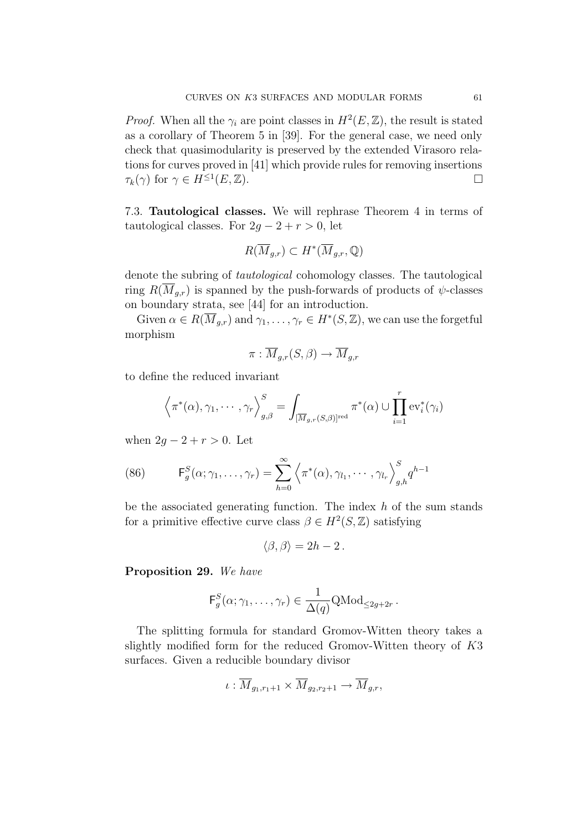*Proof.* When all the  $\gamma_i$  are point classes in  $H^2(E, \mathbb{Z})$ , the result is stated as a corollary of Theorem 5 in [39]. For the general case, we need only check that quasimodularity is preserved by the extended Virasoro relations for curves proved in [41] which provide rules for removing insertions  $\tau_k(\gamma)$  for  $\gamma \in H^{\leq 1}(E, \mathbb{Z})$ .

7.3. Tautological classes. We will rephrase Theorem 4 in terms of tautological classes. For  $2g - 2 + r > 0$ , let

$$
R(\overline{M}_{g,r}) \subset H^*(\overline{M}_{g,r}, \mathbb{Q})
$$

denote the subring of tautological cohomology classes. The tautological ring  $R(M_{g,r})$  is spanned by the push-forwards of products of  $\psi$ -classes on boundary strata, see [44] for an introduction.

Given  $\alpha \in R(\overline{M}_{q,r})$  and  $\gamma_1, \ldots, \gamma_r \in H^*(S, \mathbb{Z})$ , we can use the forgetful morphism

$$
\pi: \overline{M}_{g,r}(S,\beta) \to \overline{M}_{g,r}
$$

to define the reduced invariant

$$
\left\langle \pi^*(\alpha), \gamma_1, \cdots, \gamma_r \right\rangle_{g, \beta}^S = \int_{\overline{[M_{g,r}(S,\beta)]}^{red}} \pi^*(\alpha) \cup \prod_{i=1}^r \text{ev}_i^*(\gamma_i)
$$

when  $2g - 2 + r > 0$ . Let

(86) 
$$
\mathsf{F}_g^S(\alpha; \gamma_1, \ldots, \gamma_r) = \sum_{h=0}^{\infty} \left\langle \pi^*(\alpha), \gamma_{l_1}, \cdots, \gamma_{l_r} \right\rangle_{g,h}^S q^{h-1}
$$

be the associated generating function. The index  $h$  of the sum stands for a primitive effective curve class  $\beta \in H^2(S, \mathbb{Z})$  satisfying

$$
\langle \beta, \beta \rangle = 2h - 2.
$$

Proposition 29. We have

$$
\mathsf{F}_g^S(\alpha;\gamma_1,\ldots,\gamma_r) \in \frac{1}{\Delta(q)}\mathrm{QMod}_{\leq 2g+2r}.
$$

The splitting formula for standard Gromov-Witten theory takes a slightly modified form for the reduced Gromov-Witten theory of K3 surfaces. Given a reducible boundary divisor

$$
\iota: \overline{M}_{g_1,r_1+1} \times \overline{M}_{g_2,r_2+1} \to \overline{M}_{g,r},
$$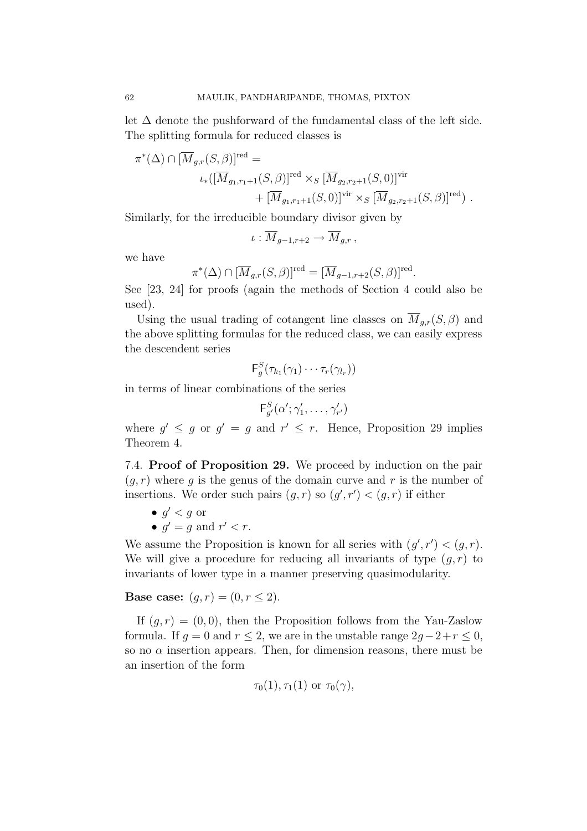let  $\Delta$  denote the pushforward of the fundamental class of the left side. The splitting formula for reduced classes is

$$
\pi^*(\Delta) \cap [\overline{M}_{g,r}(S,\beta)]^{\text{red}} =
$$
  

$$
\iota_*([\overline{M}_{g_1,r_1+1}(S,\beta)]^{\text{red}} \times_S [\overline{M}_{g_2,r_2+1}(S,0)]^{\text{vir}} + [\overline{M}_{g_1,r_1+1}(S,0)]^{\text{vir}} \times_S [\overline{M}_{g_2,r_2+1}(S,\beta)]^{\text{red}}).
$$

Similarly, for the irreducible boundary divisor given by

$$
\iota: \overline{M}_{g-1,r+2} \to \overline{M}_{g,r},
$$

we have

$$
\pi^*(\Delta) \cap [\overline{M}_{g,r}(S,\beta)]^{\text{red}} = [\overline{M}_{g-1,r+2}(S,\beta)]^{\text{red}}.
$$

See [23, 24] for proofs (again the methods of Section 4 could also be used).

Using the usual trading of cotangent line classes on  $\overline{M}_{q,r}(S,\beta)$  and the above splitting formulas for the reduced class, we can easily express the descendent series

$$
\mathsf{F}_g^S(\tau_{k_1}(\gamma_1)\cdots\tau_r(\gamma_{l_r}))
$$

in terms of linear combinations of the series

$$
\mathsf{F}_{g'}^S(\alpha';\gamma'_1,\ldots,\gamma'_{r'})
$$

where  $g' \leq g$  or  $g' = g$  and  $r' \leq r$ . Hence, Proposition 29 implies Theorem 4.

7.4. Proof of Proposition 29. We proceed by induction on the pair  $(q, r)$  where q is the genus of the domain curve and r is the number of insertions. We order such pairs  $(g, r)$  so  $(g', r') < (g, r)$  if either

- $g' < g$  or
- $q' = q$  and  $r' < r$ .

We assume the Proposition is known for all series with  $(g', r') < (g, r)$ . We will give a procedure for reducing all invariants of type  $(q, r)$  to invariants of lower type in a manner preserving quasimodularity.

**Base case:**  $(g, r) = (0, r \le 2)$ .

If  $(q, r) = (0, 0)$ , then the Proposition follows from the Yau-Zaslow formula. If  $g = 0$  and  $r \leq 2$ , we are in the unstable range  $2g-2+r \leq 0$ , so no  $\alpha$  insertion appears. Then, for dimension reasons, there must be an insertion of the form

$$
\tau_0(1), \tau_1(1) \text{ or } \tau_0(\gamma),
$$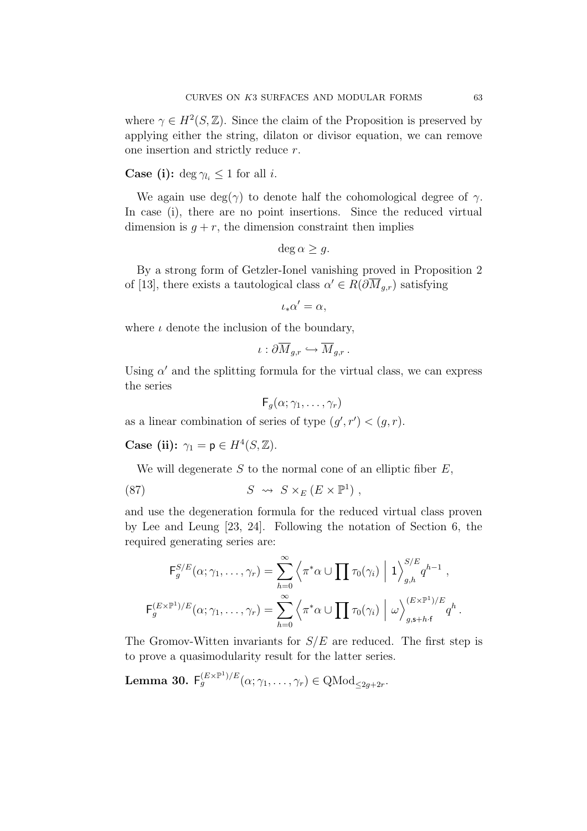where  $\gamma \in H^2(S, \mathbb{Z})$ . Since the claim of the Proposition is preserved by applying either the string, dilaton or divisor equation, we can remove one insertion and strictly reduce r.

**Case (i):** deg  $\gamma_{l_i} \leq 1$  for all *i*.

We again use  $deg(\gamma)$  to denote half the cohomological degree of  $\gamma$ . In case (i), there are no point insertions. Since the reduced virtual dimension is  $g + r$ , the dimension constraint then implies

$$
\deg \alpha \ge g.
$$

By a strong form of Getzler-Ionel vanishing proved in Proposition 2 of [13], there exists a tautological class  $\alpha' \in R(\partial \overline{M}_{q,r})$  satisfying

$$
\iota_*\alpha'=\alpha,
$$

where  $\iota$  denote the inclusion of the boundary,

$$
\iota: \partial \overline M_{g,r} \hookrightarrow \overline M_{g,r} \, .
$$

Using  $\alpha'$  and the splitting formula for the virtual class, we can express the series

$$
\mathsf{F}_g(\alpha;\gamma_1,\ldots,\gamma_r)
$$

as a linear combination of series of type  $(g', r') < (g, r)$ .

Case (ii):  $\gamma_1 = \mathsf{p} \in H^4(S, \mathbb{Z}).$ 

We will degenerate  $S$  to the normal cone of an elliptic fiber  $E$ ,

(87) 
$$
S \rightsquigarrow S \times_E (E \times \mathbb{P}^1),
$$

and use the degeneration formula for the reduced virtual class proven by Lee and Leung [23, 24]. Following the notation of Section 6, the required generating series are:

$$
\mathsf{F}_g^{S/E}(\alpha; \gamma_1, \dots, \gamma_r) = \sum_{h=0}^{\infty} \left\langle \pi^* \alpha \cup \prod \tau_0(\gamma_i) \middle| 1 \right\rangle_{g,h}^{S/E} q^{h-1},
$$
  

$$
\mathsf{F}_g^{(E \times \mathbb{P}^1)/E}(\alpha; \gamma_1, \dots, \gamma_r) = \sum_{h=0}^{\infty} \left\langle \pi^* \alpha \cup \prod \tau_0(\gamma_i) \middle| \omega \right\rangle_{g,\mathsf{s}+h \cdot \mathsf{f}}^{(E \times \mathbb{P}^1)/E} q^h.
$$

The Gromov-Witten invariants for  $S/E$  are reduced. The first step is to prove a quasimodularity result for the latter series.

**Lemma 30.** 
$$
\mathsf{F}_g^{(E \times \mathbb{P}^1)/E}(\alpha; \gamma_1, \ldots, \gamma_r) \in \text{QMod}_{\leq 2g + 2r}.
$$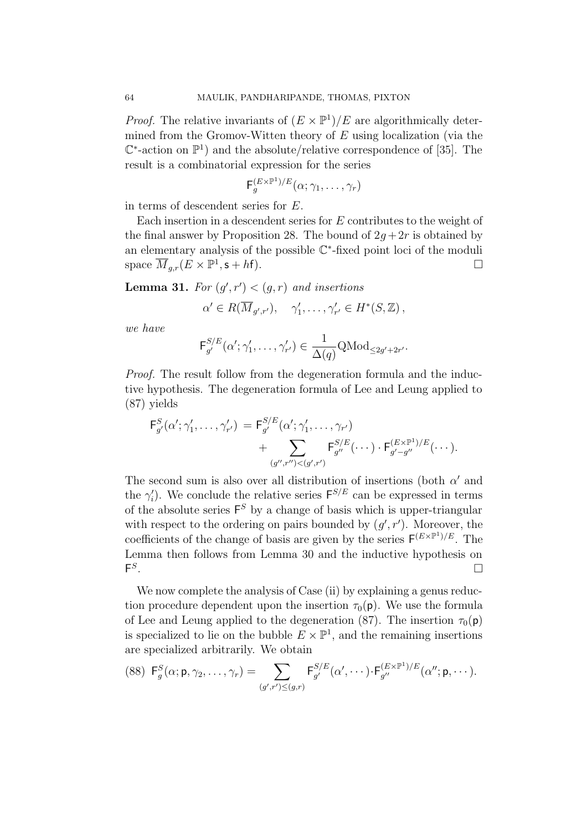*Proof.* The relative invariants of  $(E \times \mathbb{P}^1)/E$  are algorithmically determined from the Gromov-Witten theory of  $E$  using localization (via the  $\mathbb{C}^*$ -action on  $\mathbb{P}^1$ ) and the absolute/relative correspondence of [35]. The result is a combinatorial expression for the series

$$
\mathsf{F}_g^{(E \times \mathbb{P}^1)/E}(\alpha; \gamma_1, \ldots, \gamma_r)
$$

in terms of descendent series for E.

Each insertion in a descendent series for E contributes to the weight of the final answer by Proposition 28. The bound of  $2q+2r$  is obtained by an elementary analysis of the possible C∗-fixed point loci of the moduli space  $\overline{M}_{a,r}(E \times \mathbb{P}^1, \mathsf{s} + h\mathsf{f}).$ 

**Lemma 31.** For  $(g', r') < (g, r)$  and insertions

$$
\alpha' \in R(\overline{M}_{g',r'}), \quad \gamma'_1, \ldots, \gamma'_{r'} \in H^*(S, \mathbb{Z}),
$$

we have

$$
\mathsf{F}_{g'}^{S/E}(\alpha';\gamma_1',\ldots,\gamma_{r'}') \in \frac{1}{\Delta(q)}\mathrm{QMod}_{\leq 2g'+2r'}.
$$

Proof. The result follow from the degeneration formula and the inductive hypothesis. The degeneration formula of Lee and Leung applied to (87) yields

$$
F_{g'}^{S}(\alpha'; \gamma'_1, \ldots, \gamma'_{r'}) = F_{g'}^{S/E}(\alpha'; \gamma'_1, \ldots, \gamma_{r'}) + \sum_{(g'', r'') < (g', r')} F_{g''}^{S/E}(\cdots) \cdot F_{g'-g''}^{(E \times \mathbb{P}^1)/E}(\cdots).
$$

The second sum is also over all distribution of insertions (both  $\alpha'$  and the  $\gamma_i'$ ). We conclude the relative series  $F^{S/E}$  can be expressed in terms of the absolute series  $F<sup>S</sup>$  by a change of basis which is upper-triangular with respect to the ordering on pairs bounded by  $(g', r')$ . Moreover, the coefficients of the change of basis are given by the series  $\mathsf{F}^{(E\times\mathbb{P}^1)/E}$ . The Lemma then follows from Lemma 30 and the inductive hypothesis on  $F^S$ .

We now complete the analysis of Case (ii) by explaining a genus reduction procedure dependent upon the insertion  $\tau_0(\mathbf{p})$ . We use the formula of Lee and Leung applied to the degeneration (87). The insertion  $\tau_0(\mathsf{p})$ is specialized to lie on the bubble  $E \times \mathbb{P}^1$ , and the remaining insertions are specialized arbitrarily. We obtain

$$
(88) \ \mathsf{F}_g^S(\alpha; \mathsf{p}, \gamma_2, \dots, \gamma_r) = \sum_{(g',r') \leq (g,r)} \mathsf{F}_{g'}^{S/E}(\alpha', \dots) \cdot \mathsf{F}_{g''}^{(E \times \mathbb{P}^1)/E}(\alpha''; \mathsf{p}, \dots).
$$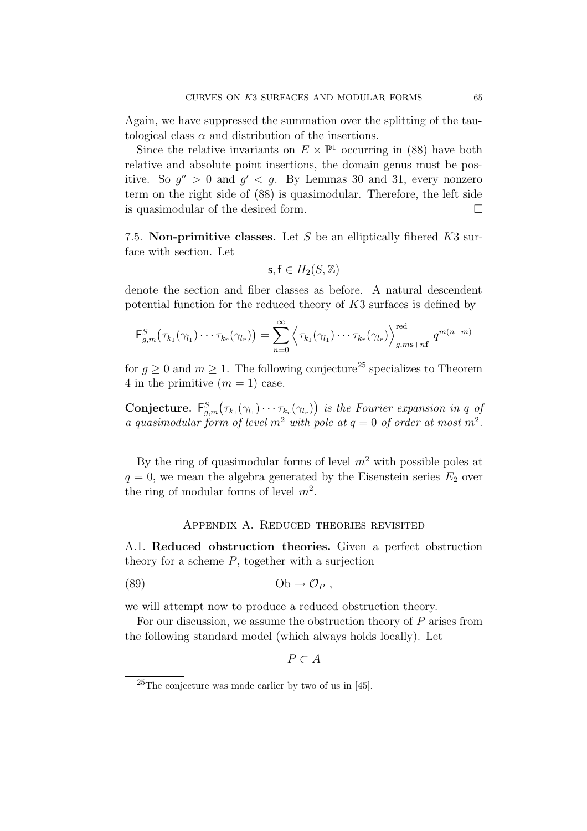Again, we have suppressed the summation over the splitting of the tautological class  $\alpha$  and distribution of the insertions.

Since the relative invariants on  $E \times \mathbb{P}^1$  occurring in (88) have both relative and absolute point insertions, the domain genus must be positive. So  $q'' > 0$  and  $q' < q$ . By Lemmas 30 and 31, every nonzero term on the right side of (88) is quasimodular. Therefore, the left side is quasimodular of the desired form.

7.5. Non-primitive classes. Let S be an elliptically fibered  $K3$  surface with section. Let

$$
\mathsf{s},\mathsf{f}\in H_2(S,\mathbb{Z})
$$

denote the section and fiber classes as before. A natural descendent potential function for the reduced theory of K3 surfaces is defined by

$$
\mathsf{F}^S_{g,m}\big(\tau_{k_1}(\gamma_{l_1})\cdots\tau_{k_r}(\gamma_{l_r})\big)=\sum_{n=0}^{\infty}\left\langle\tau_{k_1}(\gamma_{l_1})\cdots\tau_{k_r}(\gamma_{l_r})\right\rangle_{g,m\mathbf{s}+n\mathbf{f}}^{\text{red}}q^{m(n-m)}
$$

for  $q > 0$  and  $m > 1$ . The following conjecture<sup>25</sup> specializes to Theorem 4 in the primitive  $(m = 1)$  case.

Conjecture.  $F_{g,m}^S(\tau_{k_1}(\gamma_{l_1})\cdots\tau_{k_r}(\gamma_{l_r}))$  is the Fourier expansion in q of a quasimodular form of level  $m^2$  with pole at  $q = 0$  of order at most  $m^2$ .

By the ring of quasimodular forms of level  $m^2$  with possible poles at  $q = 0$ , we mean the algebra generated by the Eisenstein series  $E_2$  over the ring of modular forms of level  $m^2$ .

### Appendix A. Reduced theories revisited

A.1. Reduced obstruction theories. Given a perfect obstruction theory for a scheme  $P$ , together with a surjection

$$
(89) \t\t\t\t Ob \to \mathcal{O}_P ,
$$

we will attempt now to produce a reduced obstruction theory.

For our discussion, we assume the obstruction theory of  $P$  arises from the following standard model (which always holds locally). Let

 $P \subset A$ 

 $25$ The conjecture was made earlier by two of us in [45].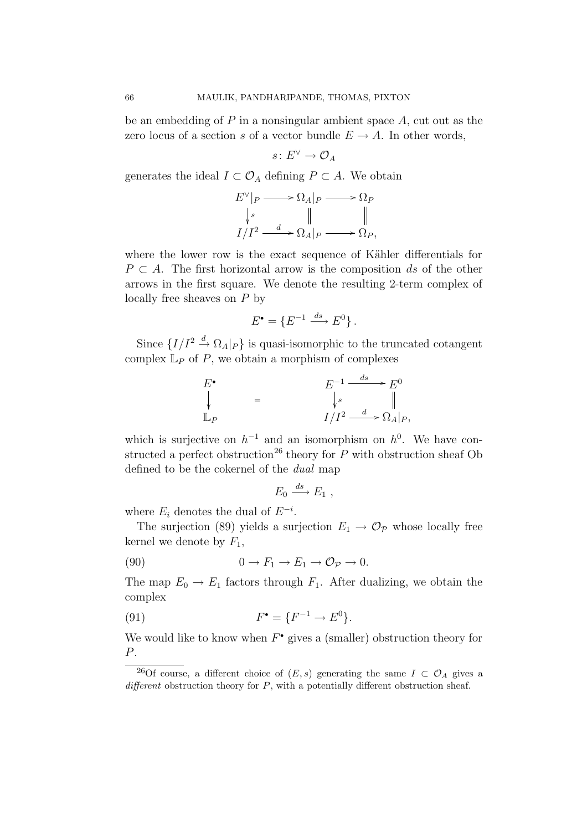be an embedding of  $P$  in a nonsingular ambient space  $A$ , cut out as the zero locus of a section s of a vector bundle  $E \to A$ . In other words,

$$
s\colon E^\vee\to \mathcal{O}_A
$$

generates the ideal  $I \subset \mathcal{O}_A$  defining  $P \subset A$ . We obtain

$$
E^{\vee}|_{P} \longrightarrow \Omega_{A}|_{P} \longrightarrow \Omega_{P}
$$
  
\n
$$
\downarrow^{s} \qquad \parallel \qquad \qquad \parallel
$$
  
\n
$$
I/I^{2} \longrightarrow \Omega_{A}|_{P} \longrightarrow \Omega_{P},
$$

where the lower row is the exact sequence of Kähler differentials for  $P \subset A$ . The first horizontal arrow is the composition ds of the other arrows in the first square. We denote the resulting 2-term complex of locally free sheaves on P by

$$
E^{\bullet} = \{ E^{-1} \xrightarrow{ds} E^0 \}.
$$

Since  $\{I/I^2 \stackrel{d}{\rightarrow} \Omega_A |_{P}\}$  is quasi-isomorphic to the truncated cotangent complex  $\mathbb{L}_P$  of P, we obtain a morphism of complexes

$$
E^{\bullet} = E^{-1} \xrightarrow{ds} E^{0}
$$
  
\n
$$
\downarrow s \qquad \qquad \parallel
$$
  
\n
$$
\mathbb{L}_{P} = I/I^{2} \xrightarrow{d} \Omega_{A}|_{P},
$$

which is surjective on  $h^{-1}$  and an isomorphism on  $h^{0}$ . We have constructed a perfect obstruction<sup>26</sup> theory for  $\overline{P}$  with obstruction sheaf Ob defined to be the cokernel of the dual map

$$
E_0 \xrightarrow{ds} E_1 ,
$$

where  $E_i$  denotes the dual of  $E^{-i}$ .

The surjection (89) yields a surjection  $E_1 \rightarrow \mathcal{O}_{\mathcal{P}}$  whose locally free kernel we denote by  $F_1$ ,

(90) 
$$
0 \to F_1 \to E_1 \to \mathcal{O}_{\mathcal{P}} \to 0.
$$

The map  $E_0 \to E_1$  factors through  $F_1$ . After dualizing, we obtain the complex

(91) 
$$
F^{\bullet} = \{F^{-1} \to E^{0}\}.
$$

We would like to know when  $F^{\bullet}$  gives a (smaller) obstruction theory for P.

<sup>&</sup>lt;sup>26</sup>Of course, a different choice of  $(E, s)$  generating the same  $I \subset \mathcal{O}_A$  gives a different obstruction theory for  $P$ , with a potentially different obstruction sheaf.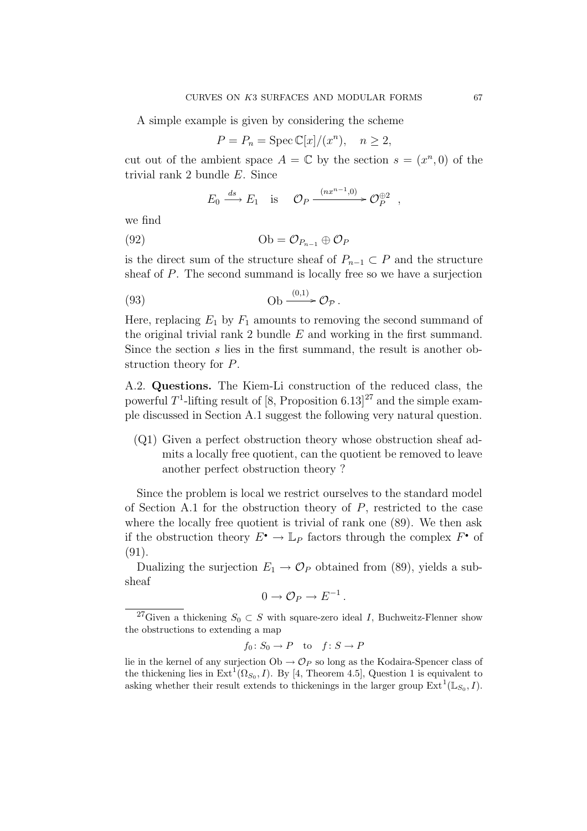A simple example is given by considering the scheme

$$
P = P_n = \operatorname{Spec} \mathbb{C}[x]/(x^n), \quad n \ge 2,
$$

cut out of the ambient space  $A = \mathbb{C}$  by the section  $s = (x^n, 0)$  of the trivial rank 2 bundle E. Since

$$
E_0 \xrightarrow{ds} E_1
$$
 is  $\mathcal{O}_P \xrightarrow{(nx^{n-1},0)} \mathcal{O}_P^{\oplus 2}$ ,

we find

$$
(92) \t\t\t Ob = \mathcal{O}_{P_{n-1}} \oplus \mathcal{O}_P
$$

is the direct sum of the structure sheaf of  $P_{n-1} \subset P$  and the structure sheaf of P. The second summand is locally free so we have a surjection

(93) 
$$
\qquad \qquad \text{Ob} \xrightarrow{(0,1)} \mathcal{O}_{\mathcal{P}}.
$$

Here, replacing  $E_1$  by  $F_1$  amounts to removing the second summand of the original trivial rank 2 bundle  $E$  and working in the first summand. Since the section s lies in the first summand, the result is another obstruction theory for P.

A.2. Questions. The Kiem-Li construction of the reduced class, the powerful  $T^1$ -lifting result of [8, Proposition 6.13]<sup>27</sup> and the simple example discussed in Section A.1 suggest the following very natural question.

(Q1) Given a perfect obstruction theory whose obstruction sheaf admits a locally free quotient, can the quotient be removed to leave another perfect obstruction theory ?

Since the problem is local we restrict ourselves to the standard model of Section A.1 for the obstruction theory of  $P$ , restricted to the case where the locally free quotient is trivial of rank one (89). We then ask if the obstruction theory  $E^{\bullet} \to \mathbb{L}_P$  factors through the complex  $F^{\bullet}$  of (91).

Dualizing the surjection  $E_1 \rightarrow \mathcal{O}_P$  obtained from (89), yields a subsheaf

$$
0 \to \mathcal{O}_P \to E^{-1}.
$$

$$
f_0 \colon S_0 \to P \quad \text{to} \quad f \colon S \to P
$$

lie in the kernel of any surjection  $Ob \rightarrow \mathcal{O}_P$  so long as the Kodaira-Spencer class of the thickening lies in  $\text{Ext}^1(\Omega_{S_0}, I)$ . By [4, Theorem 4.5], Question 1 is equivalent to asking whether their result extends to thickenings in the larger group  $\text{Ext}^1(\mathbb{L}_{S_0}, I)$ .

<sup>&</sup>lt;sup>27</sup>Given a thickening  $S_0 \subset S$  with square-zero ideal I, Buchweitz-Flenner show the obstructions to extending a map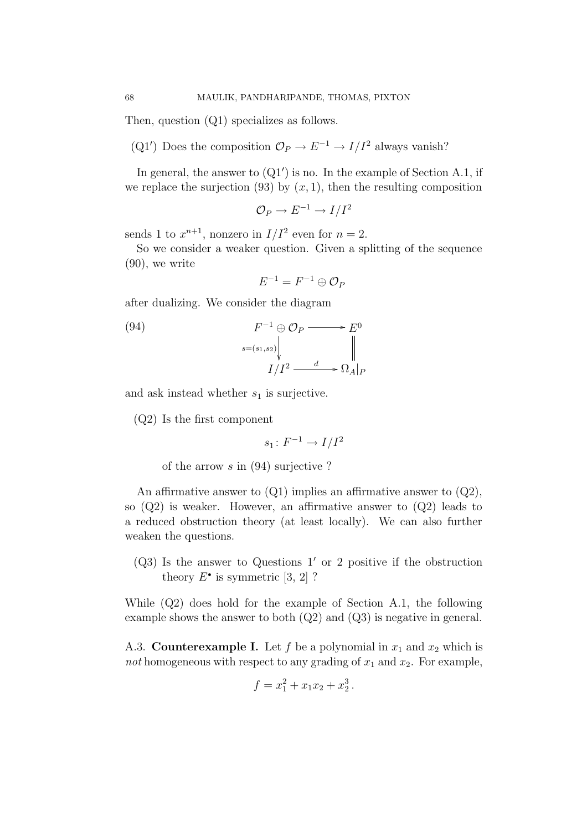Then, question (Q1) specializes as follows.

(Q1') Does the composition  $\mathcal{O}_P \to E^{-1} \to I/I^2$  always vanish?

In general, the answer to  $(Q1')$  is no. In the example of Section A.1, if we replace the surjection (93) by  $(x, 1)$ , then the resulting composition

$$
\mathcal{O}_P \to E^{-1} \to I/I^2
$$

sends 1 to  $x^{n+1}$ , nonzero in  $I/I^2$  even for  $n = 2$ .

So we consider a weaker question. Given a splitting of the sequence (90), we write

$$
E^{-1} = F^{-1} \oplus \mathcal{O}_P
$$

after dualizing. We consider the diagram

(94) 
$$
F^{-1} \oplus \mathcal{O}_P \longrightarrow E^0
$$

$$
\downarrow_{s=(s_1,s_2)} \downarrow_{I/I^2} \longrightarrow E^0
$$

$$
I/I^2 \longrightarrow \Omega_A|_P
$$

and ask instead whether  $s_1$  is surjective.

(Q2) Is the first component

$$
s_1\colon F^{-1}\to I/I^2
$$

of the arrow s in (94) surjective ?

An affirmative answer to  $(Q1)$  implies an affirmative answer to  $(Q2)$ , so  $(Q2)$  is weaker. However, an affirmative answer to  $(Q2)$  leads to a reduced obstruction theory (at least locally). We can also further weaken the questions.

 $(Q3)$  Is the answer to Questions 1' or 2 positive if the obstruction theory  $E^{\bullet}$  is symmetric [3, 2]?

While (Q2) does hold for the example of Section A.1, the following example shows the answer to both  $(Q2)$  and  $(Q3)$  is negative in general.

A.3. **Counterexample I.** Let f be a polynomial in  $x_1$  and  $x_2$  which is not homogeneous with respect to any grading of  $x_1$  and  $x_2$ . For example,

$$
f = x_1^2 + x_1 x_2 + x_2^3.
$$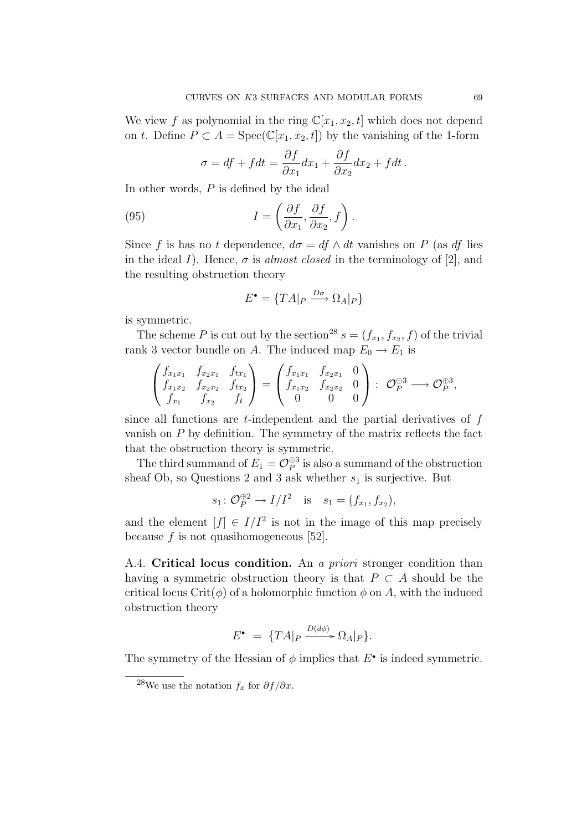We view f as polynomial in the ring  $\mathbb{C}[x_1, x_2, t]$  which does not depend on t. Define  $P \subset A = \text{Spec}(\mathbb{C}[x_1, x_2, t])$  by the vanishing of the 1-form

$$
\sigma = df + f dt = \frac{\partial f}{\partial x_1} dx_1 + \frac{\partial f}{\partial x_2} dx_2 + f dt.
$$

In other words,  $P$  is defined by the ideal

(95) 
$$
I = \left(\frac{\partial f}{\partial x_1}, \frac{\partial f}{\partial x_2}, f\right).
$$

Since f is has no t dependence,  $d\sigma = df \wedge dt$  vanishes on P (as df lies in the ideal I). Hence,  $\sigma$  is *almost closed* in the terminology of [2], and the resulting obstruction theory

$$
E^{\bullet} = \{ T A |_{P} \xrightarrow{D\sigma} \Omega_{A} |_{P} \}
$$

is symmetric.

The scheme P is cut out by the section<sup>28</sup>  $s = (f_{x_1}, f_{x_2}, f)$  of the trivial rank 3 vector bundle on A. The induced map  $E_0 \to E_1$  is

$$
\begin{pmatrix} f_{x_1x_1} & f_{x_2x_1} & f_{tx_1} \\ f_{x_1x_2} & f_{x_2x_2} & f_{tx_2} \\ f_{x_1} & f_{x_2} & f_t \end{pmatrix} = \begin{pmatrix} f_{x_1x_1} & f_{x_2x_1} & 0 \\ f_{x_1x_2} & f_{x_2x_2} & 0 \\ 0 & 0 & 0 \end{pmatrix} : \mathcal{O}_P^{\oplus 3} \longrightarrow \mathcal{O}_P^{\oplus 3},
$$

since all functions are  $t$ -independent and the partial derivatives of  $f$ vanish on  $P$  by definition. The symmetry of the matrix reflects the fact that the obstruction theory is symmetric.

The third summand of  $E_1 = \mathcal{O}_P^{\oplus 3}$  is also a summand of the obstruction sheaf Ob, so Questions 2 and 3 ask whether  $s_1$  is surjective. But

$$
s_1: \mathcal{O}_{P}^{\oplus 2} \to I/I^2
$$
 is  $s_1 = (f_{x_1}, f_{x_2}),$ 

and the element  $[f] \in I/I^2$  is not in the image of this map precisely because  $f$  is not quasihomogeneous [52].

A.4. Critical locus condition. An a priori stronger condition than having a symmetric obstruction theory is that  $P \subset A$  should be the critical locus Crit( $\phi$ ) of a holomorphic function  $\phi$  on A, with the induced obstruction theory

$$
E^{\bullet} = \{ T A |_{P} \xrightarrow{D(d\phi)} \Omega_{A} |_{P} \}.
$$

The symmetry of the Hessian of  $\phi$  implies that  $E^{\bullet}$  is indeed symmetric.

<sup>&</sup>lt;sup>28</sup>We use the notation  $f_x$  for  $\partial f / \partial x$ .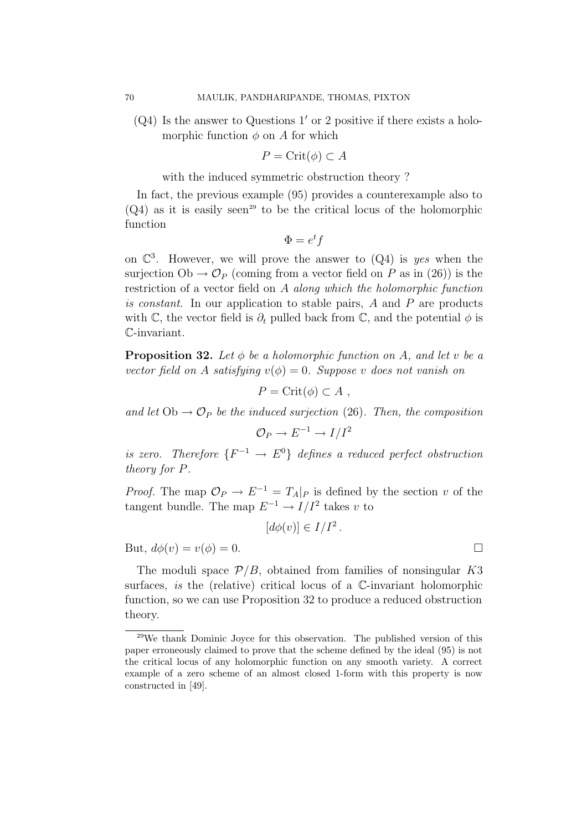$(Q4)$  Is the answer to Questions 1' or 2 positive if there exists a holomorphic function  $\phi$  on A for which

$$
P = \text{Crit}(\phi) \subset A
$$

with the induced symmetric obstruction theory ?

In fact, the previous example (95) provides a counterexample also to  $(Q4)$  as it is easily seen<sup>29</sup> to be the critical locus of the holomorphic function

$$
\Phi = e^t f
$$

on  $\mathbb{C}^3$ . However, we will prove the answer to  $(Q_4)$  is yes when the surjection  $Ob \to \mathcal{O}_P$  (coming from a vector field on P as in (26)) is the restriction of a vector field on A along which the holomorphic function is constant. In our application to stable pairs, A and P are products with C, the vector field is  $\partial_t$  pulled back from C, and the potential  $\phi$  is C-invariant.

**Proposition 32.** Let  $\phi$  be a holomorphic function on A, and let v be a vector field on A satisfying  $v(\phi) = 0$ . Suppose v does not vanish on

 $P = \text{Crit}(\phi) \subset A$ ,

and let  $Ob \rightarrow \mathcal{O}_P$  be the induced surjection (26). Then, the composition

$$
\mathcal{O}_P \to E^{-1} \to I/I^2
$$

is zero. Therefore  $\{F^{-1} \to E^0\}$  defines a reduced perfect obstruction theory for P.

*Proof.* The map  $\mathcal{O}_P \to E^{-1} = T_A|_P$  is defined by the section v of the tangent bundle. The map  $E^{-1} \to I/I^2$  takes v to

$$
[d\phi(v)] \in I/I^2.
$$

But,  $d\phi(v) = v(\phi) = 0$ .

The moduli space  $P/B$ , obtained from families of nonsingular K3 surfaces, is the (relative) critical locus of a C-invariant holomorphic function, so we can use Proposition 32 to produce a reduced obstruction theory.

<sup>29</sup>We thank Dominic Joyce for this observation. The published version of this paper erroneously claimed to prove that the scheme defined by the ideal (95) is not the critical locus of any holomorphic function on any smooth variety. A correct example of a zero scheme of an almost closed 1-form with this property is now constructed in [49].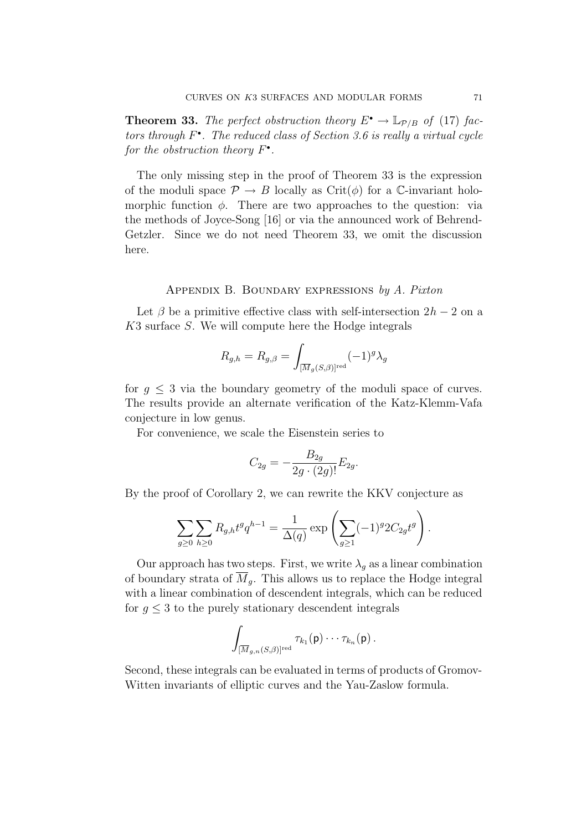**Theorem 33.** The perfect obstruction theory  $E^{\bullet} \to \mathbb{L}_{\mathcal{P}/B}$  of (17) factors through  $F^{\bullet}$ . The reduced class of Section 3.6 is really a virtual cycle for the obstruction theory  $F^{\bullet}$ .

The only missing step in the proof of Theorem 33 is the expression of the moduli space  $\mathcal{P} \to B$  locally as Crit( $\phi$ ) for a C-invariant holomorphic function  $\phi$ . There are two approaches to the question: via the methods of Joyce-Song [16] or via the announced work of Behrend-Getzler. Since we do not need Theorem 33, we omit the discussion here.

## Appendix B. Boundary expressions by A. Pixton

Let  $\beta$  be a primitive effective class with self-intersection  $2h - 2$  on a K3 surface S. We will compute here the Hodge integrals

$$
R_{g,h} = R_{g,\beta} = \int_{[\overline{M}_g(S,\beta)]^{\text{red}}} (-1)^g \lambda_g
$$

for  $g \leq 3$  via the boundary geometry of the moduli space of curves. The results provide an alternate verification of the Katz-Klemm-Vafa conjecture in low genus.

For convenience, we scale the Eisenstein series to

$$
C_{2g} = -\frac{B_{2g}}{2g \cdot (2g)!} E_{2g}.
$$

By the proof of Corollary 2, we can rewrite the KKV conjecture as

$$
\sum_{g\geq 0} \sum_{h\geq 0} R_{g,h} t^g q^{h-1} = \frac{1}{\Delta(q)} \exp\left( \sum_{g\geq 1} (-1)^g 2C_{2g} t^g \right).
$$

Our approach has two steps. First, we write  $\lambda_g$  as a linear combination of boundary strata of  $M<sub>g</sub>$ . This allows us to replace the Hodge integral with a linear combination of descendent integrals, which can be reduced for  $g \leq 3$  to the purely stationary descendent integrals

$$
\int_{[\overline{M}_{g,n}(S,\beta)]^{\mathrm{red}}} \tau_{k_1}(\mathsf{p})\cdots \tau_{k_n}(\mathsf{p})\,.
$$

Second, these integrals can be evaluated in terms of products of Gromov-Witten invariants of elliptic curves and the Yau-Zaslow formula.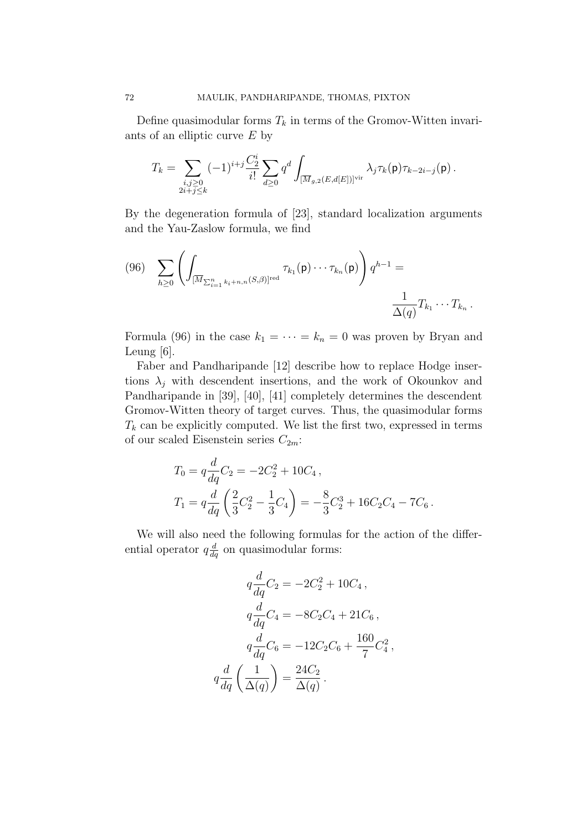Define quasimodular forms  $T_k$  in terms of the Gromov-Witten invariants of an elliptic curve E by

$$
T_k = \sum_{\substack{i,j \geq 0 \\ 2i + j \leq k}} (-1)^{i+j} \frac{C_2^i}{i!} \sum_{d \geq 0} q^d \int_{\overline{[M_{g,2}(E,d[E])]}} \lambda_j \tau_k(\mathbf{p}) \tau_{k-2i-j}(\mathbf{p}) .
$$

By the degeneration formula of [23], standard localization arguments and the Yau-Zaslow formula, we find

$$
(96) \sum_{h\geq 0} \left( \int_{\left[\overline{M}_{\sum_{i=1}^n k_i + n, n} (S,\beta)\right]^{red}} \tau_{k_1}(\mathbf{p}) \cdots \tau_{k_n}(\mathbf{p}) \right) q^{h-1} = \frac{1}{\Delta(q)} T_{k_1} \cdots T_{k_n}.
$$

Formula (96) in the case  $k_1 = \cdots = k_n = 0$  was proven by Bryan and Leung [6].

Faber and Pandharipande [12] describe how to replace Hodge insertions  $\lambda_j$  with descendent insertions, and the work of Okounkov and Pandharipande in [39], [40], [41] completely determines the descendent Gromov-Witten theory of target curves. Thus, the quasimodular forms  $T_k$  can be explicitly computed. We list the first two, expressed in terms of our scaled Eisenstein series  $C_{2m}$ :

$$
T_0 = q \frac{d}{dq} C_2 = -2C_2^2 + 10C_4,
$$
  
\n
$$
T_1 = q \frac{d}{dq} \left(\frac{2}{3}C_2^2 - \frac{1}{3}C_4\right) = -\frac{8}{3}C_2^3 + 16C_2C_4 - 7C_6.
$$

We will also need the following formulas for the action of the differential operator  $q \frac{d}{dq}$  on quasimodular forms:

$$
q\frac{d}{dq}C_2 = -2C_2^2 + 10C_4,
$$
  
\n
$$
q\frac{d}{dq}C_4 = -8C_2C_4 + 21C_6,
$$
  
\n
$$
q\frac{d}{dq}C_6 = -12C_2C_6 + \frac{160}{7}C_4^2,
$$
  
\n
$$
q\frac{d}{dq}\left(\frac{1}{\Delta(q)}\right) = \frac{24C_2}{\Delta(q)}.
$$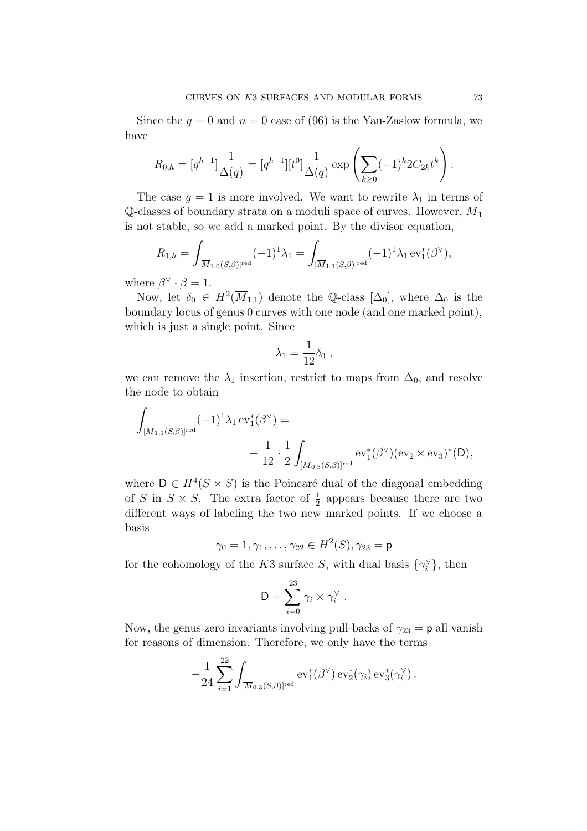Since the  $g = 0$  and  $n = 0$  case of (96) is the Yau-Zaslow formula, we have

$$
R_{0,h} = [q^{h-1}] \frac{1}{\Delta(q)} = [q^{h-1}][t^0] \frac{1}{\Delta(q)} \exp \left( \sum_{k \ge 0} (-1)^k 2C_{2k} t^k \right).
$$

The case  $g = 1$  is more involved. We want to rewrite  $\lambda_1$  in terms of Q-classes of boundary strata on a moduli space of curves. However,  $\overline{M}_1$ is not stable, so we add a marked point. By the divisor equation,

$$
R_{1,h} = \int_{[\overline{M}_{1,0}(S,\beta)]^{\text{red}}} (-1)^1 \lambda_1 = \int_{[\overline{M}_{1,1}(S,\beta)]^{\text{red}}} (-1)^1 \lambda_1 \operatorname{ev}_1^*(\beta^\vee),
$$

where  $\beta^{\vee} \cdot \beta = 1$ .

Now, let  $\delta_0 \in H^2(\overline{M}_{1,1})$  denote the Q-class  $[\Delta_0]$ , where  $\Delta_0$  is the boundary locus of genus 0 curves with one node (and one marked point), which is just a single point. Since

$$
\lambda_1 = \frac{1}{12} \delta_0 ,
$$

we can remove the  $\lambda_1$  insertion, restrict to maps from  $\Delta_0$ , and resolve the node to obtain

$$
\begin{aligned} \int_{[\overline{M}_{1,1}(S,\beta)]^{\mathrm{red}}}(-1)^{1}\lambda_{1}\operatorname{ev}_{1}^{\ast}(\beta^{\vee})= \\ &\qquad\qquad -\frac{1}{12}\cdot\frac{1}{2}\int_{[\overline{M}_{0,3}(S,\beta)]^{\mathrm{red}}} \operatorname{ev}_{1}^{\ast}(\beta^{\vee})(\operatorname{ev}_{2}\times\operatorname{ev}_{3})^{\ast}(D), \end{aligned}
$$

where  $D \in H^4(S \times S)$  is the Poincaré dual of the diagonal embedding of S in  $S \times S$ . The extra factor of  $\frac{1}{2}$  appears because there are two different ways of labeling the two new marked points. If we choose a basis

 $\gamma_0=1,\gamma_1,\ldots,\gamma_{22}\in H^2(S),\gamma_{23}=\mathsf{p}$ 

for the cohomology of the K3 surface S, with dual basis  $\{\gamma_i^{\vee}\}\$ , then

$$
D = \sum_{i=0}^{23} \gamma_i \times \gamma_i^{\vee} .
$$

Now, the genus zero invariants involving pull-backs of  $\gamma_{23} = \mathsf{p}$  all vanish for reasons of dimension. Therefore, we only have the terms

 $\alpha$ 

$$
-\frac{1}{24} \sum_{i=1}^{22} \int_{[\overline{M}_{0,3}(S,\beta)]^{\text{red}}} \text{ev}_1^*(\beta^{\vee}) \, \text{ev}_2^*(\gamma_i) \, \text{ev}_3^*(\gamma_i^{\vee}).
$$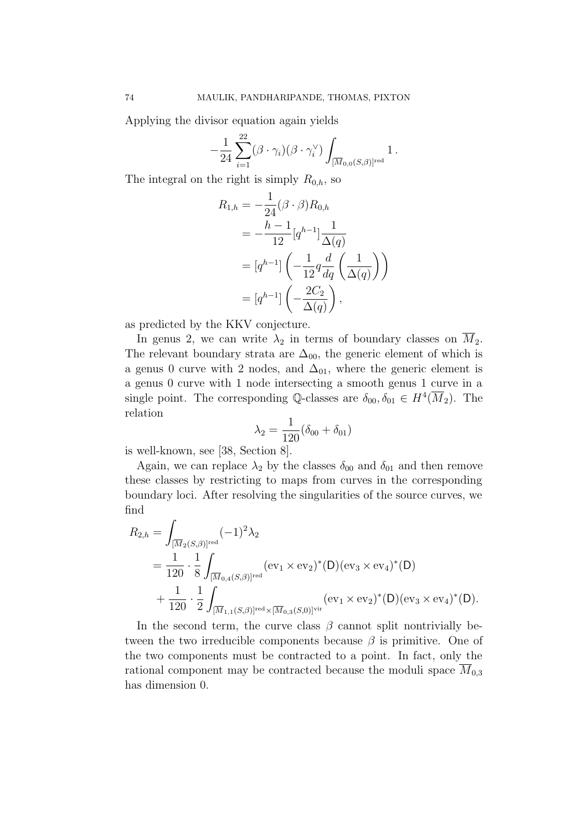Applying the divisor equation again yields

$$
-\frac{1}{24}\sum_{i=1}^{22}(\beta\cdot\gamma_i)(\beta\cdot\gamma_i^{\vee})\int_{[\overline{M}_{0,0}(S,\beta)]^{\text{red}}}1.
$$

The integral on the right is simply  $R_{0,h}$ , so

$$
R_{1,h} = -\frac{1}{24}(\beta \cdot \beta) R_{0,h}
$$
  
= 
$$
-\frac{h-1}{12} [q^{h-1}] \frac{1}{\Delta(q)}
$$
  
= 
$$
[q^{h-1}] \left( -\frac{1}{12} q \frac{d}{dq} \left( \frac{1}{\Delta(q)} \right) \right)
$$
  
= 
$$
[q^{h-1}] \left( -\frac{2C_2}{\Delta(q)} \right),
$$

as predicted by the KKV conjecture.

In genus 2, we can write  $\lambda_2$  in terms of boundary classes on  $\overline{M}_2$ . The relevant boundary strata are  $\Delta_{00}$ , the generic element of which is a genus 0 curve with 2 nodes, and  $\Delta_{01}$ , where the generic element is a genus 0 curve with 1 node intersecting a smooth genus 1 curve in a single point. The corresponding Q-classes are  $\delta_{00}, \delta_{01} \in H^4(\overline{M}_2)$ . The relation

$$
\lambda_2 = \frac{1}{120} (\delta_{00} + \delta_{01})
$$

is well-known, see [38, Section 8].

Again, we can replace  $\lambda_2$  by the classes  $\delta_{00}$  and  $\delta_{01}$  and then remove these classes by restricting to maps from curves in the corresponding boundary loci. After resolving the singularities of the source curves, we find

$$
R_{2,h} = \int_{\substack{[\overline{M}_2(S,\beta)]^{\text{red}}}} (-1)^2 \lambda_2
$$
  
=  $\frac{1}{120} \cdot \frac{1}{8} \int_{\substack{[\overline{M}_{0,4}(S,\beta)]^{\text{red}}}} (\text{ev}_1 \times \text{ev}_2)^*(D) (\text{ev}_3 \times \text{ev}_4)^*(D)$   
+  $\frac{1}{120} \cdot \frac{1}{2} \int_{\substack{[\overline{M}_{1,1}(S,\beta)]^{\text{red}} \times [\overline{M}_{0,3}(S,0)]^{\text{vir}}}} (\text{ev}_1 \times \text{ev}_2)^*(D) (\text{ev}_3 \times \text{ev}_4)^*(D).$ 

In the second term, the curve class  $\beta$  cannot split nontrivially between the two irreducible components because  $\beta$  is primitive. One of the two components must be contracted to a point. In fact, only the rational component may be contracted because the moduli space  $\overline{M}_{0,3}$ has dimension 0.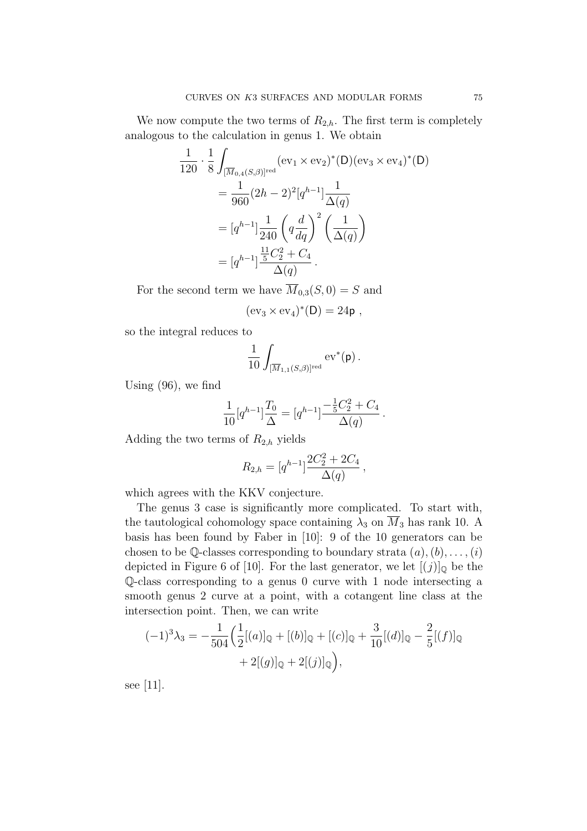We now compute the two terms of  $R_{2,h}$ . The first term is completely analogous to the calculation in genus 1. We obtain

$$
\frac{1}{120} \cdot \frac{1}{8} \int_{\overline{[M}_{0,4}(S,\beta)]^{\text{red}}} (\text{ev}_1 \times \text{ev}_2)^*(D)(\text{ev}_3 \times \text{ev}_4)^*(D)
$$
  
= 
$$
\frac{1}{960} (2h - 2)^2 [q^{h-1}] \frac{1}{\Delta(q)}
$$
  
= 
$$
[q^{h-1}] \frac{1}{240} \left( q \frac{d}{dq} \right)^2 \left( \frac{1}{\Delta(q)} \right)
$$
  
= 
$$
[q^{h-1}] \frac{\frac{11}{5}C_2^2 + C_4}{\Delta(q)}.
$$

For the second term we have  $\overline{M}_{0,3}(S,0) = S$  and

$$
(\mathrm{ev}_3 \times \mathrm{ev}_4)^*(D) = 24\mathsf{p} \ ,
$$

so the integral reduces to

$$
\frac{1}{10}\int_{[\overline{M}_{1,1}(S,\beta)]^{\rm red}}\mathrm{ev}^*(\mathsf{p})\,.
$$

Using (96), we find

$$
\frac{1}{10}[q^{h-1}]\frac{T_0}{\Delta} = [q^{h-1}]\frac{-\frac{1}{5}C_2^2 + C_4}{\Delta(q)}.
$$

Adding the two terms of  $R_{2,h}$  yields

$$
R_{2,h} = [q^{h-1}] \frac{2C_2^2 + 2C_4}{\Delta(q)},
$$

which agrees with the KKV conjecture.

The genus 3 case is significantly more complicated. To start with, the tautological cohomology space containing  $\lambda_3$  on  $M_3$  has rank 10. A basis has been found by Faber in [10]: 9 of the 10 generators can be chosen to be Q-classes corresponding to boundary strata  $(a), (b), \ldots, (i)$ depicted in Figure 6 of [10]. For the last generator, we let  $[(j)]_0$  be the Q-class corresponding to a genus 0 curve with 1 node intersecting a smooth genus 2 curve at a point, with a cotangent line class at the intersection point. Then, we can write

$$
(-1)^{3}\lambda_{3} = -\frac{1}{504} \Big( \frac{1}{2} [(a)]_{\mathbb{Q}} + [(b)]_{\mathbb{Q}} + [(c)]_{\mathbb{Q}} + \frac{3}{10} [(d)]_{\mathbb{Q}} - \frac{2}{5} [(f)]_{\mathbb{Q}} + 2 [(g)]_{\mathbb{Q}} + 2 [(j)]_{\mathbb{Q}} \Big),
$$

see [11].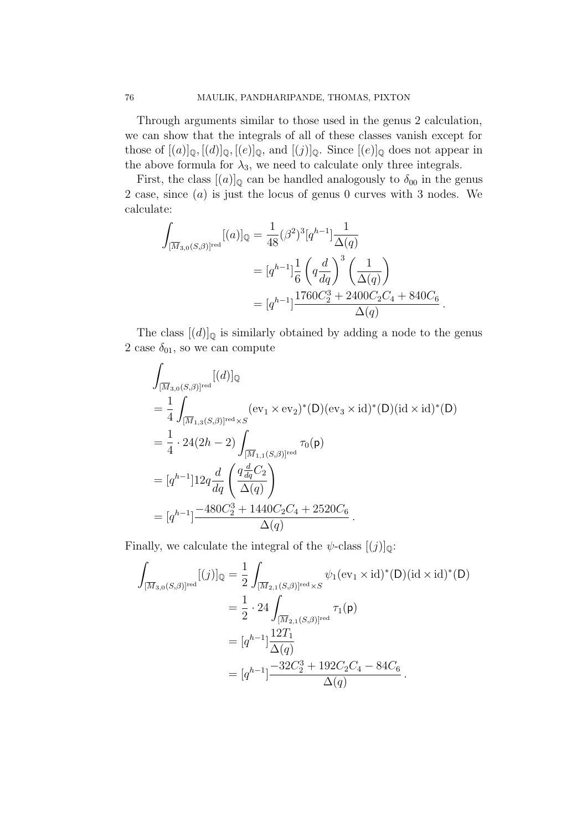Through arguments similar to those used in the genus 2 calculation, we can show that the integrals of all of these classes vanish except for those of  $[(a)]_{\mathbb{Q}}, [(d)]_{\mathbb{Q}}, [(e)]_{\mathbb{Q}}$ , and  $[(j)]_{\mathbb{Q}}$ . Since  $[(e)]_{\mathbb{Q}}$  does not appear in the above formula for  $\lambda_3$ , we need to calculate only three integrals.

First, the class  $[(a)]_Q$  can be handled analogously to  $\delta_{00}$  in the genus 2 case, since (a) is just the locus of genus 0 curves with 3 nodes. We calculate:

$$
\int_{[\overline{M}_{3,0}(S,\beta)]^{\text{red}}} [(a)]_{\mathbb{Q}} = \frac{1}{48} (\beta^2)^3 [q^{h-1}] \frac{1}{\Delta(q)} \n= [q^{h-1}] \frac{1}{6} \left( q \frac{d}{dq} \right)^3 \left( \frac{1}{\Delta(q)} \right) \n= [q^{h-1}] \frac{1760C_2^3 + 2400C_2C_4 + 840C_6}{\Delta(q)}.
$$

The class  $[(d)]_{\mathbb{Q}}$  is similarly obtained by adding a node to the genus  $2$  case  $\delta_{01},$  so we can compute

$$
\int_{[\overline{M}_{3,0}(S,\beta)]^{\text{red}}} [(d)]_{\mathbb{Q}}
$$
\n
$$
= \frac{1}{4} \int_{[\overline{M}_{1,3}(S,\beta)]^{\text{red}} \times S} (\text{ev}_{1} \times \text{ev}_{2})^{*}(\text{D})(\text{ev}_{3} \times \text{id})^{*}(\text{D})(\text{id} \times \text{id})^{*}(\text{D})
$$
\n
$$
= \frac{1}{4} \cdot 24(2h - 2) \int_{[\overline{M}_{1,1}(S,\beta)]^{\text{red}}} \tau_{0}(\text{p})
$$
\n
$$
= [q^{h-1}] 12q \frac{d}{dq} \left( \frac{q \frac{d}{dq} C_{2}}{\Delta(q)} \right)
$$
\n
$$
= [q^{h-1}] \frac{-480C_{2}^{3} + 1440C_{2}C_{4} + 2520C_{6}}{\Delta(q)}.
$$

Finally, we calculate the integral of the  $\psi$ -class  $[(j)]_0$ :

$$
\int_{[\overline{M}_{3,0}(S,\beta)]^{\text{red}}} [(j)]_{\mathbb{Q}} = \frac{1}{2} \int_{[\overline{M}_{2,1}(S,\beta)]^{\text{red}} \times S} \psi_1(\text{ev}_1 \times \text{id})^*(\text{D})(\text{id} \times \text{id})^*(\text{D})
$$
\n
$$
= \frac{1}{2} \cdot 24 \int_{[\overline{M}_{2,1}(S,\beta)]^{\text{red}}} \tau_1(\text{p})
$$
\n
$$
= [q^{h-1}] \frac{12T_1}{\Delta(q)}
$$
\n
$$
= [q^{h-1}] \frac{-32C_2^3 + 192C_2C_4 - 84C_6}{\Delta(q)}.
$$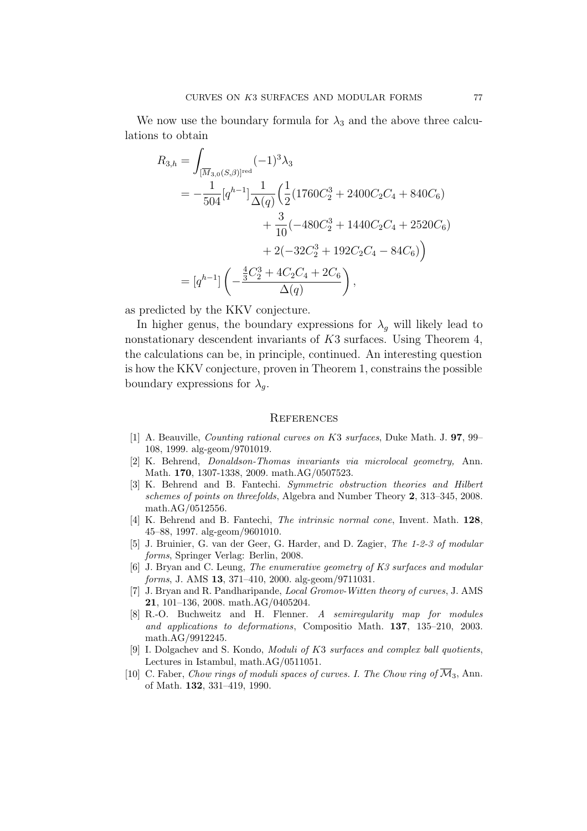We now use the boundary formula for  $\lambda_3$  and the above three calculations to obtain

$$
R_{3,h} = \int_{[\overline{M}_{3,0}(S,\beta)]^{\text{red}}} (-1)^3 \lambda_3
$$
  
=  $-\frac{1}{504} [q^{h-1}] \frac{1}{\Delta(q)} \left( \frac{1}{2} (1760C_2^3 + 2400C_2C_4 + 840C_6) + \frac{3}{10} (-480C_2^3 + 1440C_2C_4 + 2520C_6) + 2(-32C_2^3 + 192C_2C_4 - 84C_6) \right)$   
=  $[q^{h-1}] \left( -\frac{\frac{4}{3}C_2^3 + 4C_2C_4 + 2C_6}{\Delta(q)} \right),$ 

as predicted by the KKV conjecture.

In higher genus, the boundary expressions for  $\lambda_q$  will likely lead to nonstationary descendent invariants of K3 surfaces. Using Theorem 4, the calculations can be, in principle, continued. An interesting question is how the KKV conjecture, proven in Theorem 1, constrains the possible boundary expressions for  $\lambda_q$ .

## **REFERENCES**

- [1] A. Beauville, Counting rational curves on K3 surfaces, Duke Math. J. 97, 99– 108, 1999. alg-geom/9701019.
- [2] K. Behrend, Donaldson-Thomas invariants via microlocal geometry, Ann. Math. 170, 1307-1338, 2009. math.AG/0507523.
- [3] K. Behrend and B. Fantechi. Symmetric obstruction theories and Hilbert schemes of points on threefolds, Algebra and Number Theory 2, 313–345, 2008. math.AG/0512556.
- [4] K. Behrend and B. Fantechi, The intrinsic normal cone, Invent. Math. 128, 45–88, 1997. alg-geom/9601010.
- [5] J. Bruinier, G. van der Geer, G. Harder, and D. Zagier, The 1-2-3 of modular forms, Springer Verlag: Berlin, 2008.
- [6] J. Bryan and C. Leung, The enumerative geometry of K3 surfaces and modular forms, J. AMS 13, 371–410, 2000. alg-geom/9711031.
- [7] J. Bryan and R. Pandharipande, Local Gromov-Witten theory of curves, J. AMS 21, 101–136, 2008. math.AG/0405204.
- [8] R.-O. Buchweitz and H. Flenner. A semiregularity map for modules and applications to deformations, Compositio Math. 137, 135–210, 2003. math.AG/9912245.
- [9] I. Dolgachev and S. Kondo, Moduli of K3 surfaces and complex ball quotients, Lectures in Istambul, math.AG/0511051.
- [10] C. Faber, Chow rings of moduli spaces of curves. I. The Chow ring of  $\overline{\mathcal{M}}_3$ , Ann. of Math. 132, 331–419, 1990.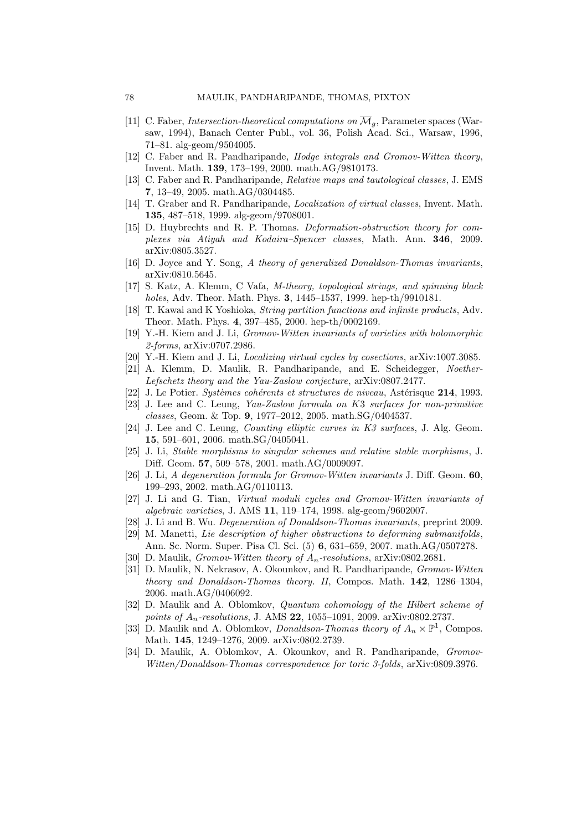- [11] C. Faber, *Intersection-theoretical computations on*  $\overline{\mathcal{M}}_q$ , Parameter spaces (Warsaw, 1994), Banach Center Publ., vol. 36, Polish Acad. Sci., Warsaw, 1996, 71–81. alg-geom/9504005.
- [12] C. Faber and R. Pandharipande, *Hodge integrals and Gromov-Witten theory*, Invent. Math. 139, 173–199, 2000. math.AG/9810173.
- [13] C. Faber and R. Pandharipande, Relative maps and tautological classes, J. EMS 7, 13–49, 2005. math.AG/0304485.
- [14] T. Graber and R. Pandharipande, Localization of virtual classes, Invent. Math. 135, 487–518, 1999. alg-geom/9708001.
- [15] D. Huybrechts and R. P. Thomas. Deformation-obstruction theory for complexes via Atiyah and Kodaira–Spencer classes, Math. Ann. 346, 2009. arXiv:0805.3527.
- [16] D. Joyce and Y. Song, A theory of generalized Donaldson-Thomas invariants, arXiv:0810.5645.
- [17] S. Katz, A. Klemm, C Vafa, M-theory, topological strings, and spinning black holes, Adv. Theor. Math. Phys. 3, 1445–1537, 1999. hep-th/9910181.
- [18] T. Kawai and K Yoshioka, String partition functions and infinite products, Adv. Theor. Math. Phys. 4, 397–485, 2000. hep-th/0002169.
- [19] Y.-H. Kiem and J. Li, Gromov-Witten invariants of varieties with holomorphic 2-forms, arXiv:0707.2986.
- [20] Y.-H. Kiem and J. Li, Localizing virtual cycles by cosections, arXiv:1007.3085.
- [21] A. Klemm, D. Maulik, R. Pandharipande, and E. Scheidegger, Noether-Lefschetz theory and the Yau-Zaslow conjecture, arXiv:0807.2477.
- $[22]$  J. Le Potier. Systèmes cohérents et structures de niveau, Astérisque 214, 1993.
- [23] J. Lee and C. Leung, Yau-Zaslow formula on K3 surfaces for non-primitive classes, Geom. & Top. 9, 1977–2012, 2005. math.SG/0404537.
- [24] J. Lee and C. Leung, Counting elliptic curves in K3 surfaces, J. Alg. Geom. 15, 591–601, 2006. math.SG/0405041.
- [25] J. Li, Stable morphisms to singular schemes and relative stable morphisms, J. Diff. Geom. 57, 509–578, 2001. math.AG/0009097.
- [26] J. Li, A degeneration formula for Gromov-Witten invariants J. Diff. Geom. 60, 199–293, 2002. math.AG/0110113.
- [27] J. Li and G. Tian, Virtual moduli cycles and Gromov-Witten invariants of algebraic varieties, J. AMS 11, 119–174, 1998. alg-geom/9602007.
- [28] J. Li and B. Wu. Degeneration of Donaldson-Thomas invariants, preprint 2009.
- [29] M. Manetti, Lie description of higher obstructions to deforming submanifolds, Ann. Sc. Norm. Super. Pisa Cl. Sci. (5) 6, 631–659, 2007. math.AG/0507278.
- [30] D. Maulik, *Gromov-Witten theory of*  $A_n$ *-resolutions*, arXiv:0802.2681.
- [31] D. Maulik, N. Nekrasov, A. Okounkov, and R. Pandharipande, Gromov-Witten theory and Donaldson-Thomas theory. II, Compos. Math. 142, 1286–1304, 2006. math.AG/0406092.
- [32] D. Maulik and A. Oblomkov, *Quantum cohomology of the Hilbert scheme of* points of  $A_n$ -resolutions, J. AMS 22, 1055–1091, 2009. arXiv:0802.2737.
- [33] D. Maulik and A. Oblomkov, *Donaldson-Thomas theory of*  $A_n \times \mathbb{P}^1$ , Compos. Math. 145, 1249–1276, 2009. arXiv:0802.2739.
- [34] D. Maulik, A. Oblomkov, A. Okounkov, and R. Pandharipande, Gromov-Witten/Donaldson-Thomas correspondence for toric 3-folds, arXiv:0809.3976.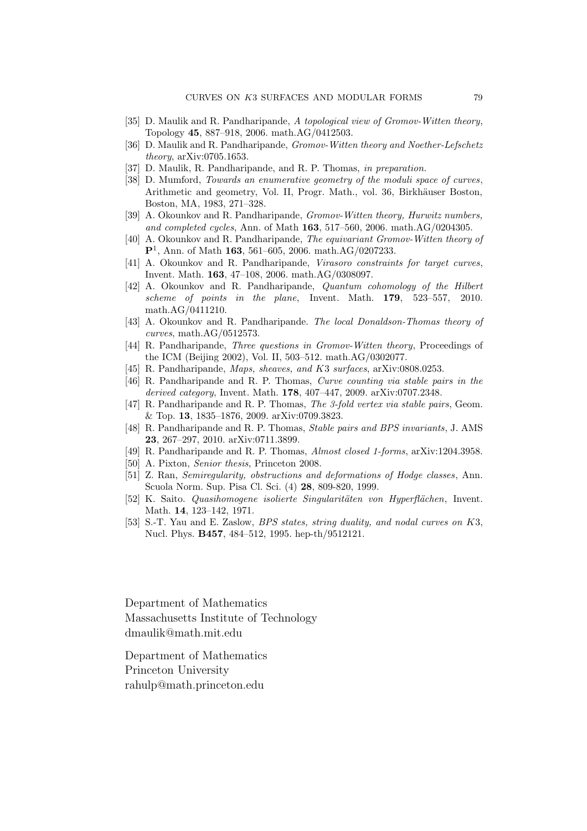- [35] D. Maulik and R. Pandharipande, A topological view of Gromov-Witten theory, Topology 45, 887–918, 2006. math.AG/0412503.
- [36] D. Maulik and R. Pandharipande, *Gromov-Witten theory and Noether-Lefschetz* theory, arXiv:0705.1653.
- [37] D. Maulik, R. Pandharipande, and R. P. Thomas, in preparation.
- [38] D. Mumford, Towards an enumerative geometry of the moduli space of curves, Arithmetic and geometry, Vol. II, Progr. Math., vol. 36, Birkhäuser Boston, Boston, MA, 1983, 271–328.
- [39] A. Okounkov and R. Pandharipande, Gromov-Witten theory, Hurwitz numbers, and completed cycles, Ann. of Math 163, 517–560, 2006. math.AG/0204305.
- [40] A. Okounkov and R. Pandharipande, The equivariant Gromov-Witten theory of  ${\bf P}^1$ , Ann. of Math 163, 561–605, 2006. math.AG/0207233.
- [41] A. Okounkov and R. Pandharipande, Virasoro constraints for target curves, Invent. Math. 163, 47–108, 2006. math.AG/0308097.
- [42] A. Okounkov and R. Pandharipande, Quantum cohomology of the Hilbert scheme of points in the plane, Invent. Math. 179, 523–557, 2010. math.AG/0411210.
- [43] A. Okounkov and R. Pandharipande. The local Donaldson-Thomas theory of curves, math.AG/0512573.
- [44] R. Pandharipande, Three questions in Gromov-Witten theory, Proceedings of the ICM (Beijing 2002), Vol. II, 503–512. math.AG/0302077.
- [45] R. Pandharipande, *Maps, sheaves, and K3 surfaces*, arXiv:0808.0253.
- [46] R. Pandharipande and R. P. Thomas, Curve counting via stable pairs in the derived category, Invent. Math. 178, 407–447, 2009. arXiv:0707.2348.
- [47] R. Pandharipande and R. P. Thomas, The 3-fold vertex via stable pairs, Geom. & Top. 13, 1835–1876, 2009. arXiv:0709.3823.
- [48] R. Pandharipande and R. P. Thomas, Stable pairs and BPS invariants, J. AMS 23, 267–297, 2010. arXiv:0711.3899.
- [49] R. Pandharipande and R. P. Thomas, Almost closed 1-forms, arXiv:1204.3958.
- [50] A. Pixton, Senior thesis, Princeton 2008.
- [51] Z. Ran, Semiregularity, obstructions and deformations of Hodge classes, Ann. Scuola Norm. Sup. Pisa Cl. Sci. (4) 28, 809-820, 1999.
- [52] K. Saito. Quasihomogene isolierte Singularitäten von Hyperflächen, Invent. Math. 14, 123–142, 1971.
- [53] S.-T. Yau and E. Zaslow, BPS states, string duality, and nodal curves on K3, Nucl. Phys. B457, 484–512, 1995. hep-th/9512121.

Department of Mathematics Massachusetts Institute of Technology dmaulik@math.mit.edu

Department of Mathematics Princeton University rahulp@math.princeton.edu